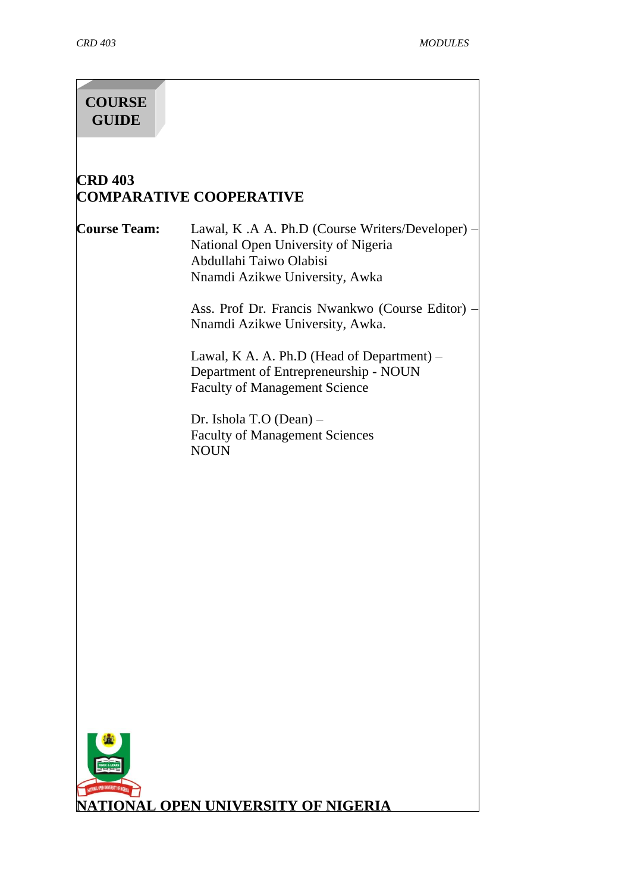# **COURSE GUIDE**

# **CRD 403 COMPARATIVE COOPERATIVE**

**Course Team:** Lawal, K .A A. Ph.D (Course Writers/Developer) – National Open University of Nigeria Abdullahi Taiwo Olabisi Nnamdi Azikwe University, Awka

> Ass. Prof Dr. Francis Nwankwo (Course Editor) – Nnamdi Azikwe University, Awka.

Lawal, K A. A. Ph.D (Head of Department) – Department of Entrepreneurship - NOUN Faculty of Management Science

Dr. Ishola T.O (Dean) – Faculty of Management Sciences **NOUN** 

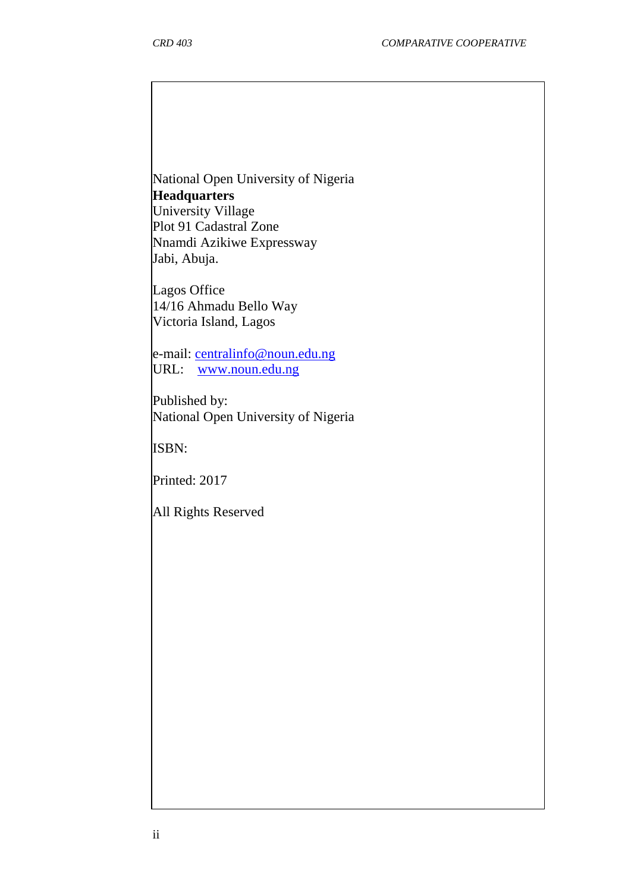National Open University of Nigeria **Headquarters** University Village Plot 91 Cadastral Zone Nnamdi Azikiwe Expressway

Lagos Office 14/16 Ahmadu Bello Way Victoria Island, Lagos

Jabi, Abuja.

e-mail: [centralinfo@noun.edu.ng](mailto:centralinfo@noun.edu.ng) URL: [www.noun.edu.ng](http://www.noun.edu.ng/)

Published by: National Open University of Nigeria

ISBN:

Printed: 2017

All Rights Reserved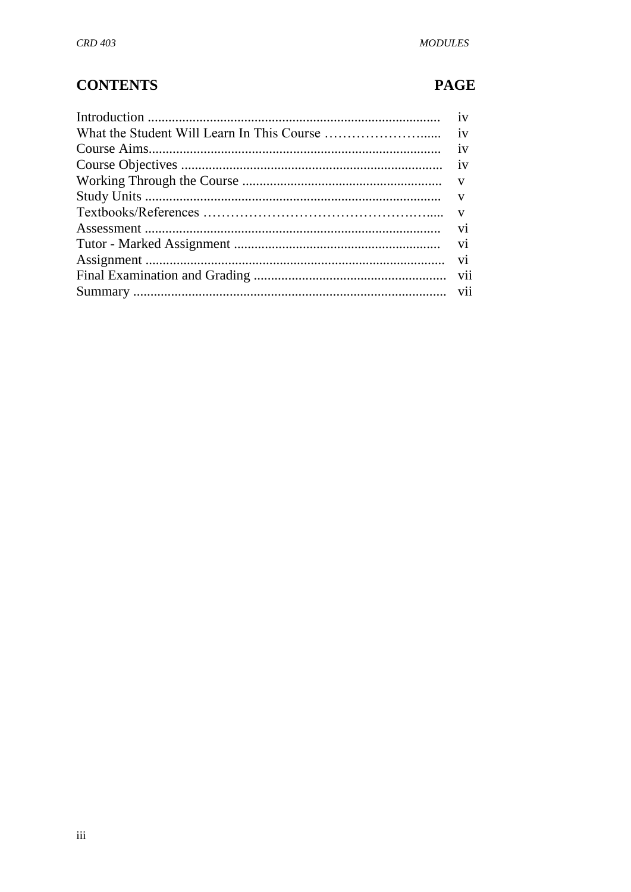# **CONTENTS**

# **PAGE**

| iv |
|----|
|    |
|    |
|    |
|    |
|    |
|    |
|    |
|    |
|    |
|    |
|    |
|    |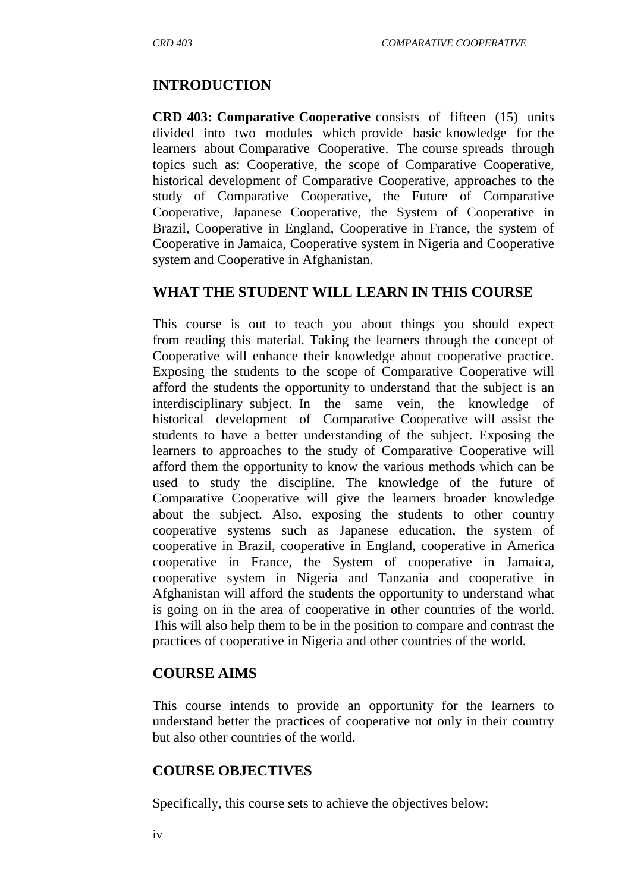## **INTRODUCTION**

**CRD 403: Comparative Cooperative** consists of fifteen (15) units divided into two modules which provide basic knowledge for the learners about Comparative Cooperative. The course spreads through topics such as: Cooperative, the scope of Comparative Cooperative, historical development of Comparative Cooperative, approaches to the study of Comparative Cooperative, the Future of Comparative Cooperative, Japanese Cooperative, the System of Cooperative in Brazil, Cooperative in England, Cooperative in France, the system of Cooperative in Jamaica, Cooperative system in Nigeria and Cooperative system and Cooperative in Afghanistan.

#### **WHAT THE STUDENT WILL LEARN IN THIS COURSE**

This course is out to teach you about things you should expect from reading this material. Taking the learners through the concept of Cooperative will enhance their knowledge about cooperative practice. Exposing the students to the scope of Comparative Cooperative will afford the students the opportunity to understand that the subject is an interdisciplinary subject. In the same vein, the knowledge of historical development of Comparative Cooperative will assist the students to have a better understanding of the subject. Exposing the learners to approaches to the study of Comparative Cooperative will afford them the opportunity to know the various methods which can be used to study the discipline. The knowledge of the future of Comparative Cooperative will give the learners broader knowledge about the subject. Also, exposing the students to other country cooperative systems such as Japanese education, the system of cooperative in Brazil, cooperative in England, cooperative in America cooperative in France, the System of cooperative in Jamaica, cooperative system in Nigeria and Tanzania and cooperative in Afghanistan will afford the students the opportunity to understand what is going on in the area of cooperative in other countries of the world. This will also help them to be in the position to compare and contrast the practices of cooperative in Nigeria and other countries of the world.

#### **COURSE AIMS**

This course intends to provide an opportunity for the learners to understand better the practices of cooperative not only in their country but also other countries of the world.

## **COURSE OBJECTIVES**

Specifically, this course sets to achieve the objectives below: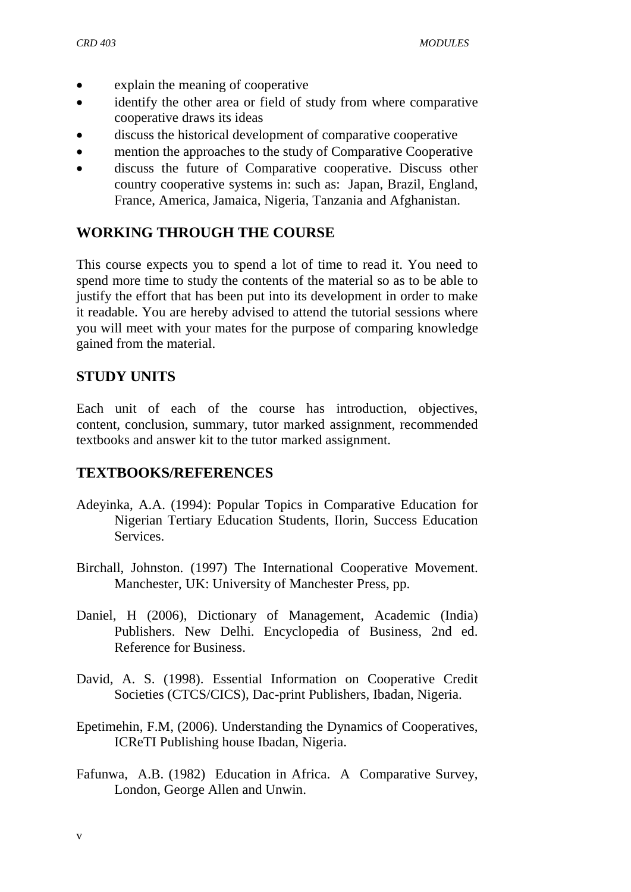- explain the meaning of cooperative
- identify the other area or field of study from where comparative cooperative draws its ideas
- discuss the historical development of comparative cooperative
- mention the approaches to the study of Comparative Cooperative
- discuss the future of Comparative cooperative. Discuss other country cooperative systems in: such as: Japan, Brazil, England, France, America, Jamaica, Nigeria, Tanzania and Afghanistan.

## **WORKING THROUGH THE COURSE**

This course expects you to spend a lot of time to read it. You need to spend more time to study the contents of the material so as to be able to justify the effort that has been put into its development in order to make it readable. You are hereby advised to attend the tutorial sessions where you will meet with your mates for the purpose of comparing knowledge gained from the material.

## **STUDY UNITS**

Each unit of each of the course has introduction, objectives, content, conclusion, summary, tutor marked assignment, recommended textbooks and answer kit to the tutor marked assignment.

#### **TEXTBOOKS/REFERENCES**

- Adeyinka, A.A. (1994): Popular Topics in Comparative Education for Nigerian Tertiary Education Students, Ilorin, Success Education Services.
- Birchall, Johnston. (1997) The International Cooperative Movement. Manchester, UK: University of Manchester Press, pp.
- Daniel, H (2006), Dictionary of Management, Academic (India) Publishers. New Delhi. Encyclopedia of Business, 2nd ed. [Reference for Business.](http://www.referenceforbusiness.com/index.html)
- David, A. S. (1998). Essential Information on Cooperative Credit Societies (CTCS/CICS), Dac-print Publishers, Ibadan, Nigeria.
- Epetimehin, F.M, (2006). Understanding the Dynamics of Cooperatives, ICReTI Publishing house Ibadan, Nigeria.
- Fafunwa, A.B. (1982) Education in Africa. A Comparative Survey, London, George Allen and Unwin.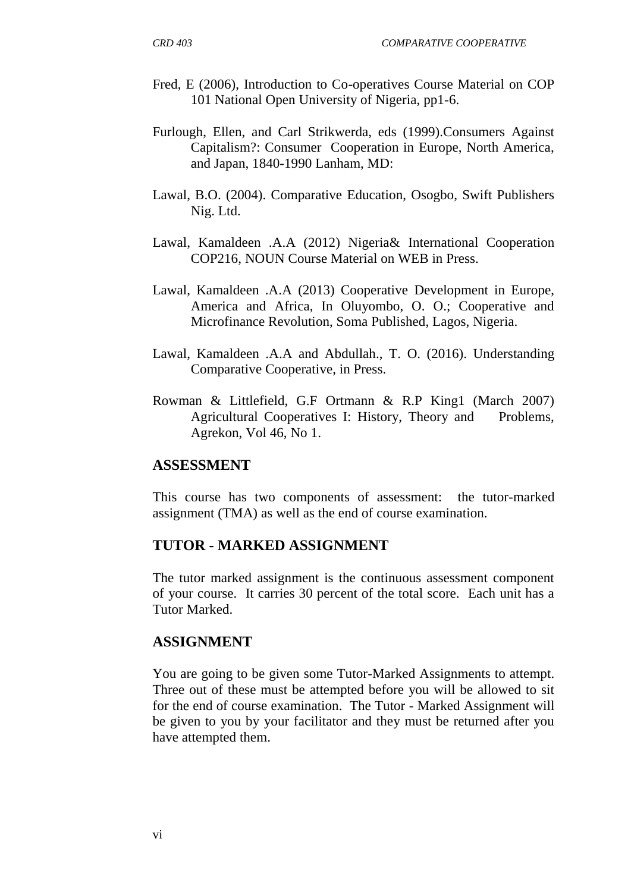- Fred, E (2006), Introduction to Co-operatives Course Material on COP 101 National Open University of Nigeria, pp1-6.
- Furlough, Ellen, and Carl Strikwerda, eds (1999).Consumers Against Capitalism?: Consumer Cooperation in Europe, North America, and Japan, 1840-1990 Lanham, MD:
- Lawal, B.O. (2004). Comparative Education, Osogbo, Swift Publishers Nig. Ltd.
- Lawal, Kamaldeen .A.A (2012) Nigeria& International Cooperation COP216, NOUN Course Material on WEB in Press.
- Lawal, Kamaldeen .A.A (2013) Cooperative Development in Europe, America and Africa, In Oluyombo, O. O.; Cooperative and Microfinance Revolution, Soma Published, Lagos, Nigeria.
- Lawal, Kamaldeen .A.A and Abdullah., T. O. (2016). Understanding Comparative Cooperative, in Press.
- Rowman & Littlefield, G.F Ortmann & R.P King1 (March 2007) Agricultural Cooperatives I: History, Theory and Problems, Agrekon, Vol 46, No 1.

#### **ASSESSMENT**

This course has two components of assessment: the tutor-marked assignment (TMA) as well as the end of course examination.

#### **TUTOR - MARKED ASSIGNMENT**

The tutor marked assignment is the continuous assessment component of your course. It carries 30 percent of the total score. Each unit has a Tutor Marked.

#### **ASSIGNMENT**

You are going to be given some Tutor-Marked Assignments to attempt. Three out of these must be attempted before you will be allowed to sit for the end of course examination. The Tutor - Marked Assignment will be given to you by your facilitator and they must be returned after you have attempted them.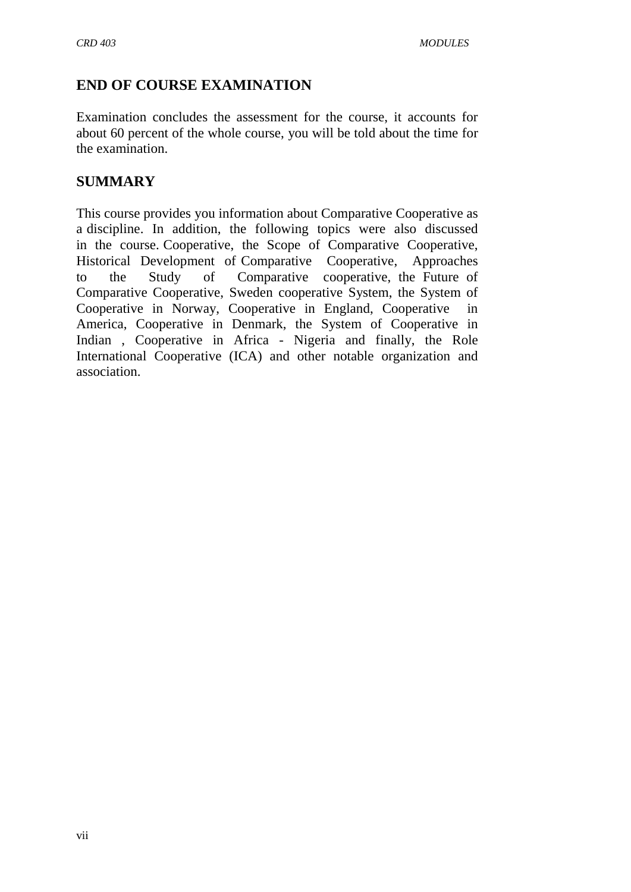## **END OF COURSE EXAMINATION**

Examination concludes the assessment for the course, it accounts for about 60 percent of the whole course, you will be told about the time for the examination.

#### **SUMMARY**

This course provides you information about Comparative Cooperative as a discipline. In addition, the following topics were also discussed in the course. Cooperative, the Scope of Comparative Cooperative, Historical Development of Comparative Cooperative, Approaches to the Study of Comparative cooperative, the Future of Comparative Cooperative, Sweden cooperative System, the System of Cooperative in Norway, Cooperative in England, Cooperative in America, Cooperative in Denmark, the System of Cooperative in Indian , Cooperative in Africa - Nigeria and finally, the Role International Cooperative (ICA) and other notable organization and association.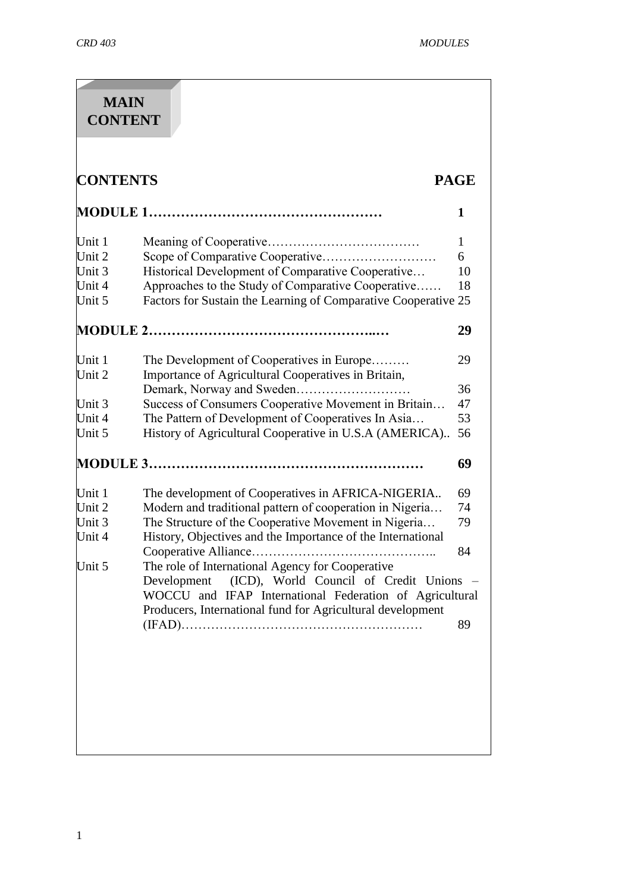| <b>CONTENTS</b> |                                                                                                                                                                        | <b>PAGE</b> |
|-----------------|------------------------------------------------------------------------------------------------------------------------------------------------------------------------|-------------|
|                 |                                                                                                                                                                        | 1           |
| Unit $1$        |                                                                                                                                                                        | 1           |
| Unit $2$        |                                                                                                                                                                        | 6           |
| Unit $3$        | Historical Development of Comparative Cooperative                                                                                                                      | 10          |
| Unit $4$        | Approaches to the Study of Comparative Cooperative                                                                                                                     | 18          |
| Unit 5          | Factors for Sustain the Learning of Comparative Cooperative 25                                                                                                         |             |
|                 |                                                                                                                                                                        | 29          |
| Unit $1$        | The Development of Cooperatives in Europe                                                                                                                              | 29          |
| Unit 2          | Importance of Agricultural Cooperatives in Britain,                                                                                                                    |             |
|                 |                                                                                                                                                                        | 36          |
| Unit $3$        | Success of Consumers Cooperative Movement in Britain                                                                                                                   | 47          |
| Unit $4$        | The Pattern of Development of Cooperatives In Asia                                                                                                                     | 53          |
| Unit $5$        | History of Agricultural Cooperative in U.S.A (AMERICA)                                                                                                                 | 56          |
|                 |                                                                                                                                                                        | 69          |
| Unit $1$        | The development of Cooperatives in AFRICA-NIGERIA                                                                                                                      | 69          |
| Unit $2$        | Modern and traditional pattern of cooperation in Nigeria                                                                                                               | 74          |
| Unit $3$        | The Structure of the Cooperative Movement in Nigeria                                                                                                                   | 79          |
| Unit 4          | History, Objectives and the Importance of the International                                                                                                            |             |
|                 |                                                                                                                                                                        | 84          |
|                 |                                                                                                                                                                        |             |
|                 |                                                                                                                                                                        |             |
|                 | WOCCU and IFAP International Federation of Agricultural                                                                                                                |             |
|                 |                                                                                                                                                                        | 89          |
| Unit 5          | The role of International Agency for Cooperative<br>Development<br>(ICD), World Council of Credit Unions<br>Producers, International fund for Agricultural development |             |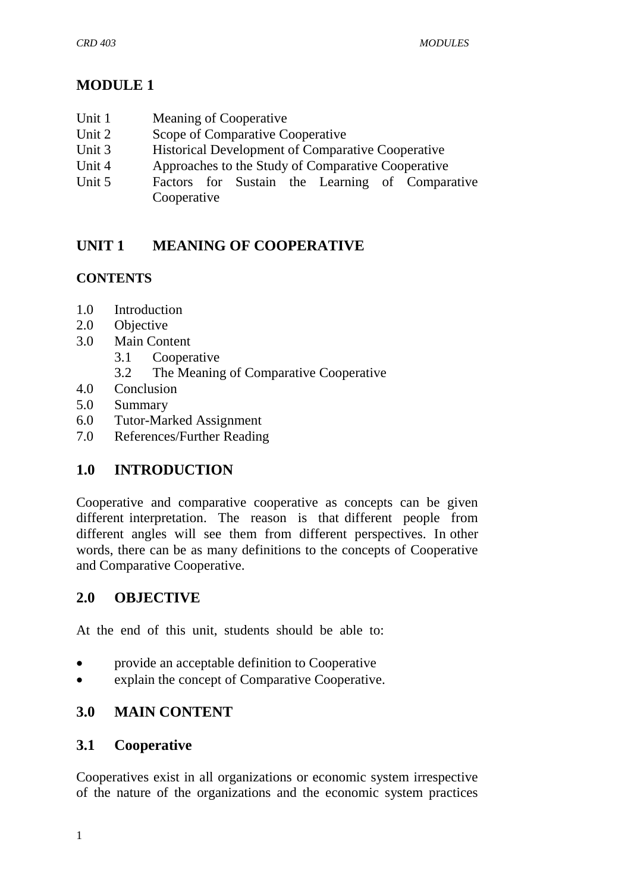## **MODULE 1**

- Unit 1 Meaning of Cooperative
- Unit 2 Scope of Comparative Cooperative
- Unit 3 Historical Development of Comparative Cooperative
- Unit 4 Approaches to the Study of Comparative Cooperative
- Unit 5 Factors for Sustain the Learning of Comparative Cooperative

## **UNIT 1 MEANING OF COOPERATIVE**

## **CONTENTS**

- 1.0 Introduction
- 2.0 Objective
- 3.0 Main Content
	- 3.1 Cooperative
	- 3.2 The Meaning of Comparative Cooperative
- 4.0 Conclusion
- 5.0 Summary
- 6.0 Tutor-Marked Assignment
- 7.0 References/Further Reading

## **1.0 INTRODUCTION**

Cooperative and comparative cooperative as concepts can be given different interpretation. The reason is that different people from different angles will see them from different perspectives. In other words, there can be as many definitions to the concepts of Cooperative and Comparative Cooperative.

## **2.0 OBJECTIVE**

At the end of this unit, students should be able to:

- provide an acceptable definition to Cooperative
- explain the concept of Comparative Cooperative.

## **3.0 MAIN CONTENT**

## **3.1 Cooperative**

Cooperatives exist in all organizations or economic system irrespective of the nature of the organizations and the economic system practices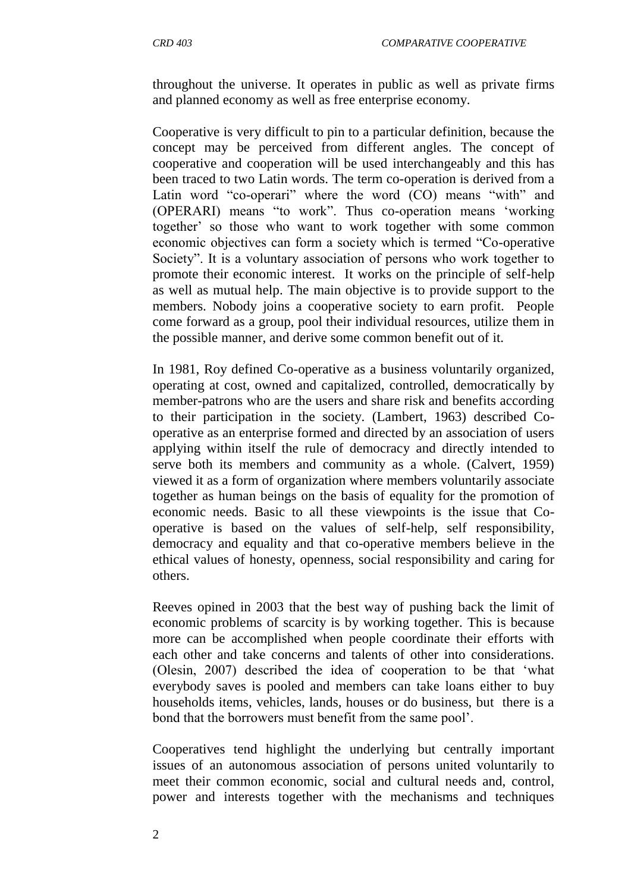throughout the universe. It operates in public as well as private firms and planned economy as well as free enterprise economy.

Cooperative is very difficult to pin to a particular definition, because the concept may be perceived from different angles. The concept of cooperative and cooperation will be used interchangeably and this has been traced to two Latin words. The term co-operation is derived from a Latin word "co-operari" where the word (CO) means "with" and (OPERARI) means "to work". Thus co-operation means "working together" so those who want to work together with some common economic objectives can form a society which is termed "Co-operative Society". It is a voluntary association of persons who work together to promote their economic interest. It works on the principle of self-help as well as mutual help. The main objective is to provide support to the members. Nobody joins a cooperative society to earn profit. People come forward as a group, pool their individual resources, utilize them in the possible manner, and derive some common benefit out of it.

In 1981, Roy defined Co-operative as a business voluntarily organized, operating at cost, owned and capitalized, controlled, democratically by member-patrons who are the users and share risk and benefits according to their participation in the society. (Lambert, 1963) described Cooperative as an enterprise formed and directed by an association of users applying within itself the rule of democracy and directly intended to serve both its members and community as a whole. (Calvert, 1959) viewed it as a form of organization where members voluntarily associate together as human beings on the basis of equality for the promotion of economic needs. Basic to all these viewpoints is the issue that Cooperative is based on the values of self-help, self responsibility, democracy and equality and that co-operative members believe in the ethical values of honesty, openness, social responsibility and caring for others.

Reeves opined in 2003 that the best way of pushing back the limit of economic problems of scarcity is by working together. This is because more can be accomplished when people coordinate their efforts with each other and take concerns and talents of other into considerations. (Olesin, 2007) described the idea of cooperation to be that "what everybody saves is pooled and members can take loans either to buy households items, vehicles, lands, houses or do business, but there is a bond that the borrowers must benefit from the same pool".

Cooperatives tend highlight the underlying but centrally important issues of an autonomous association of persons united voluntarily to meet their common economic, social and cultural needs and, control, power and interests together with the mechanisms and techniques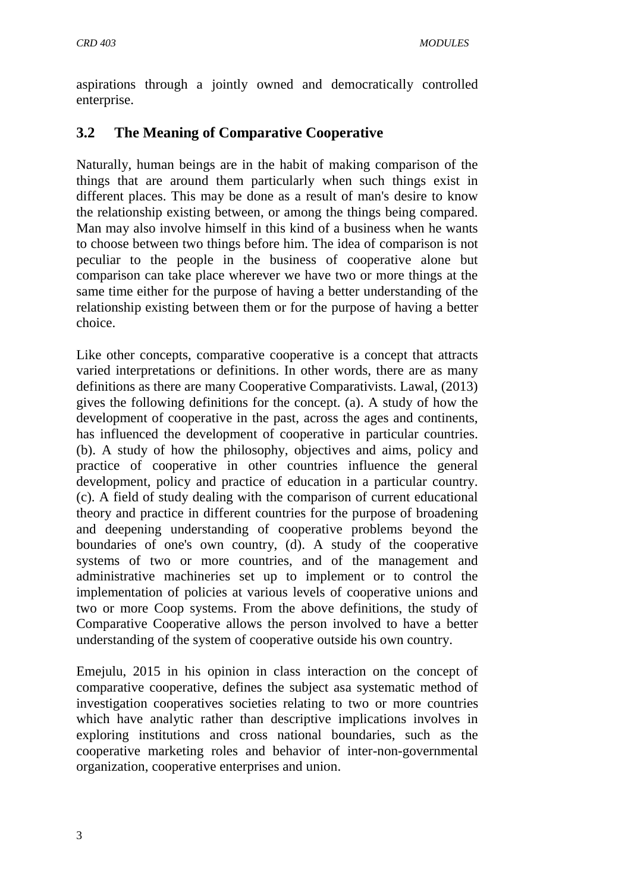aspirations through a jointly owned and democratically controlled enterprise.

## **3.2 The Meaning of Comparative Cooperative**

Naturally, human beings are in the habit of making comparison of the things that are around them particularly when such things exist in different places. This may be done as a result of man's desire to know the relationship existing between, or among the things being compared. Man may also involve himself in this kind of a business when he wants to choose between two things before him. The idea of comparison is not peculiar to the people in the business of cooperative alone but comparison can take place wherever we have two or more things at the same time either for the purpose of having a better understanding of the relationship existing between them or for the purpose of having a better choice.

Like other concepts, comparative cooperative is a concept that attracts varied interpretations or definitions. In other words, there are as many definitions as there are many Cooperative Comparativists. Lawal, (2013) gives the following definitions for the concept. (a). A study of how the development of cooperative in the past, across the ages and continents, has influenced the development of cooperative in particular countries. (b). A study of how the philosophy, objectives and aims, policy and practice of cooperative in other countries influence the general development, policy and practice of education in a particular country. (c). A field of study dealing with the comparison of current educational theory and practice in different countries for the purpose of broadening and deepening understanding of cooperative problems beyond the boundaries of one's own country, (d). A study of the cooperative systems of two or more countries, and of the management and administrative machineries set up to implement or to control the implementation of policies at various levels of cooperative unions and two or more Coop systems. From the above definitions, the study of Comparative Cooperative allows the person involved to have a better understanding of the system of cooperative outside his own country.

Emejulu, 2015 in his opinion in class interaction on the concept of comparative cooperative, defines the subject asa systematic method of investigation cooperatives societies relating to two or more countries which have analytic rather than descriptive implications involves in exploring institutions and cross national boundaries, such as the cooperative marketing roles and behavior of inter-non-governmental organization, cooperative enterprises and union.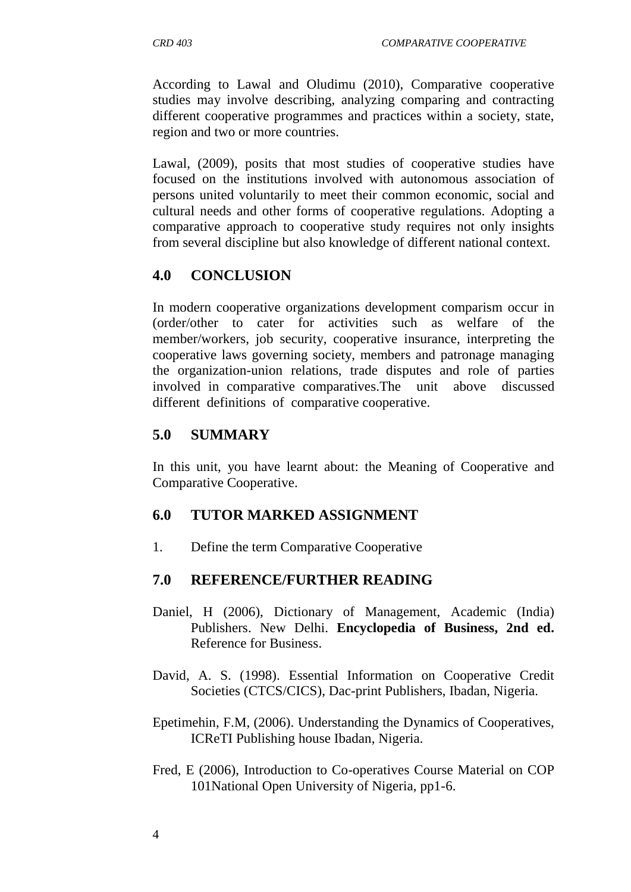According to Lawal and Oludimu (2010), Comparative cooperative studies may involve describing, analyzing comparing and contracting different cooperative programmes and practices within a society, state, region and two or more countries.

Lawal, (2009), posits that most studies of cooperative studies have focused on the institutions involved with autonomous association of persons united voluntarily to meet their common economic, social and cultural needs and other forms of cooperative regulations. Adopting a comparative approach to cooperative study requires not only insights from several discipline but also knowledge of different national context.

## **4.0 CONCLUSION**

In modern cooperative organizations development comparism occur in (order/other to cater for activities such as welfare of the member/workers, job security, cooperative insurance, interpreting the cooperative laws governing society, members and patronage managing the organization-union relations, trade disputes and role of parties involved in comparative comparatives.The unit above discussed different definitions of comparative cooperative.

## **5.0 SUMMARY**

In this unit, you have learnt about: the Meaning of Cooperative and Comparative Cooperative.

## **6.0 TUTOR MARKED ASSIGNMENT**

1. Define the term Comparative Cooperative

## **7.0 REFERENCE/FURTHER READING**

- Daniel, H (2006), Dictionary of Management, Academic (India) Publishers. New Delhi. **Encyclopedia of Business, 2nd ed.**  [Reference for Business.](http://www.referenceforbusiness.com/index.html)
- David, A. S. (1998). Essential Information on Cooperative Credit Societies (CTCS/CICS), Dac-print Publishers, Ibadan, Nigeria.
- Epetimehin, F.M, (2006). Understanding the Dynamics of Cooperatives, ICReTI Publishing house Ibadan, Nigeria.
- Fred, E (2006), Introduction to Co-operatives Course Material on COP 101National Open University of Nigeria, pp1-6.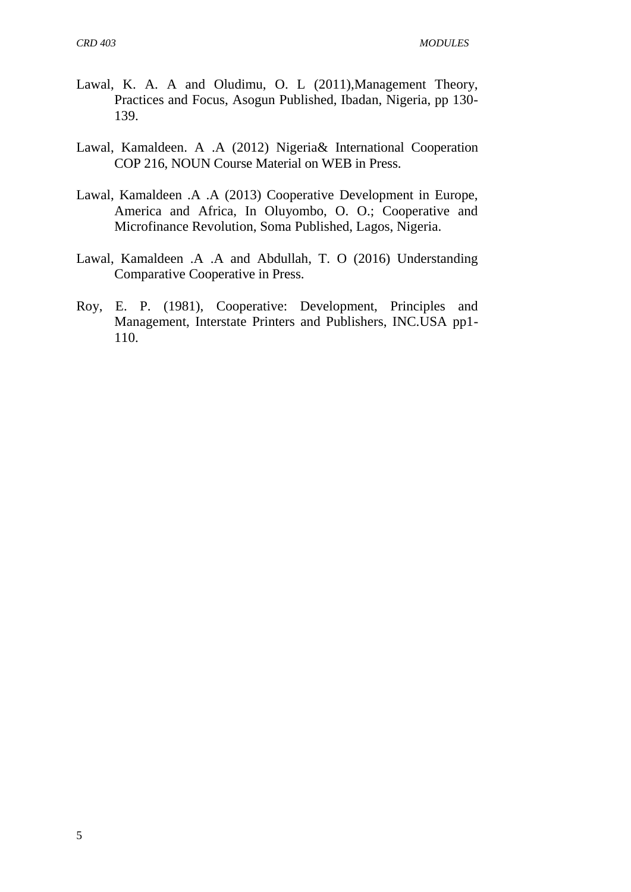- Lawal, K. A. A and Oludimu, O. L (2011),Management Theory, Practices and Focus, Asogun Published, Ibadan, Nigeria, pp 130- 139.
- Lawal, Kamaldeen. A .A (2012) Nigeria& International Cooperation COP 216, NOUN Course Material on WEB in Press.
- Lawal, Kamaldeen .A .A (2013) Cooperative Development in Europe, America and Africa, In Oluyombo, O. O.; Cooperative and Microfinance Revolution, Soma Published, Lagos, Nigeria.
- Lawal, Kamaldeen .A .A and Abdullah, T. O (2016) Understanding Comparative Cooperative in Press.
- Roy, E. P. (1981), Cooperative: Development, Principles and Management, Interstate Printers and Publishers, INC.USA pp1- 110.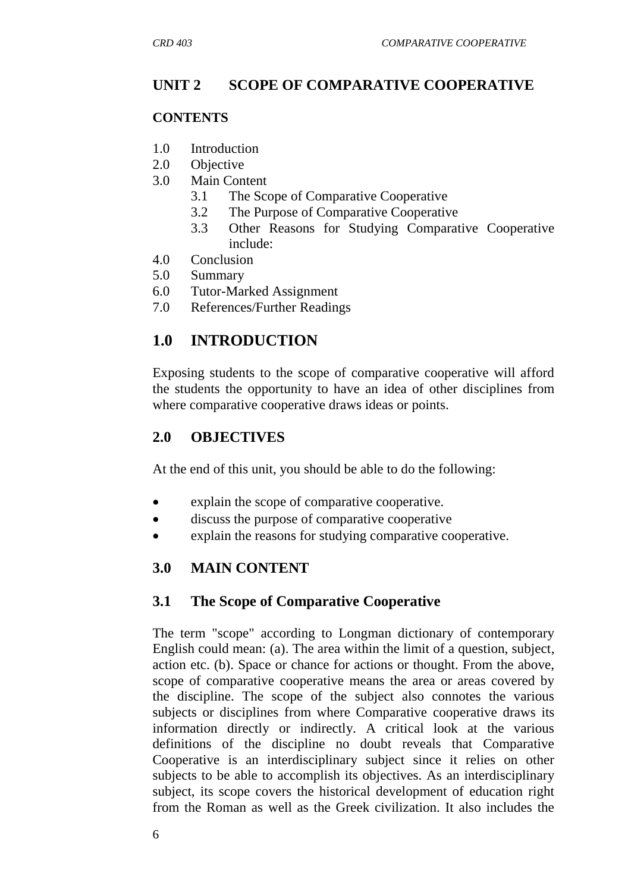## **UNIT 2 SCOPE OF COMPARATIVE COOPERATIVE**

#### **CONTENTS**

- 1.0 Introduction
- 2.0 Objective
- 3.0 Main Content
	- 3.1 The Scope of Comparative Cooperative
	- 3.2 The Purpose of Comparative Cooperative
	- 3.3 Other Reasons for Studying Comparative Cooperative include:
- 4.0 Conclusion
- 5.0 Summary
- 6.0 Tutor-Marked Assignment
- 7.0 References/Further Readings

# **1.0 INTRODUCTION**

Exposing students to the scope of comparative cooperative will afford the students the opportunity to have an idea of other disciplines from where comparative cooperative draws ideas or points.

## **2.0 OBJECTIVES**

At the end of this unit, you should be able to do the following:

- explain the scope of comparative cooperative.
- discuss the purpose of comparative cooperative
- explain the reasons for studying comparative cooperative.

## **3.0 MAIN CONTENT**

## **3.1 The Scope of Comparative Cooperative**

The term "scope" according to Longman dictionary of contemporary English could mean: (a). The area within the limit of a question, subject, action etc. (b). Space or chance for actions or thought. From the above, scope of comparative cooperative means the area or areas covered by the discipline. The scope of the subject also connotes the various subjects or disciplines from where Comparative cooperative draws its information directly or indirectly. A critical look at the various definitions of the discipline no doubt reveals that Comparative Cooperative is an interdisciplinary subject since it relies on other subjects to be able to accomplish its objectives. As an interdisciplinary subject, its scope covers the historical development of education right from the Roman as well as the Greek civilization. It also includes the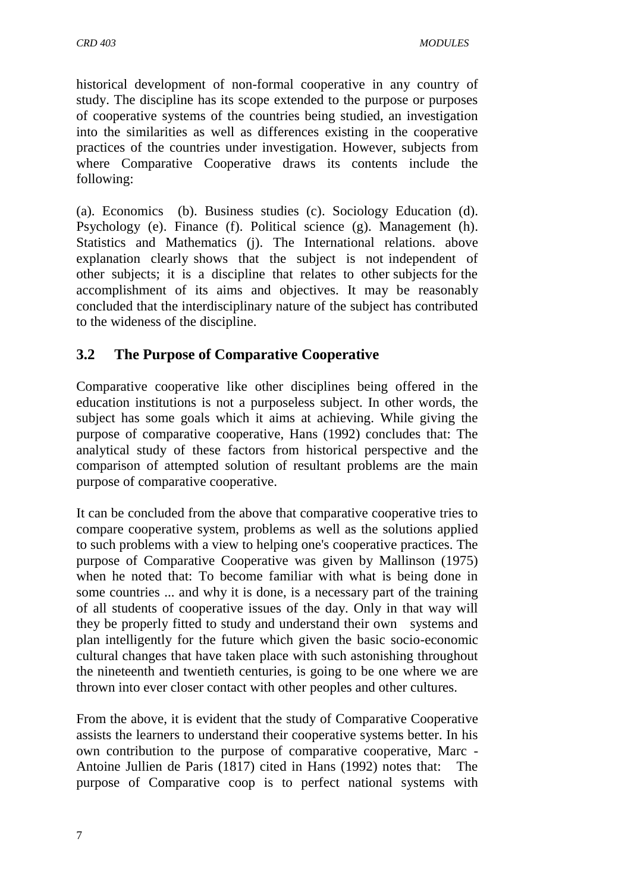historical development of non-formal cooperative in any country of study. The discipline has its scope extended to the purpose or purposes of cooperative systems of the countries being studied, an investigation into the similarities as well as differences existing in the cooperative practices of the countries under investigation. However, subjects from where Comparative Cooperative draws its contents include the following:

(a). Economics (b). Business studies (c). Sociology Education (d). Psychology (e). Finance (f). Political science (g). Management (h). Statistics and Mathematics (j). The International relations. above explanation clearly shows that the subject is not independent of other subjects; it is a discipline that relates to other subjects for the accomplishment of its aims and objectives. It may be reasonably concluded that the interdisciplinary nature of the subject has contributed to the wideness of the discipline.

## **3.2 The Purpose of Comparative Cooperative**

Comparative cooperative like other disciplines being offered in the education institutions is not a purposeless subject. In other words, the subject has some goals which it aims at achieving. While giving the purpose of comparative cooperative, Hans (1992) concludes that: The analytical study of these factors from historical perspective and the comparison of attempted solution of resultant problems are the main purpose of comparative cooperative.

It can be concluded from the above that comparative cooperative tries to compare cooperative system, problems as well as the solutions applied to such problems with a view to helping one's cooperative practices. The purpose of Comparative Cooperative was given by Mallinson (1975) when he noted that: To become familiar with what is being done in some countries ... and why it is done, is a necessary part of the training of all students of cooperative issues of the day. Only in that way will they be properly fitted to study and understand their own systems and plan intelligently for the future which given the basic socio-economic cultural changes that have taken place with such astonishing throughout the nineteenth and twentieth centuries, is going to be one where we are thrown into ever closer contact with other peoples and other cultures.

From the above, it is evident that the study of Comparative Cooperative assists the learners to understand their cooperative systems better. In his own contribution to the purpose of comparative cooperative, Marc - Antoine Jullien de Paris (1817) cited in Hans (1992) notes that: The purpose of Comparative coop is to perfect national systems with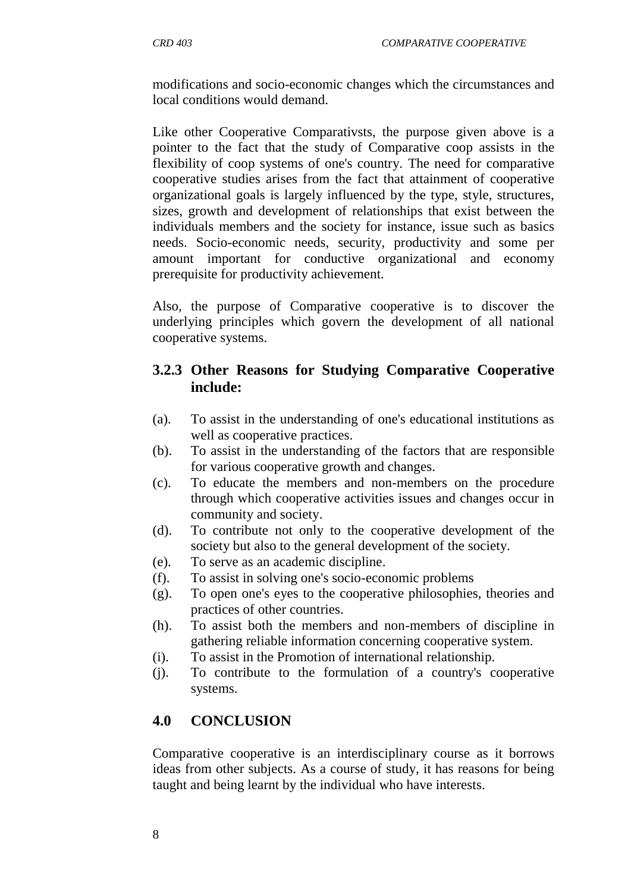modifications and socio-economic changes which the circumstances and local conditions would demand.

Like other Cooperative Comparativsts, the purpose given above is a pointer to the fact that the study of Comparative coop assists in the flexibility of coop systems of one's country. The need for comparative cooperative studies arises from the fact that attainment of cooperative organizational goals is largely influenced by the type, style, structures, sizes, growth and development of relationships that exist between the individuals members and the society for instance, issue such as basics needs. Socio-economic needs, security, productivity and some per amount important for conductive organizational and economy prerequisite for productivity achievement.

Also, the purpose of Comparative cooperative is to discover the underlying principles which govern the development of all national cooperative systems.

## **3.2.3 Other Reasons for Studying Comparative Cooperative include:**

- (a). To assist in the understanding of one's educational institutions as well as cooperative practices.
- (b). To assist in the understanding of the factors that are responsible for various cooperative growth and changes.
- (c). To educate the members and non-members on the procedure through which cooperative activities issues and changes occur in community and society.
- (d). To contribute not only to the cooperative development of the society but also to the general development of the society.
- (e). To serve as an academic discipline.
- (f). To assist in solving one's socio-economic problems
- (g). To open one's eyes to the cooperative philosophies, theories and practices of other countries.
- (h). To assist both the members and non-members of discipline in gathering reliable information concerning cooperative system.
- (i). To assist in the Promotion of international relationship.
- (j). To contribute to the formulation of a country's cooperative systems.

## **4.0 CONCLUSION**

Comparative cooperative is an interdisciplinary course as it borrows ideas from other subjects. As a course of study, it has reasons for being taught and being learnt by the individual who have interests.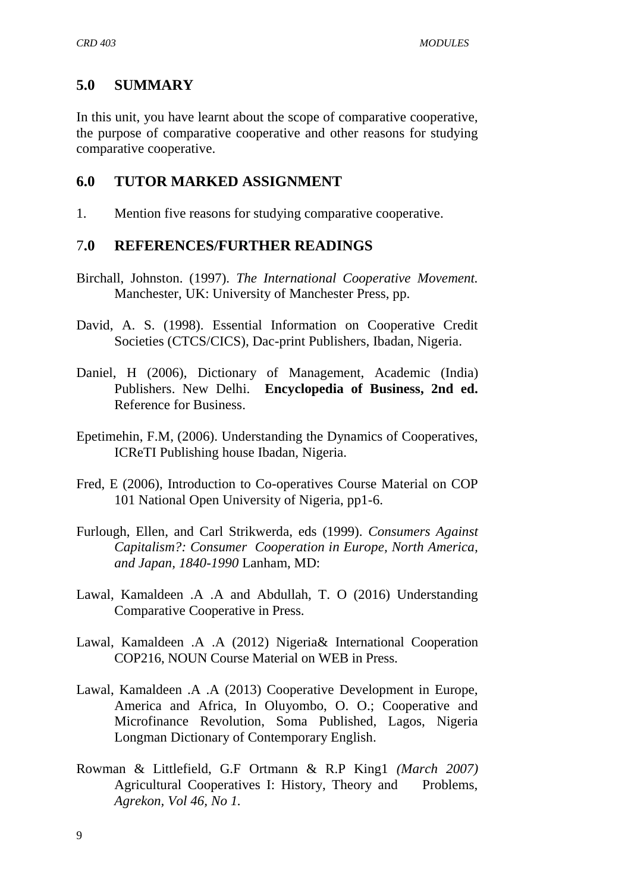## **5.0 SUMMARY**

In this unit, you have learnt about the scope of comparative cooperative, the purpose of comparative cooperative and other reasons for studying comparative cooperative.

## **6.0 TUTOR MARKED ASSIGNMENT**

1. Mention five reasons for studying comparative cooperative.

## 7**.0 REFERENCES/FURTHER READINGS**

- Birchall, Johnston. (1997). *The International Cooperative Movement.*  Manchester, UK: University of Manchester Press, pp.
- David, A. S. (1998). Essential Information on Cooperative Credit Societies (CTCS/CICS), Dac-print Publishers, Ibadan, Nigeria.
- Daniel, H (2006), Dictionary of Management, Academic (India) Publishers. New Delhi. **Encyclopedia of Business, 2nd ed.**  [Reference for Business.](http://www.referenceforbusiness.com/index.html)
- Epetimehin, F.M, (2006). Understanding the Dynamics of Cooperatives, ICReTI Publishing house Ibadan, Nigeria.
- Fred, E (2006), Introduction to Co-operatives Course Material on COP 101 National Open University of Nigeria, pp1-6.
- Furlough, Ellen, and Carl Strikwerda, eds (1999). *Consumers Against Capitalism?: Consumer Cooperation in Europe, North America, and Japan, 1840-1990* Lanham, MD:
- Lawal, Kamaldeen .A .A and Abdullah, T. O (2016) Understanding Comparative Cooperative in Press.
- Lawal, Kamaldeen .A .A (2012) Nigeria& International Cooperation COP216, NOUN Course Material on WEB in Press.
- Lawal, Kamaldeen .A .A (2013) Cooperative Development in Europe, America and Africa, In Oluyombo, O. O.; Cooperative and Microfinance Revolution, Soma Published, Lagos, Nigeria Longman Dictionary of Contemporary English.
- Rowman & Littlefield, G.F Ortmann & R.P King1 *(March 2007)* Agricultural Cooperatives I: History, Theory and Problems, *Agrekon, Vol 46, No 1.*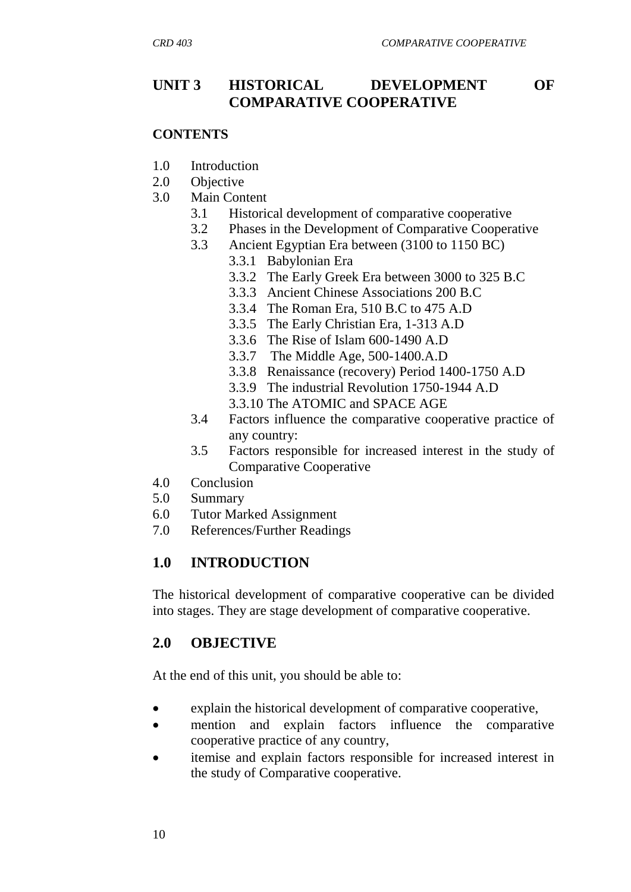## **UNIT 3 HISTORICAL DEVELOPMENT OF COMPARATIVE COOPERATIVE**

#### **CONTENTS**

- 1.0 Introduction
- 2.0 Objective
- 3.0 Main Content
	- 3.1 Historical development of comparative cooperative
	- 3.2 Phases in the Development of Comparative Cooperative
	- 3.3 Ancient Egyptian Era between (3100 to 1150 BC)
		- 3.3.1 Babylonian Era
		- 3.3.2 The Early Greek Era between 3000 to 325 B.C
		- 3.3.3 Ancient Chinese Associations 200 B.C
		- 3.3.4 The Roman Era, 510 B.C to 475 A.D
		- 3.3.5 The Early Christian Era, 1-313 A.D
		- 3.3.6 The Rise of Islam 600-1490 A.D
		- 3.3.7 The Middle Age, 500-1400.A.D
		- 3.3.8 Renaissance (recovery) Period 1400-1750 A.D
		- 3.3.9 The industrial Revolution 1750-1944 A.D
		- 3.3.10 The ATOMIC and SPACE AGE
	- 3.4 Factors influence the comparative cooperative practice of any country:
	- 3.5 Factors responsible for increased interest in the study of Comparative Cooperative
- 4.0 Conclusion
- 5.0 Summary
- 6.0 Tutor Marked Assignment
- 7.0 References/Further Readings

## **1.0 INTRODUCTION**

The historical development of comparative cooperative can be divided into stages. They are stage development of comparative cooperative.

## **2.0 OBJECTIVE**

At the end of this unit, you should be able to:

- explain the historical development of comparative cooperative,
- mention and explain factors influence the comparative cooperative practice of any country,
- itemise and explain factors responsible for increased interest in the study of Comparative cooperative.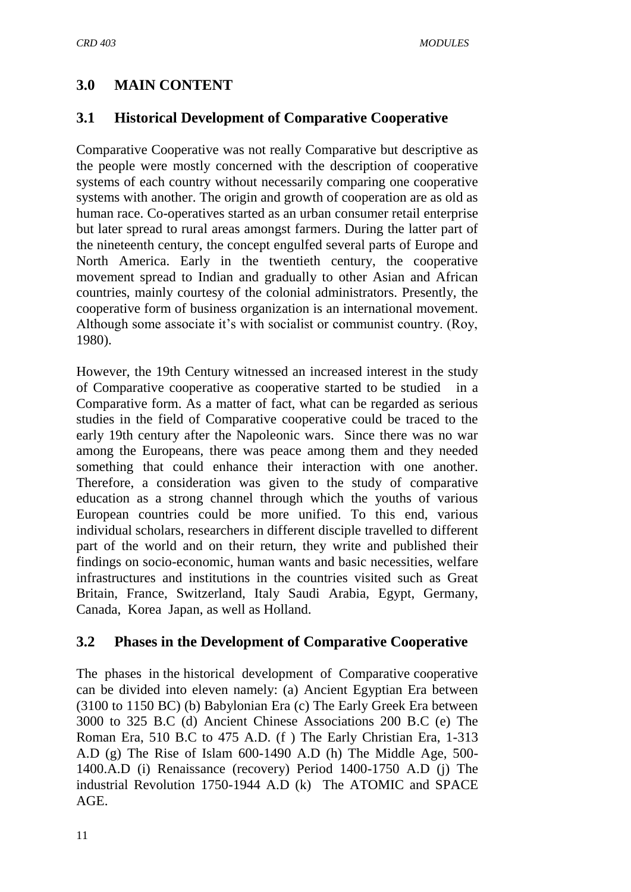# **3.0 MAIN CONTENT**

## **3.1 Historical Development of Comparative Cooperative**

Comparative Cooperative was not really Comparative but descriptive as the people were mostly concerned with the description of cooperative systems of each country without necessarily comparing one cooperative systems with another. The origin and growth of cooperation are as old as human race. Co-operatives started as an urban consumer retail enterprise but later spread to rural areas amongst farmers. During the latter part of the nineteenth century, the concept engulfed several parts of Europe and North America. Early in the twentieth century, the cooperative movement spread to Indian and gradually to other Asian and African countries, mainly courtesy of the colonial administrators. Presently, the cooperative form of business organization is an international movement. Although some associate it"s with socialist or communist country. (Roy, 1980).

However, the 19th Century witnessed an increased interest in the study of Comparative cooperative as cooperative started to be studied in a Comparative form. As a matter of fact, what can be regarded as serious studies in the field of Comparative cooperative could be traced to the early 19th century after the Napoleonic wars. Since there was no war among the Europeans, there was peace among them and they needed something that could enhance their interaction with one another. Therefore, a consideration was given to the study of comparative education as a strong channel through which the youths of various European countries could be more unified. To this end, various individual scholars, researchers in different disciple travelled to different part of the world and on their return, they write and published their findings on socio-economic, human wants and basic necessities, welfare infrastructures and institutions in the countries visited such as Great Britain, France, Switzerland, Italy Saudi Arabia, Egypt, Germany, Canada, Korea Japan, as well as Holland.

## **3.2 Phases in the Development of Comparative Cooperative**

The phases in the historical development of Comparative cooperative can be divided into eleven namely: (a) Ancient Egyptian Era between (3100 to 1150 BC) (b) Babylonian Era (c) The Early Greek Era between 3000 to 325 B.C (d) Ancient Chinese Associations 200 B.C (e) The Roman Era, 510 B.C to 475 A.D. (f ) The Early Christian Era, 1-313 A.D (g) The Rise of Islam 600-1490 A.D (h) The Middle Age, 500- 1400.A.D (i) Renaissance (recovery) Period 1400-1750 A.D (j) The industrial Revolution 1750-1944 A.D (k) The ATOMIC and SPACE AGE.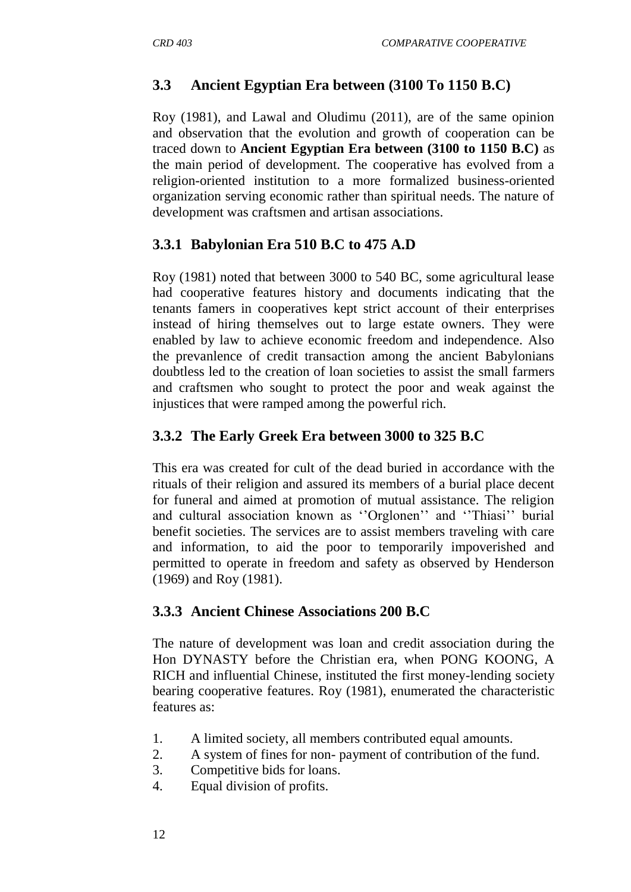## **3.3 Ancient Egyptian Era between (3100 To 1150 B.C)**

Roy (1981), and Lawal and Oludimu (2011), are of the same opinion and observation that the evolution and growth of cooperation can be traced down to **Ancient Egyptian Era between (3100 to 1150 B.C)** as the main period of development. The cooperative has evolved from a religion-oriented institution to a more formalized business-oriented organization serving economic rather than spiritual needs. The nature of development was craftsmen and artisan associations.

## **3.3.1 Babylonian Era 510 B.C to 475 A.D**

Roy (1981) noted that between 3000 to 540 BC, some agricultural lease had cooperative features history and documents indicating that the tenants famers in cooperatives kept strict account of their enterprises instead of hiring themselves out to large estate owners. They were enabled by law to achieve economic freedom and independence. Also the prevanlence of credit transaction among the ancient Babylonians doubtless led to the creation of loan societies to assist the small farmers and craftsmen who sought to protect the poor and weak against the injustices that were ramped among the powerful rich.

## **3.3.2 The Early Greek Era between 3000 to 325 B.C**

This era was created for cult of the dead buried in accordance with the rituals of their religion and assured its members of a burial place decent for funeral and aimed at promotion of mutual assistance. The religion and cultural association known as "Orglonen" and "Thiasi" burial benefit societies. The services are to assist members traveling with care and information, to aid the poor to temporarily impoverished and permitted to operate in freedom and safety as observed by Henderson (1969) and Roy (1981).

## **3.3.3 Ancient Chinese Associations 200 B.C**

The nature of development was loan and credit association during the Hon DYNASTY before the Christian era, when PONG KOONG, A RICH and influential Chinese, instituted the first money-lending society bearing cooperative features. Roy (1981), enumerated the characteristic features as:

- 1. A limited society, all members contributed equal amounts.
- 2. A system of fines for non- payment of contribution of the fund.
- 3. Competitive bids for loans.
- 4. Equal division of profits.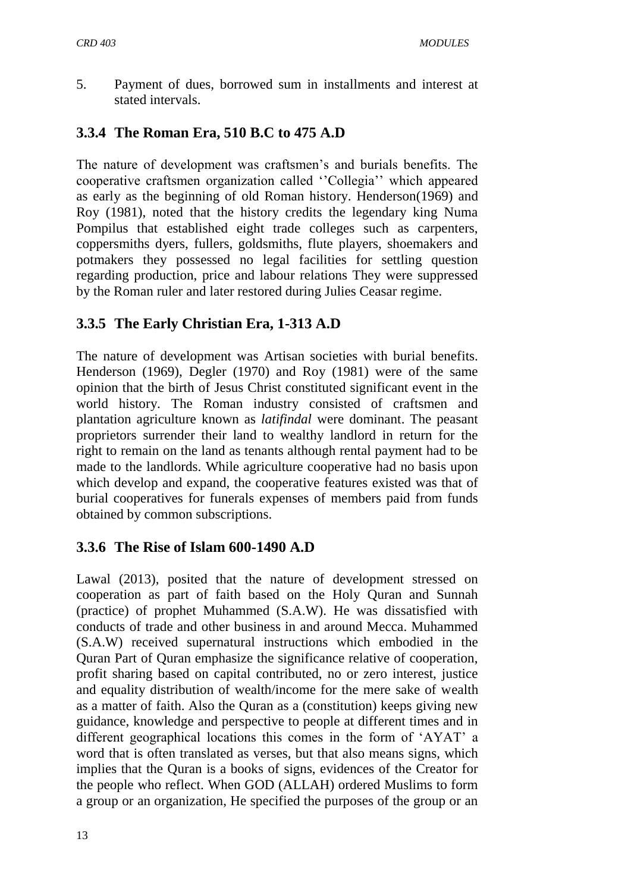5. Payment of dues, borrowed sum in installments and interest at stated intervals.

## **3.3.4 The Roman Era, 510 B.C to 475 A.D**

The nature of development was craftsmen's and burials benefits. The cooperative craftsmen organization called "Collegia" which appeared as early as the beginning of old Roman history. Henderson(1969) and Roy (1981), noted that the history credits the legendary king Numa Pompilus that established eight trade colleges such as carpenters, coppersmiths dyers, fullers, goldsmiths, flute players, shoemakers and potmakers they possessed no legal facilities for settling question regarding production, price and labour relations They were suppressed by the Roman ruler and later restored during Julies Ceasar regime.

## **3.3.5 The Early Christian Era, 1-313 A.D**

The nature of development was Artisan societies with burial benefits. Henderson (1969), Degler (1970) and Roy (1981) were of the same opinion that the birth of Jesus Christ constituted significant event in the world history. The Roman industry consisted of craftsmen and plantation agriculture known as *latifindal* were dominant. The peasant proprietors surrender their land to wealthy landlord in return for the right to remain on the land as tenants although rental payment had to be made to the landlords. While agriculture cooperative had no basis upon which develop and expand, the cooperative features existed was that of burial cooperatives for funerals expenses of members paid from funds obtained by common subscriptions.

## **3.3.6 The Rise of Islam 600-1490 A.D**

Lawal (2013), posited that the nature of development stressed on cooperation as part of faith based on the Holy Quran and Sunnah (practice) of prophet Muhammed (S.A.W). He was dissatisfied with conducts of trade and other business in and around Mecca. Muhammed (S.A.W) received supernatural instructions which embodied in the Quran Part of Quran emphasize the significance relative of cooperation, profit sharing based on capital contributed, no or zero interest, justice and equality distribution of wealth/income for the mere sake of wealth as a matter of faith. Also the Quran as a (constitution) keeps giving new guidance, knowledge and perspective to people at different times and in different geographical locations this comes in the form of "AYAT" a word that is often translated as verses, but that also means signs, which implies that the Quran is a books of signs, evidences of the Creator for the people who reflect. When GOD (ALLAH) ordered Muslims to form a group or an organization, He specified the purposes of the group or an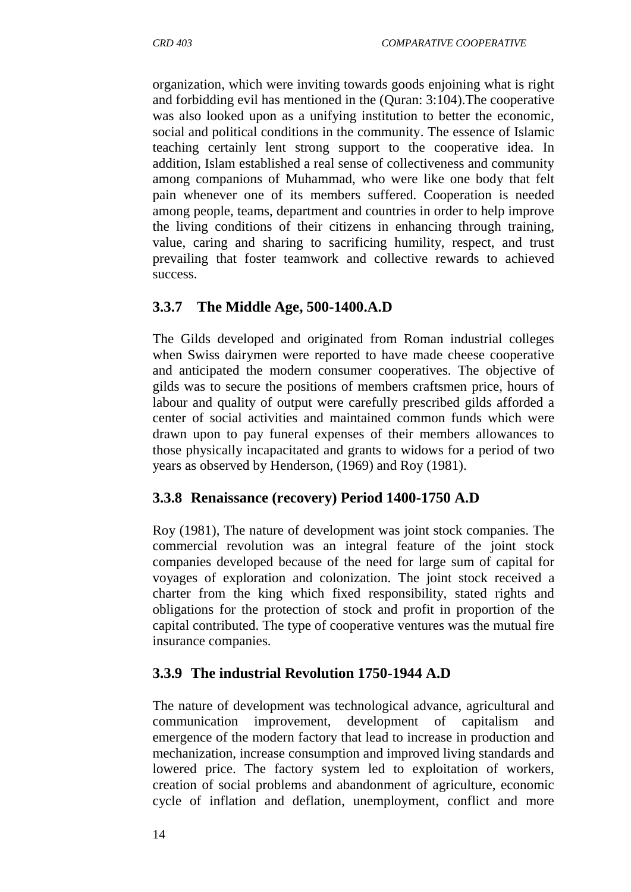organization, which were inviting towards goods enjoining what is right and forbidding evil has mentioned in the (Quran: 3:104).The cooperative was also looked upon as a unifying institution to better the economic, social and political conditions in the community. The essence of Islamic teaching certainly lent strong support to the cooperative idea. In addition, Islam established a real sense of collectiveness and community among companions of Muhammad, who were like one body that felt pain whenever one of its members suffered. Cooperation is needed among people, teams, department and countries in order to help improve the living conditions of their citizens in enhancing through training, value, caring and sharing to sacrificing humility, respect, and trust prevailing that foster teamwork and collective rewards to achieved success.

## **3.3.7 The Middle Age, 500-1400.A.D**

The Gilds developed and originated from Roman industrial colleges when Swiss dairymen were reported to have made cheese cooperative and anticipated the modern consumer cooperatives. The objective of gilds was to secure the positions of members craftsmen price, hours of labour and quality of output were carefully prescribed gilds afforded a center of social activities and maintained common funds which were drawn upon to pay funeral expenses of their members allowances to those physically incapacitated and grants to widows for a period of two years as observed by Henderson, (1969) and Roy (1981).

## **3.3.8 Renaissance (recovery) Period 1400-1750 A.D**

Roy (1981), The nature of development was joint stock companies. The commercial revolution was an integral feature of the joint stock companies developed because of the need for large sum of capital for voyages of exploration and colonization. The joint stock received a charter from the king which fixed responsibility, stated rights and obligations for the protection of stock and profit in proportion of the capital contributed. The type of cooperative ventures was the mutual fire insurance companies.

## **3.3.9 The industrial Revolution 1750-1944 A.D**

The nature of development was technological advance, agricultural and communication improvement, development of capitalism and emergence of the modern factory that lead to increase in production and mechanization, increase consumption and improved living standards and lowered price. The factory system led to exploitation of workers, creation of social problems and abandonment of agriculture, economic cycle of inflation and deflation, unemployment, conflict and more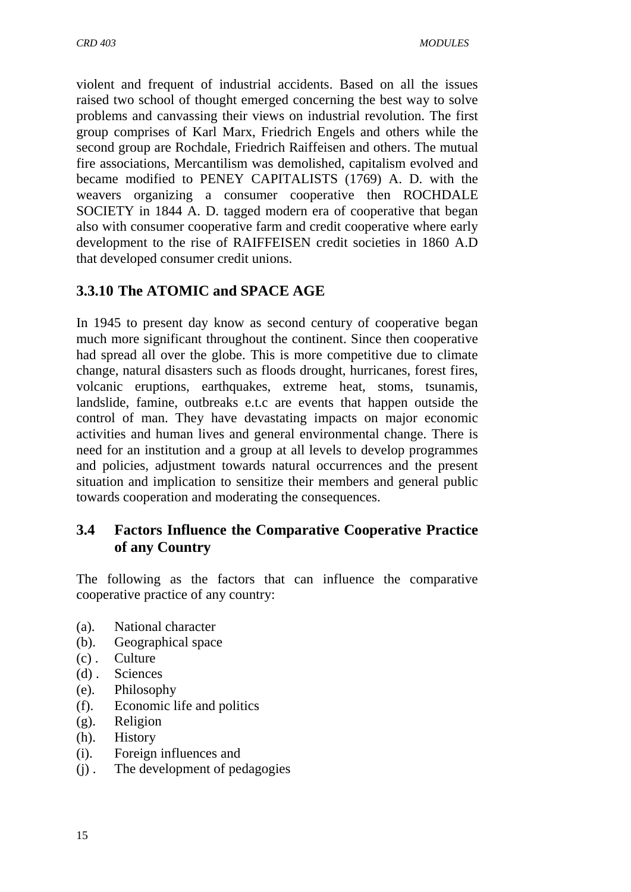violent and frequent of industrial accidents. Based on all the issues raised two school of thought emerged concerning the best way to solve problems and canvassing their views on industrial revolution. The first group comprises of Karl Marx, Friedrich Engels and others while the second group are Rochdale, Friedrich Raiffeisen and others. The mutual fire associations, Mercantilism was demolished, capitalism evolved and became modified to PENEY CAPITALISTS (1769) A. D. with the weavers organizing a consumer cooperative then ROCHDALE SOCIETY in 1844 A. D. tagged modern era of cooperative that began also with consumer cooperative farm and credit cooperative where early development to the rise of RAIFFEISEN credit societies in 1860 A.D that developed consumer credit unions.

## **3.3.10 The ATOMIC and SPACE AGE**

In 1945 to present day know as second century of cooperative began much more significant throughout the continent. Since then cooperative had spread all over the globe. This is more competitive due to climate change, natural disasters such as floods drought, hurricanes, forest fires, volcanic eruptions, earthquakes, extreme heat, stoms, tsunamis, landslide, famine, outbreaks e.t.c are events that happen outside the control of man. They have devastating impacts on major economic activities and human lives and general environmental change. There is need for an institution and a group at all levels to develop programmes and policies, adjustment towards natural occurrences and the present situation and implication to sensitize their members and general public towards cooperation and moderating the consequences.

## **3.4 Factors Influence the Comparative Cooperative Practice of any Country**

The following as the factors that can influence the comparative cooperative practice of any country:

- (a). National character
- (b). Geographical space
- (c) . Culture
- (d) . Sciences
- (e). Philosophy
- (f). Economic life and politics
- (g). Religion
- (h). History
- (i). Foreign influences and
- (j) . The development of pedagogies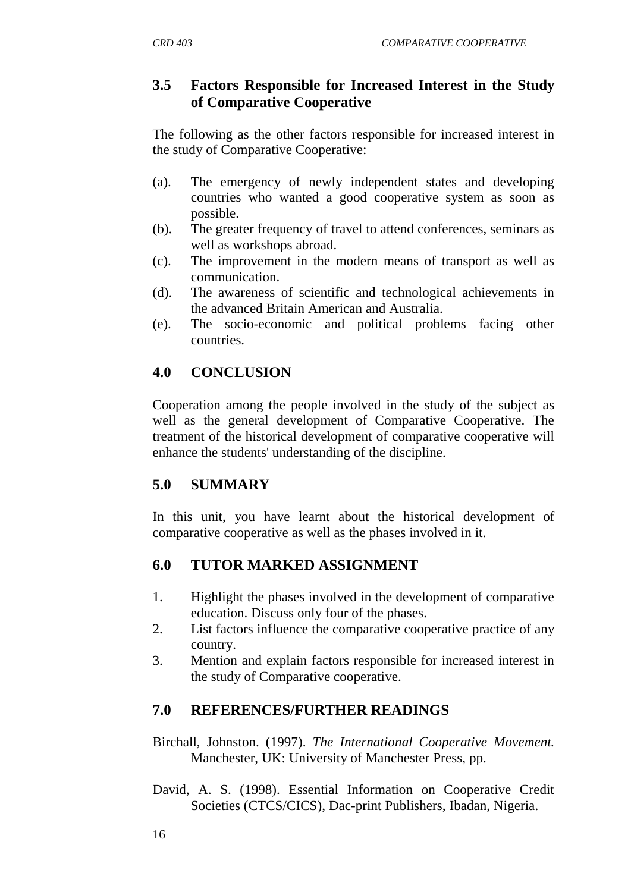## **3.5 Factors Responsible for Increased Interest in the Study of Comparative Cooperative**

The following as the other factors responsible for increased interest in the study of Comparative Cooperative:

- (a). The emergency of newly independent states and developing countries who wanted a good cooperative system as soon as possible.
- (b). The greater frequency of travel to attend conferences, seminars as well as workshops abroad.
- (c). The improvement in the modern means of transport as well as communication.
- (d). The awareness of scientific and technological achievements in the advanced Britain American and Australia.
- (e). The socio-economic and political problems facing other countries.

## **4.0 CONCLUSION**

Cooperation among the people involved in the study of the subject as well as the general development of Comparative Cooperative. The treatment of the historical development of comparative cooperative will enhance the students' understanding of the discipline.

## **5.0 SUMMARY**

In this unit, you have learnt about the historical development of comparative cooperative as well as the phases involved in it.

## **6.0 TUTOR MARKED ASSIGNMENT**

- 1. Highlight the phases involved in the development of comparative education. Discuss only four of the phases.
- 2. List factors influence the comparative cooperative practice of any country.
- 3. Mention and explain factors responsible for increased interest in the study of Comparative cooperative.

## **7.0 REFERENCES/FURTHER READINGS**

- Birchall, Johnston. (1997). *The International Cooperative Movement.*  Manchester, UK: University of Manchester Press, pp.
- David, A. S. (1998). Essential Information on Cooperative Credit Societies (CTCS/CICS), Dac-print Publishers, Ibadan, Nigeria.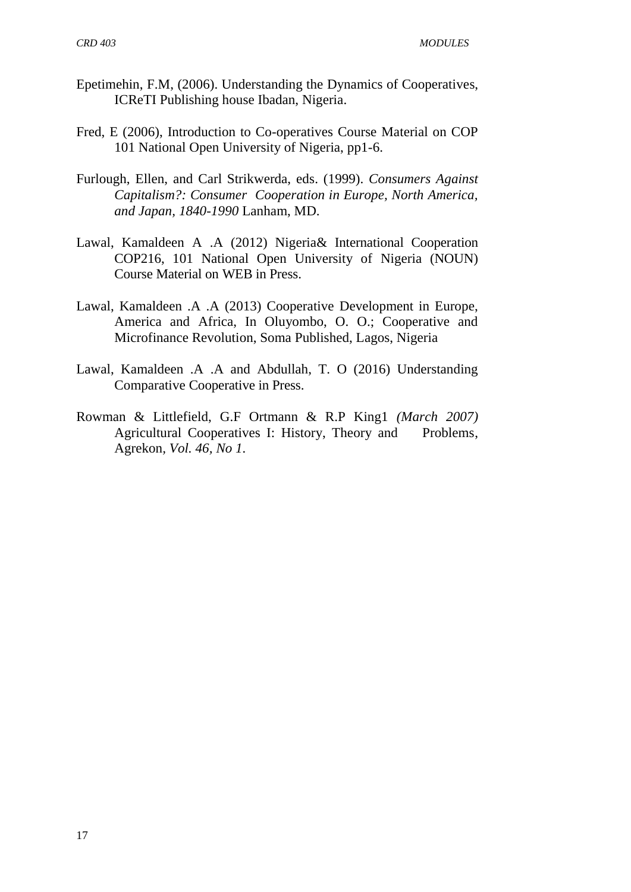- Epetimehin, F.M, (2006). Understanding the Dynamics of Cooperatives, ICReTI Publishing house Ibadan, Nigeria.
- Fred, E (2006), Introduction to Co-operatives Course Material on COP 101 National Open University of Nigeria, pp1-6.
- Furlough, Ellen, and Carl Strikwerda, eds. (1999). *Consumers Against Capitalism?: Consumer Cooperation in Europe, North America, and Japan, 1840-1990* Lanham, MD.
- Lawal, Kamaldeen A .A (2012) Nigeria& International Cooperation COP216, 101 National Open University of Nigeria (NOUN) Course Material on WEB in Press.
- Lawal, Kamaldeen .A .A (2013) Cooperative Development in Europe, America and Africa, In Oluyombo, O. O.; Cooperative and Microfinance Revolution, Soma Published, Lagos, Nigeria
- Lawal, Kamaldeen .A .A and Abdullah, T. O (2016) Understanding Comparative Cooperative in Press.
- Rowman & Littlefield, G.F Ortmann & R.P King1 *(March 2007)* Agricultural Cooperatives I: History, Theory and Problems, Agrekon*, Vol. 46, No 1.*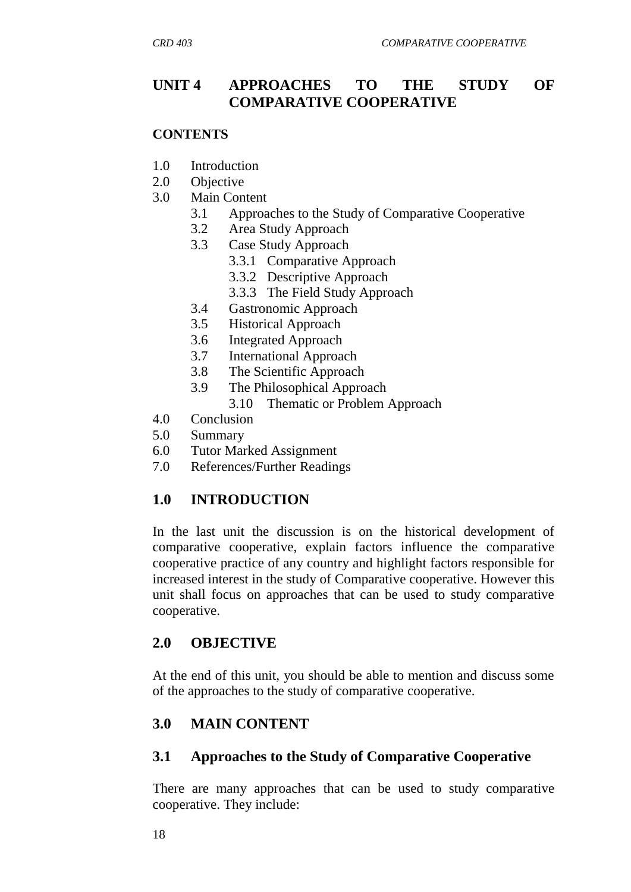## **UNIT 4 APPROACHES TO THE STUDY OF COMPARATIVE COOPERATIVE**

#### **CONTENTS**

- 1.0 Introduction
- 2.0 Objective
- 3.0 Main Content
	- 3.1 Approaches to the Study of Comparative Cooperative
	- 3.2 Area Study Approach
	- 3.3 Case Study Approach
		- 3.3.1 Comparative Approach
		- 3.3.2 Descriptive Approach
		- 3.3.3 The Field Study Approach
	- 3.4 Gastronomic Approach
	- 3.5 Historical Approach
	- 3.6 Integrated Approach
	- 3.7 International Approach
	- 3.8 The Scientific Approach
	- 3.9 The Philosophical Approach
		- 3.10 Thematic or Problem Approach
- 4.0 Conclusion
- 5.0 Summary
- 6.0 Tutor Marked Assignment
- 7.0 References/Further Readings

## **1.0 INTRODUCTION**

In the last unit the discussion is on the historical development of comparative cooperative, explain factors influence the comparative cooperative practice of any country and highlight factors responsible for increased interest in the study of Comparative cooperative. However this unit shall focus on approaches that can be used to study comparative cooperative.

## **2.0 OBJECTIVE**

At the end of this unit, you should be able to mention and discuss some of the approaches to the study of comparative cooperative.

## **3.0 MAIN CONTENT**

## **3.1 Approaches to the Study of Comparative Cooperative**

There are many approaches that can be used to study comparative cooperative. They include: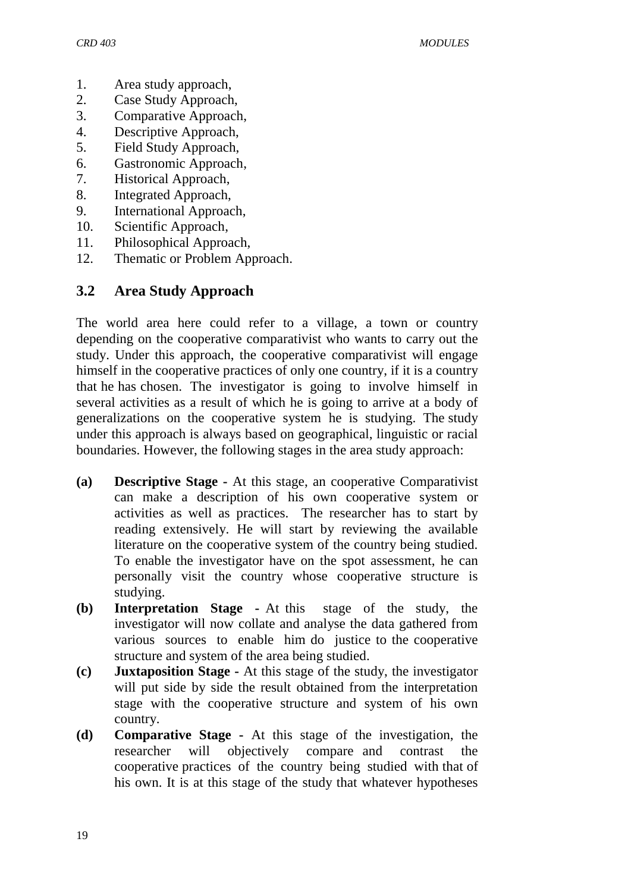- 1. Area study approach,
- 2. Case Study Approach,
- 3. Comparative Approach,
- 4. Descriptive Approach,
- 5. Field Study Approach,
- 6. Gastronomic Approach,
- 7. Historical Approach,
- 8. Integrated Approach,
- 9. International Approach,
- 10. Scientific Approach,
- 11. Philosophical Approach,
- 12. Thematic or Problem Approach.

## **3.2 Area Study Approach**

The world area here could refer to a village, a town or country depending on the cooperative comparativist who wants to carry out the study. Under this approach, the cooperative comparativist will engage himself in the cooperative practices of only one country, if it is a country that he has chosen. The investigator is going to involve himself in several activities as a result of which he is going to arrive at a body of generalizations on the cooperative system he is studying. The study under this approach is always based on geographical, linguistic or racial boundaries. However, the following stages in the area study approach:

- **(a) Descriptive Stage -** At this stage, an cooperative Comparativist can make a description of his own cooperative system or activities as well as practices. The researcher has to start by reading extensively. He will start by reviewing the available literature on the cooperative system of the country being studied. To enable the investigator have on the spot assessment, he can personally visit the country whose cooperative structure is studying.
- **(b) Interpretation Stage -** At this stage of the study, the investigator will now collate and analyse the data gathered from various sources to enable him do justice to the cooperative structure and system of the area being studied.
- **(c) Juxtaposition Stage -** At this stage of the study, the investigator will put side by side the result obtained from the interpretation stage with the cooperative structure and system of his own country.
- **(d) Comparative Stage -** At this stage of the investigation, the researcher will objectively compare and contrast the cooperative practices of the country being studied with that of his own. It is at this stage of the study that whatever hypotheses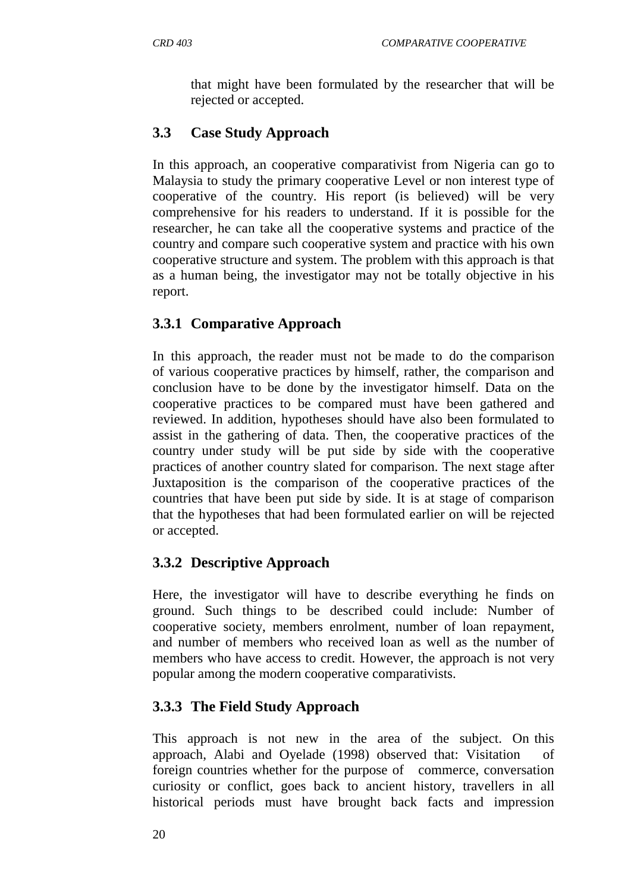that might have been formulated by the researcher that will be rejected or accepted.

# **3.3 Case Study Approach**

In this approach, an cooperative comparativist from Nigeria can go to Malaysia to study the primary cooperative Level or non interest type of cooperative of the country. His report (is believed) will be very comprehensive for his readers to understand. If it is possible for the researcher, he can take all the cooperative systems and practice of the country and compare such cooperative system and practice with his own cooperative structure and system. The problem with this approach is that as a human being, the investigator may not be totally objective in his report.

# **3.3.1 Comparative Approach**

In this approach, the reader must not be made to do the comparison of various cooperative practices by himself, rather, the comparison and conclusion have to be done by the investigator himself. Data on the cooperative practices to be compared must have been gathered and reviewed. In addition, hypotheses should have also been formulated to assist in the gathering of data. Then, the cooperative practices of the country under study will be put side by side with the cooperative practices of another country slated for comparison. The next stage after Juxtaposition is the comparison of the cooperative practices of the countries that have been put side by side. It is at stage of comparison that the hypotheses that had been formulated earlier on will be rejected or accepted.

# **3.3.2 Descriptive Approach**

Here, the investigator will have to describe everything he finds on ground. Such things to be described could include: Number of cooperative society, members enrolment, number of loan repayment, and number of members who received loan as well as the number of members who have access to credit. However, the approach is not very popular among the modern cooperative comparativists.

# **3.3.3 The Field Study Approach**

This approach is not new in the area of the subject. On this approach, Alabi and Oyelade (1998) observed that: Visitation of foreign countries whether for the purpose of commerce, conversation curiosity or conflict, goes back to ancient history, travellers in all historical periods must have brought back facts and impression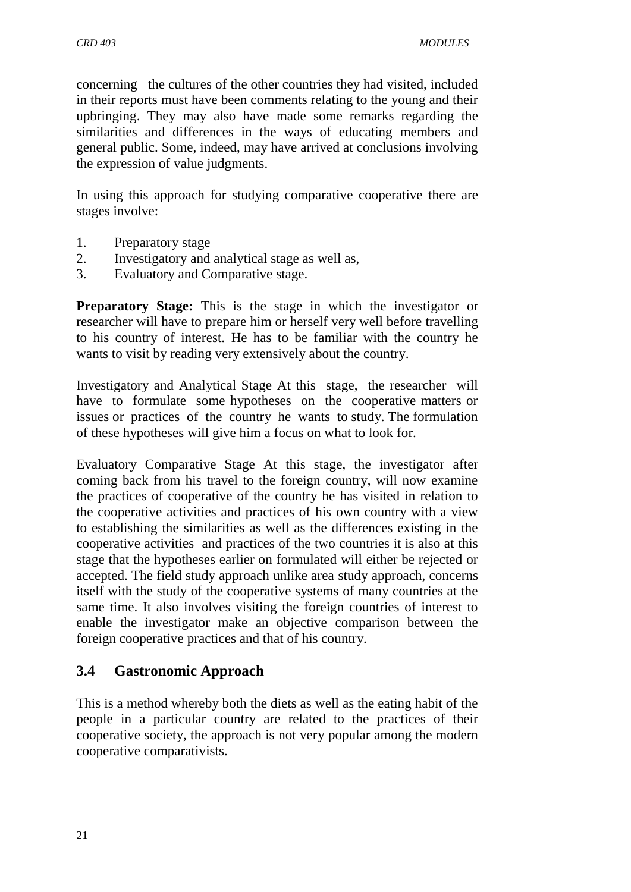concerning the cultures of the other countries they had visited, included in their reports must have been comments relating to the young and their upbringing. They may also have made some remarks regarding the similarities and differences in the ways of educating members and general public. Some, indeed, may have arrived at conclusions involving the expression of value judgments.

In using this approach for studying comparative cooperative there are stages involve:

- 1. Preparatory stage
- 2. Investigatory and analytical stage as well as,
- 3. Evaluatory and Comparative stage.

**Preparatory Stage:** This is the stage in which the investigator or researcher will have to prepare him or herself very well before travelling to his country of interest. He has to be familiar with the country he wants to visit by reading very extensively about the country.

Investigatory and Analytical Stage At this stage, the researcher will have to formulate some hypotheses on the cooperative matters or issues or practices of the country he wants to study. The formulation of these hypotheses will give him a focus on what to look for.

Evaluatory Comparative Stage At this stage, the investigator after coming back from his travel to the foreign country, will now examine the practices of cooperative of the country he has visited in relation to the cooperative activities and practices of his own country with a view to establishing the similarities as well as the differences existing in the cooperative activities and practices of the two countries it is also at this stage that the hypotheses earlier on formulated will either be rejected or accepted. The field study approach unlike area study approach, concerns itself with the study of the cooperative systems of many countries at the same time. It also involves visiting the foreign countries of interest to enable the investigator make an objective comparison between the foreign cooperative practices and that of his country.

## **3.4 Gastronomic Approach**

This is a method whereby both the diets as well as the eating habit of the people in a particular country are related to the practices of their cooperative society, the approach is not very popular among the modern cooperative comparativists.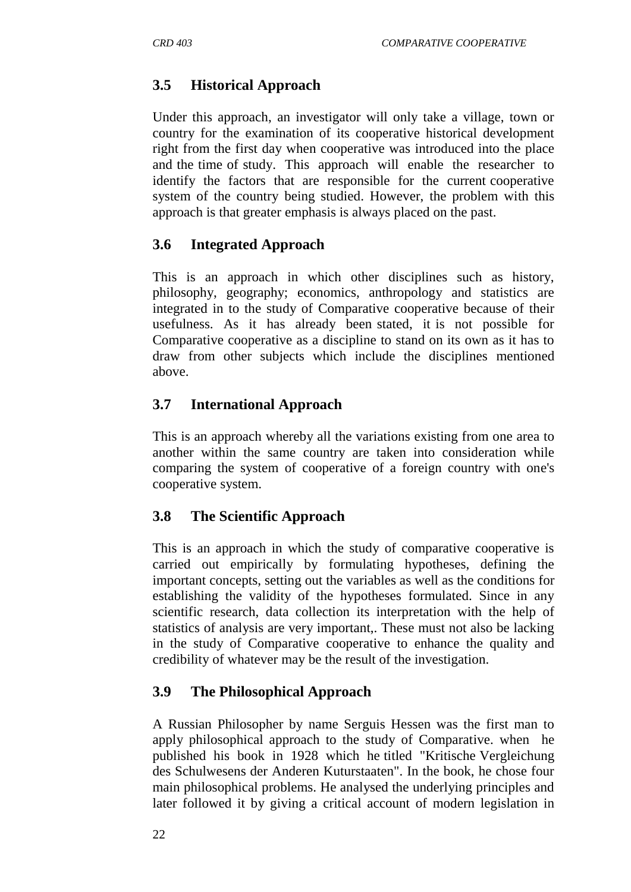## **3.5 Historical Approach**

Under this approach, an investigator will only take a village, town or country for the examination of its cooperative historical development right from the first day when cooperative was introduced into the place and the time of study. This approach will enable the researcher to identify the factors that are responsible for the current cooperative system of the country being studied. However, the problem with this approach is that greater emphasis is always placed on the past.

## **3.6 Integrated Approach**

This is an approach in which other disciplines such as history, philosophy, geography; economics, anthropology and statistics are integrated in to the study of Comparative cooperative because of their usefulness. As it has already been stated, it is not possible for Comparative cooperative as a discipline to stand on its own as it has to draw from other subjects which include the disciplines mentioned above.

## **3.7 International Approach**

This is an approach whereby all the variations existing from one area to another within the same country are taken into consideration while comparing the system of cooperative of a foreign country with one's cooperative system.

## **3.8 The Scientific Approach**

This is an approach in which the study of comparative cooperative is carried out empirically by formulating hypotheses, defining the important concepts, setting out the variables as well as the conditions for establishing the validity of the hypotheses formulated. Since in any scientific research, data collection its interpretation with the help of statistics of analysis are very important,. These must not also be lacking in the study of Comparative cooperative to enhance the quality and credibility of whatever may be the result of the investigation.

## **3.9 The Philosophical Approach**

A Russian Philosopher by name Serguis Hessen was the first man to apply philosophical approach to the study of Comparative. when he published his book in 1928 which he titled "Kritische Vergleichung des Schulwesens der Anderen Kuturstaaten". In the book, he chose four main philosophical problems. He analysed the underlying principles and later followed it by giving a critical account of modern legislation in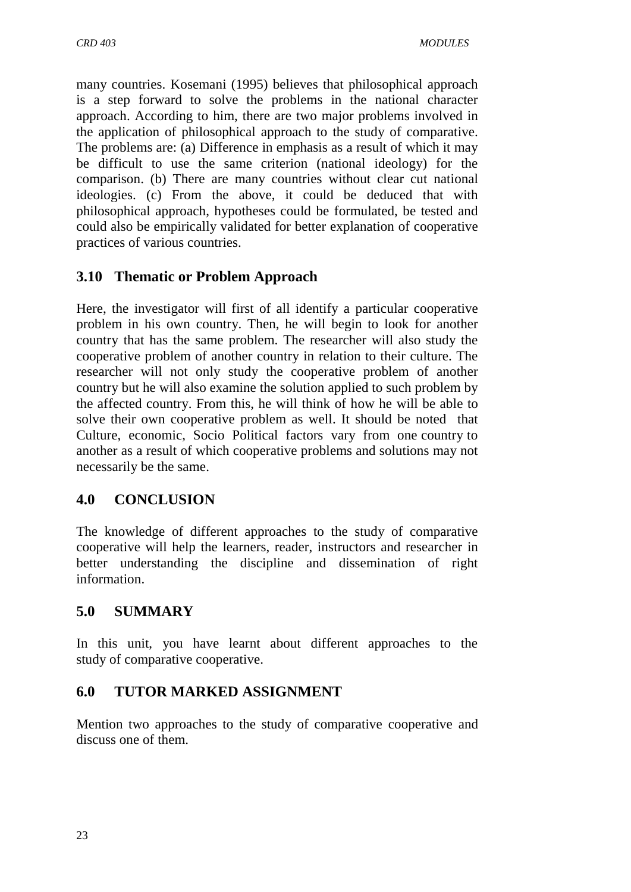many countries. Kosemani (1995) believes that philosophical approach is a step forward to solve the problems in the national character approach. According to him, there are two major problems involved in the application of philosophical approach to the study of comparative. The problems are: (a) Difference in emphasis as a result of which it may be difficult to use the same criterion (national ideology) for the comparison. (b) There are many countries without clear cut national ideologies. (c) From the above, it could be deduced that with philosophical approach, hypotheses could be formulated, be tested and could also be empirically validated for better explanation of cooperative practices of various countries.

## **3.10 Thematic or Problem Approach**

Here, the investigator will first of all identify a particular cooperative problem in his own country. Then, he will begin to look for another country that has the same problem. The researcher will also study the cooperative problem of another country in relation to their culture. The researcher will not only study the cooperative problem of another country but he will also examine the solution applied to such problem by the affected country. From this, he will think of how he will be able to solve their own cooperative problem as well. It should be noted that Culture, economic, Socio Political factors vary from one country to another as a result of which cooperative problems and solutions may not necessarily be the same.

## **4.0 CONCLUSION**

The knowledge of different approaches to the study of comparative cooperative will help the learners, reader, instructors and researcher in better understanding the discipline and dissemination of right information.

## **5.0 SUMMARY**

In this unit, you have learnt about different approaches to the study of comparative cooperative.

## **6.0 TUTOR MARKED ASSIGNMENT**

Mention two approaches to the study of comparative cooperative and discuss one of them.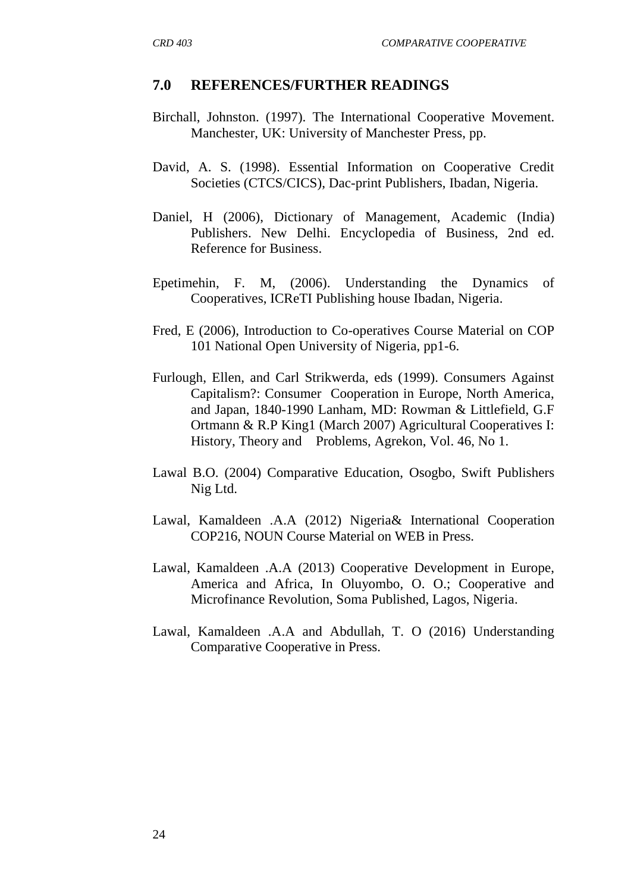#### **7.0 REFERENCES/FURTHER READINGS**

- Birchall, Johnston. (1997). The International Cooperative Movement. Manchester, UK: University of Manchester Press, pp.
- David, A. S. (1998). Essential Information on Cooperative Credit Societies (CTCS/CICS), Dac-print Publishers, Ibadan, Nigeria.
- Daniel, H (2006), Dictionary of Management, Academic (India) Publishers. New Delhi. Encyclopedia of Business, 2nd ed. Reference for Business.
- Epetimehin, F. M, (2006). Understanding the Dynamics of Cooperatives, ICReTI Publishing house Ibadan, Nigeria.
- Fred, E (2006), Introduction to Co-operatives Course Material on COP 101 National Open University of Nigeria, pp1-6.
- Furlough, Ellen, and Carl Strikwerda, eds (1999). Consumers Against Capitalism?: Consumer Cooperation in Europe, North America, and Japan, 1840-1990 Lanham, MD: Rowman & Littlefield, G.F Ortmann & R.P King1 (March 2007) Agricultural Cooperatives I: History, Theory and Problems, Agrekon, Vol. 46, No 1.
- Lawal B.O. (2004) Comparative Education, Osogbo, Swift Publishers Nig Ltd.
- Lawal, Kamaldeen .A.A (2012) Nigeria& International Cooperation COP216, NOUN Course Material on WEB in Press.
- Lawal, Kamaldeen .A.A (2013) Cooperative Development in Europe, America and Africa, In Oluyombo, O. O.; Cooperative and Microfinance Revolution, Soma Published, Lagos, Nigeria.
- Lawal, Kamaldeen .A.A and Abdullah, T. O (2016) Understanding Comparative Cooperative in Press.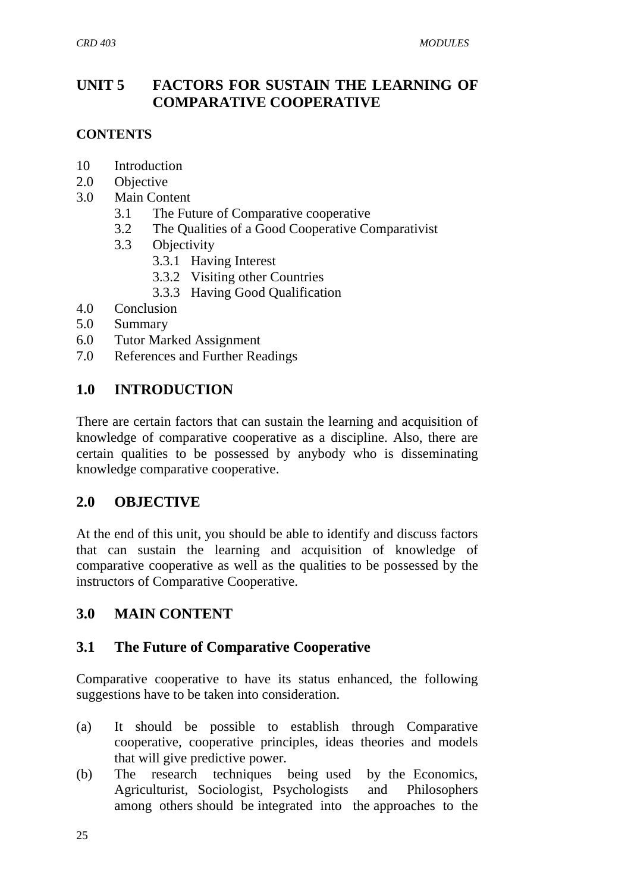## **UNIT 5 FACTORS FOR SUSTAIN THE LEARNING OF COMPARATIVE COOPERATIVE**

#### **CONTENTS**

- 10 Introduction
- 2.0 Objective
- 3.0 Main Content
	- 3.1 The Future of Comparative cooperative
	- 3.2 The Qualities of a Good Cooperative Comparativist
	- 3.3 Objectivity
		- 3.3.1 Having Interest
		- 3.3.2 Visiting other Countries
		- 3.3.3 Having Good Qualification
- 4.0 Conclusion
- 5.0 Summary
- 6.0 Tutor Marked Assignment
- 7.0 References and Further Readings

## **1.0 INTRODUCTION**

There are certain factors that can sustain the learning and acquisition of knowledge of comparative cooperative as a discipline. Also, there are certain qualities to be possessed by anybody who is disseminating knowledge comparative cooperative.

## **2.0 OBJECTIVE**

At the end of this unit, you should be able to identify and discuss factors that can sustain the learning and acquisition of knowledge of comparative cooperative as well as the qualities to be possessed by the instructors of Comparative Cooperative.

## **3.0 MAIN CONTENT**

## **3.1 The Future of Comparative Cooperative**

Comparative cooperative to have its status enhanced, the following suggestions have to be taken into consideration.

- (a) It should be possible to establish through Comparative cooperative, cooperative principles, ideas theories and models that will give predictive power.
- (b) The research techniques being used by the Economics, Agriculturist, Sociologist, Psychologists and Philosophers among others should be integrated into the approaches to the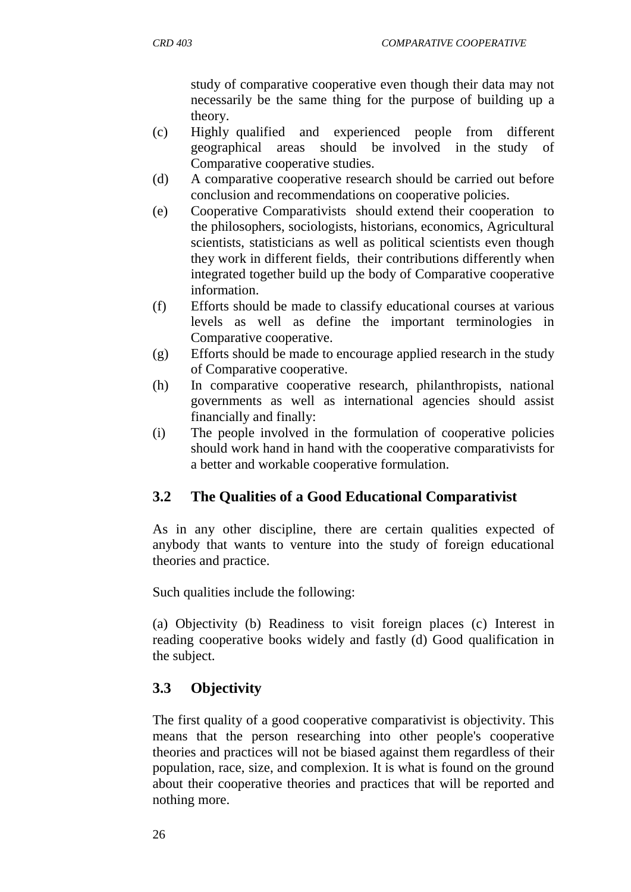study of comparative cooperative even though their data may not necessarily be the same thing for the purpose of building up a theory.

- (c) Highly qualified and experienced people from different geographical areas should be involved in the study of Comparative cooperative studies.
- (d) A comparative cooperative research should be carried out before conclusion and recommendations on cooperative policies.
- (e) Cooperative Comparativists should extend their cooperation to the philosophers, sociologists, historians, economics, Agricultural scientists, statisticians as well as political scientists even though they work in different fields, their contributions differently when integrated together build up the body of Comparative cooperative information.
- (f) Efforts should be made to classify educational courses at various levels as well as define the important terminologies in Comparative cooperative.
- (g) Efforts should be made to encourage applied research in the study of Comparative cooperative.
- (h) In comparative cooperative research, philanthropists, national governments as well as international agencies should assist financially and finally:
- (i) The people involved in the formulation of cooperative policies should work hand in hand with the cooperative comparativists for a better and workable cooperative formulation.

# **3.2 The Qualities of a Good Educational Comparativist**

As in any other discipline, there are certain qualities expected of anybody that wants to venture into the study of foreign educational theories and practice.

Such qualities include the following:

(a) Objectivity (b) Readiness to visit foreign places (c) Interest in reading cooperative books widely and fastly (d) Good qualification in the subject.

# **3.3 Objectivity**

The first quality of a good cooperative comparativist is objectivity. This means that the person researching into other people's cooperative theories and practices will not be biased against them regardless of their population, race, size, and complexion. It is what is found on the ground about their cooperative theories and practices that will be reported and nothing more.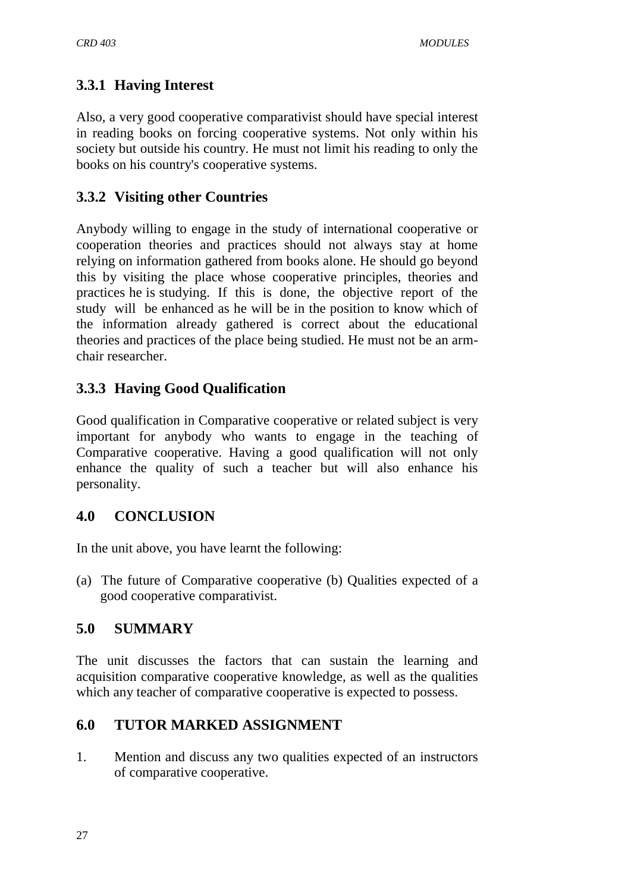# **3.3.1 Having Interest**

Also, a very good cooperative comparativist should have special interest in reading books on forcing cooperative systems. Not only within his society but outside his country. He must not limit his reading to only the books on his country's cooperative systems.

## **3.3.2 Visiting other Countries**

Anybody willing to engage in the study of international cooperative or cooperation theories and practices should not always stay at home relying on information gathered from books alone. He should go beyond this by visiting the place whose cooperative principles, theories and practices he is studying. If this is done, the objective report of the study will be enhanced as he will be in the position to know which of the information already gathered is correct about the educational theories and practices of the place being studied. He must not be an armchair researcher.

# **3.3.3 Having Good Qualification**

Good qualification in Comparative cooperative or related subject is very important for anybody who wants to engage in the teaching of Comparative cooperative. Having a good qualification will not only enhance the quality of such a teacher but will also enhance his personality.

## **4.0 CONCLUSION**

In the unit above, you have learnt the following:

(a) The future of Comparative cooperative (b) Qualities expected of a good cooperative comparativist.

## **5.0 SUMMARY**

The unit discusses the factors that can sustain the learning and acquisition comparative cooperative knowledge, as well as the qualities which any teacher of comparative cooperative is expected to possess.

## **6.0 TUTOR MARKED ASSIGNMENT**

1. Mention and discuss any two qualities expected of an instructors of comparative cooperative.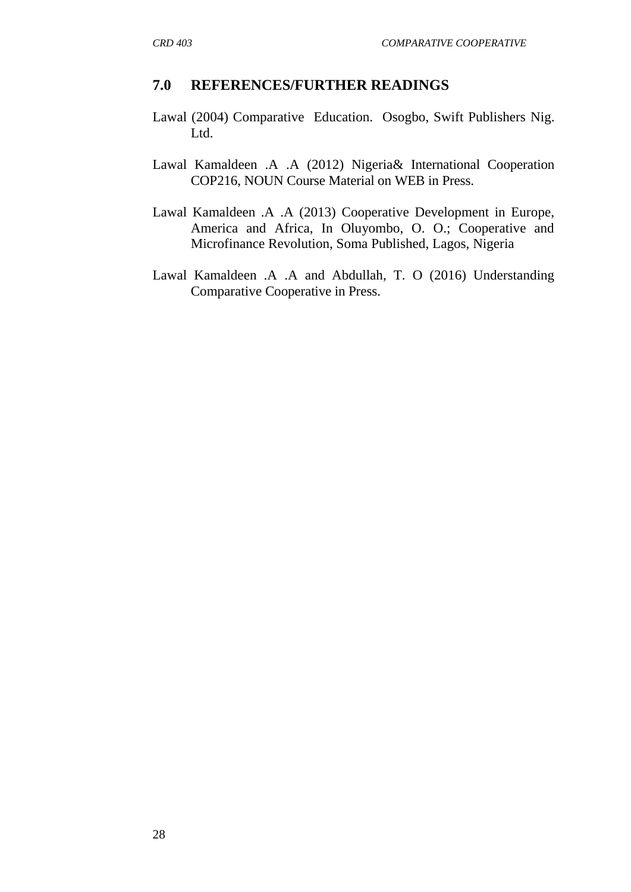#### **7.0 REFERENCES/FURTHER READINGS**

- Lawal (2004) Comparative Education. Osogbo, Swift Publishers Nig. Ltd.
- Lawal Kamaldeen .A .A (2012) Nigeria& International Cooperation COP216, NOUN Course Material on WEB in Press.
- Lawal Kamaldeen .A .A (2013) Cooperative Development in Europe, America and Africa, In Oluyombo, O. O.; Cooperative and Microfinance Revolution, Soma Published, Lagos, Nigeria
- Lawal Kamaldeen .A .A and Abdullah, T. O (2016) Understanding Comparative Cooperative in Press.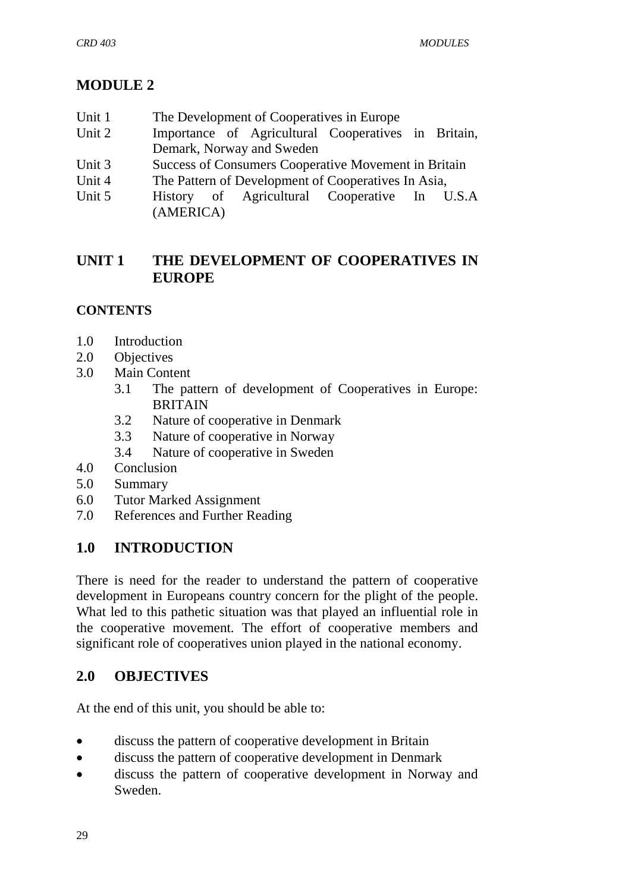# **MODULE 2**

- Unit 1 The Development of Cooperatives in Europe
- Unit 2 Importance of Agricultural Cooperatives in Britain, Demark, Norway and Sweden
- Unit 3 Success of Consumers Cooperative Movement in Britain
- Unit 4 The Pattern of Development of Cooperatives In Asia,
- Unit 5 History of Agricultural Cooperative In U.S.A (AMERICA)

## **UNIT 1 THE DEVELOPMENT OF COOPERATIVES IN EUROPE**

## **CONTENTS**

- 1.0 Introduction
- 2.0 Objectives
- 3.0 Main Content
	- 3.1 The pattern of development of Cooperatives in Europe: **BRITAIN**
	- 3.2 Nature of cooperative in Denmark
	- 3.3 Nature of cooperative in Norway
	- 3.4 Nature of cooperative in Sweden
- 4.0 Conclusion
- 5.0 Summary
- 6.0 Tutor Marked Assignment
- 7.0 References and Further Reading

### **1.0 INTRODUCTION**

There is need for the reader to understand the pattern of cooperative development in Europeans country concern for the plight of the people. What led to this pathetic situation was that played an influential role in the cooperative movement. The effort of cooperative members and significant role of cooperatives union played in the national economy.

## **2.0 OBJECTIVES**

At the end of this unit, you should be able to:

- discuss the pattern of cooperative development in Britain
- discuss the pattern of cooperative development in Denmark
- discuss the pattern of cooperative development in Norway and Sweden.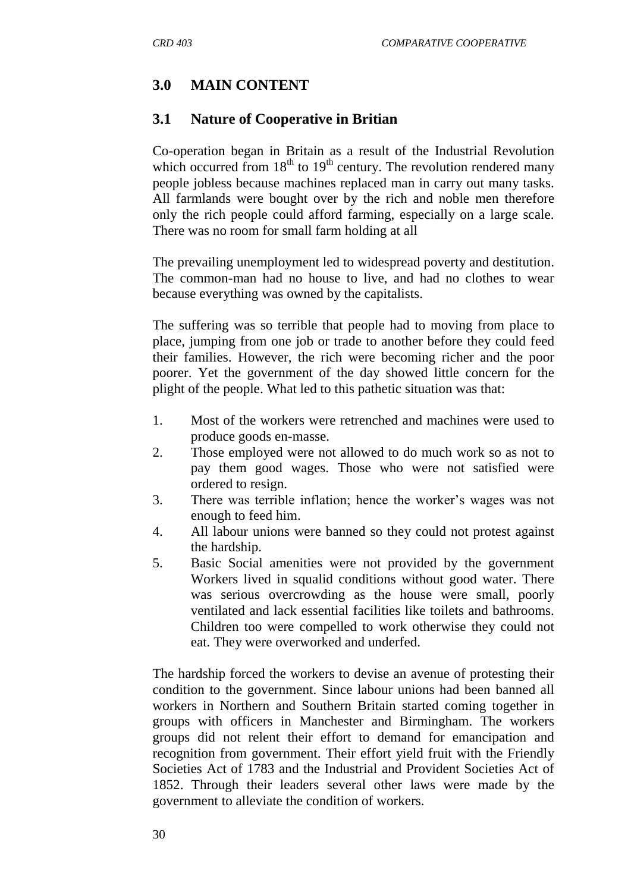# **3.0 MAIN CONTENT**

### **3.1 Nature of Cooperative in Britian**

Co-operation began in Britain as a result of the Industrial Revolution which occurred from  $18<sup>th</sup>$  to  $19<sup>th</sup>$  century. The revolution rendered many people jobless because machines replaced man in carry out many tasks. All farmlands were bought over by the rich and noble men therefore only the rich people could afford farming, especially on a large scale. There was no room for small farm holding at all

The prevailing unemployment led to widespread poverty and destitution. The common-man had no house to live, and had no clothes to wear because everything was owned by the capitalists.

The suffering was so terrible that people had to moving from place to place, jumping from one job or trade to another before they could feed their families. However, the rich were becoming richer and the poor poorer. Yet the government of the day showed little concern for the plight of the people. What led to this pathetic situation was that:

- 1. Most of the workers were retrenched and machines were used to produce goods en-masse.
- 2. Those employed were not allowed to do much work so as not to pay them good wages. Those who were not satisfied were ordered to resign.
- 3. There was terrible inflation; hence the worker"s wages was not enough to feed him.
- 4. All labour unions were banned so they could not protest against the hardship.
- 5. Basic Social amenities were not provided by the government Workers lived in squalid conditions without good water. There was serious overcrowding as the house were small, poorly ventilated and lack essential facilities like toilets and bathrooms. Children too were compelled to work otherwise they could not eat. They were overworked and underfed.

The hardship forced the workers to devise an avenue of protesting their condition to the government. Since labour unions had been banned all workers in Northern and Southern Britain started coming together in groups with officers in Manchester and Birmingham. The workers groups did not relent their effort to demand for emancipation and recognition from government. Their effort yield fruit with the Friendly Societies Act of 1783 and the Industrial and Provident Societies Act of 1852. Through their leaders several other laws were made by the government to alleviate the condition of workers.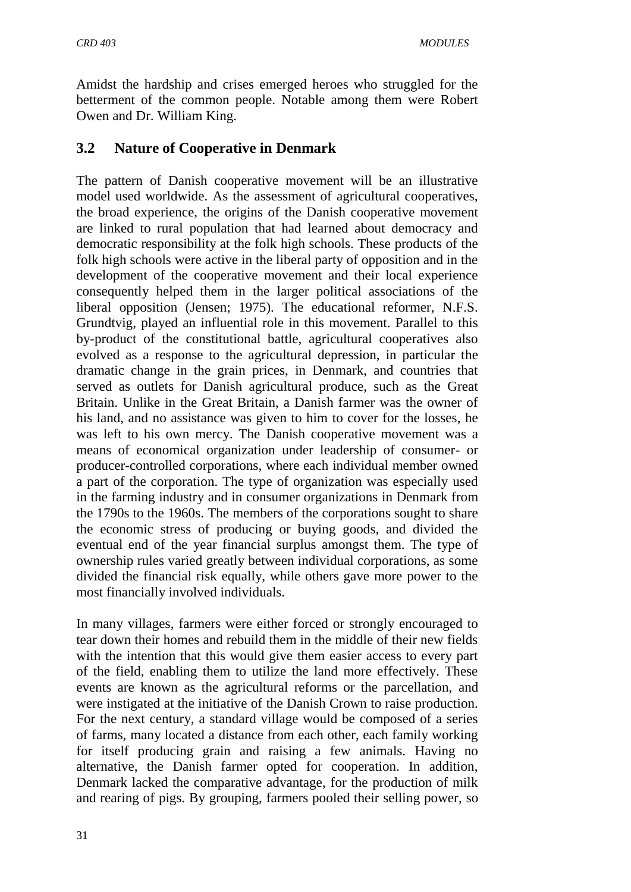Amidst the hardship and crises emerged heroes who struggled for the betterment of the common people. Notable among them were Robert Owen and Dr. William King.

### **3.2 Nature of Cooperative in Denmark**

The pattern of Danish cooperative movement will be an illustrative model used worldwide. As the assessment of agricultural cooperatives, the broad experience, the origins of the Danish cooperative movement are linked to rural population that had learned about democracy and democratic responsibility at the folk high schools. These products of the folk high schools were active in the liberal party of opposition and in the development of the cooperative movement and their local experience consequently helped them in the larger political associations of the liberal opposition (Jensen; 1975). The educational reformer, N.F.S. Grundtvig, played an influential role in this movement. Parallel to this by-product of the constitutional battle, agricultural cooperatives also evolved as a response to the agricultural depression, in particular the dramatic change in the grain prices, in Denmark, and countries that served as outlets for Danish agricultural produce, such as the Great Britain. Unlike in the Great Britain, a Danish farmer was the owner of his land, and no assistance was given to him to cover for the losses, he was left to his own mercy. The Danish [cooperative movement](http://en.wikipedia.org/wiki/Cooperative_movement) was a means of economical organization under leadership of consumer- or producer-controlled [corporations,](http://en.wikipedia.org/wiki/Corporation) where each individual member owned a part of the corporation. The type of organization was especially used in the [farming](http://en.wikipedia.org/wiki/Farming) industry and in [consumer organizations](http://en.wikipedia.org/wiki/Consumer_organization) in [Denmark](http://en.wikipedia.org/wiki/Denmark) from the 1790s to the 1960s. The members of the corporations sought to share the economic stress of producing or buying goods, and divided the eventual end of the year financial [surplus](http://en.wikipedia.org/wiki/Economic_surplus) amongst them. The type of ownership rules varied greatly between individual corporations, as some divided the financial risk equally, while others gave more power to the most financially involved individuals.

In many villages, farmers were either forced or strongly encouraged to tear down their homes and rebuild them in the middle of their new fields with the intention that this would give them easier access to every part of the field, enabling them to utilize the land more effectively. These events are known as the [agricultural reforms](http://en.wikipedia.org/wiki/Agricultural_reform) or the [parcellation,](http://en.wikipedia.org/wiki/Land_lot) and were instigated at the initiative of [the Danish Crown](http://en.wikipedia.org/wiki/Danish_Royal_Family) to raise production. For the next century, a standard village would be composed of a series of farms, many located a distance from each other, each family working for itself producing grain and raising a few animals. Having no alternative, the Danish farmer opted for cooperation. In addition, Denmark lacked the comparative advantage, for the production of milk and rearing of pigs. By grouping, farmers pooled their selling power, so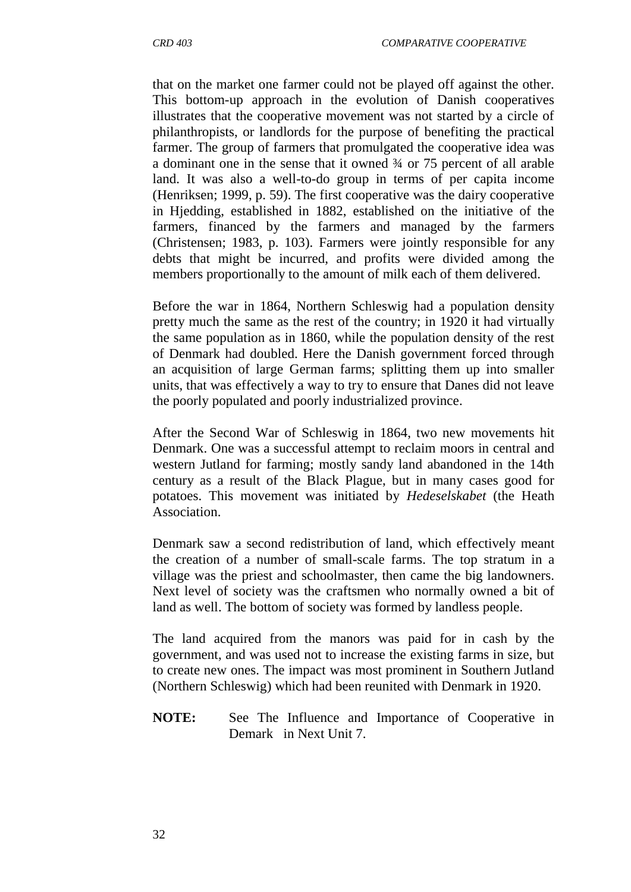that on the market one farmer could not be played off against the other. This bottom-up approach in the evolution of Danish cooperatives illustrates that the cooperative movement was not started by a circle of philanthropists, or landlords for the purpose of benefiting the practical farmer. The group of farmers that promulgated the cooperative idea was a dominant one in the sense that it owned ¾ or 75 percent of all arable land. It was also a well-to-do group in terms of per capita income (Henriksen; 1999, p. 59). The first cooperative was the dairy cooperative in Hjedding, established in 1882, established on the initiative of the farmers, financed by the farmers and managed by the farmers (Christensen; 1983, p. 103). Farmers were jointly responsible for any debts that might be incurred, and profits were divided among the members proportionally to the amount of milk each of them delivered.

Before the war in 1864, Northern Schleswig had a population density pretty much the same as the rest of the country; in 1920 it had virtually the same population as in 1860, while the population density of the rest of Denmark had doubled. Here the Danish government forced through an acquisition of large [German](http://en.wikipedia.org/wiki/Germany) farms; splitting them up into smaller units, that was effectively a way to try to ensure that Danes did not leave the poorly populated and poorly industrialized province.

After the [Second War of Schleswig](http://en.wikipedia.org/wiki/Second_War_of_Schleswig) in 1864, two new movements hit Denmark. One was a successful attempt to reclaim [moors](http://en.wikipedia.org/wiki/Moorland) in central and western [Jutland](http://en.wikipedia.org/wiki/Jutland) for farming; mostly sandy land abandoned in the 14th century as a result of the Black Plague, but in many cases good for [potatoes.](http://en.wikipedia.org/wiki/Potatoes) This movement was initiated by *Hedeselskabet* (the [Heath](http://en.wikipedia.org/w/index.php?title=Heath_Association&action=edit&redlink=1)  [Association.](http://en.wikipedia.org/w/index.php?title=Heath_Association&action=edit&redlink=1)

Denmark saw a second redistribution of land, which effectively meant the creation of a number of small-scale farms. The top stratum in a village was the [priest](http://en.wikipedia.org/wiki/Priest) and [schoolmaster,](http://en.wikipedia.org/wiki/Schoolmaster) then came the big landowners. Next level of society was the [craftsmen](http://en.wikipedia.org/wiki/Craftsmen) who normally owned a bit of land as well. The bottom of society was formed by landless people.

The land acquired from the manors was paid for in cash by the government, and was used not to increase the existing farms in size, but to create new ones. The impact was most prominent in Southern Jutland [\(Northern Schleswig\)](http://en.wikipedia.org/wiki/Northern_Schleswig) which had been reunited with Denmark in 1920.

**NOTE:** See The Influence and Importance of Cooperative in Demark in Next Unit 7.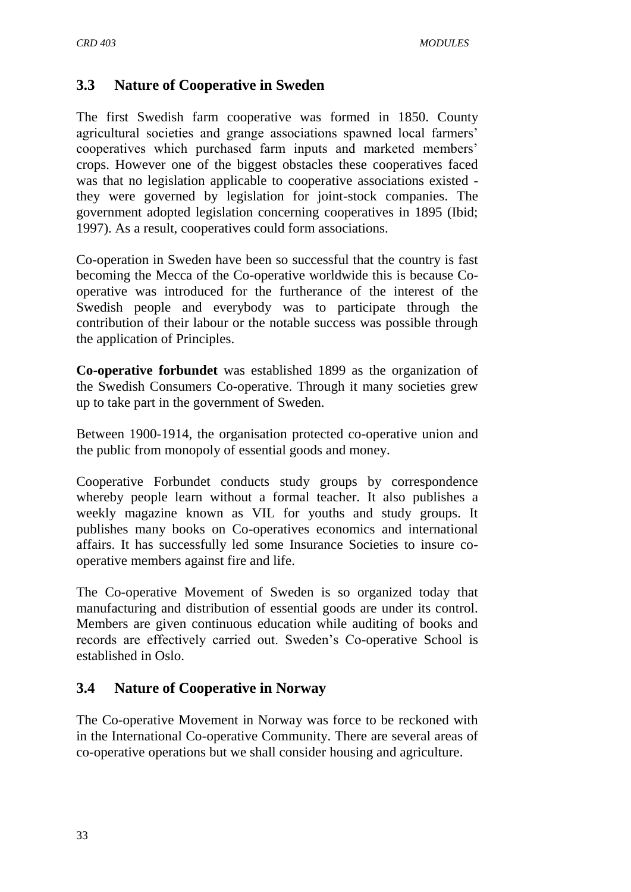### **3.3 Nature of Cooperative in Sweden**

The first Swedish farm cooperative was formed in 1850. County agricultural societies and grange associations spawned local farmers' cooperatives which purchased farm inputs and marketed members" crops. However one of the biggest obstacles these cooperatives faced was that no legislation applicable to cooperative associations existed they were governed by legislation for joint-stock companies. The government adopted legislation concerning cooperatives in 1895 (Ibid; 1997). As a result, cooperatives could form associations.

Co-operation in Sweden have been so successful that the country is fast becoming the Mecca of the Co-operative worldwide this is because Cooperative was introduced for the furtherance of the interest of the Swedish people and everybody was to participate through the contribution of their labour or the notable success was possible through the application of Principles.

**Co-operative forbundet** was established 1899 as the organization of the Swedish Consumers Co-operative. Through it many societies grew up to take part in the government of Sweden.

Between 1900-1914, the organisation protected co-operative union and the public from monopoly of essential goods and money.

Cooperative Forbundet conducts study groups by correspondence whereby people learn without a formal teacher. It also publishes a weekly magazine known as VIL for youths and study groups. It publishes many books on Co-operatives economics and international affairs. It has successfully led some Insurance Societies to insure cooperative members against fire and life.

The Co-operative Movement of Sweden is so organized today that manufacturing and distribution of essential goods are under its control. Members are given continuous education while auditing of books and records are effectively carried out. Sweden"s Co-operative School is established in Oslo.

### **3.4 Nature of Cooperative in Norway**

The Co-operative Movement in Norway was force to be reckoned with in the International Co-operative Community. There are several areas of co-operative operations but we shall consider housing and agriculture.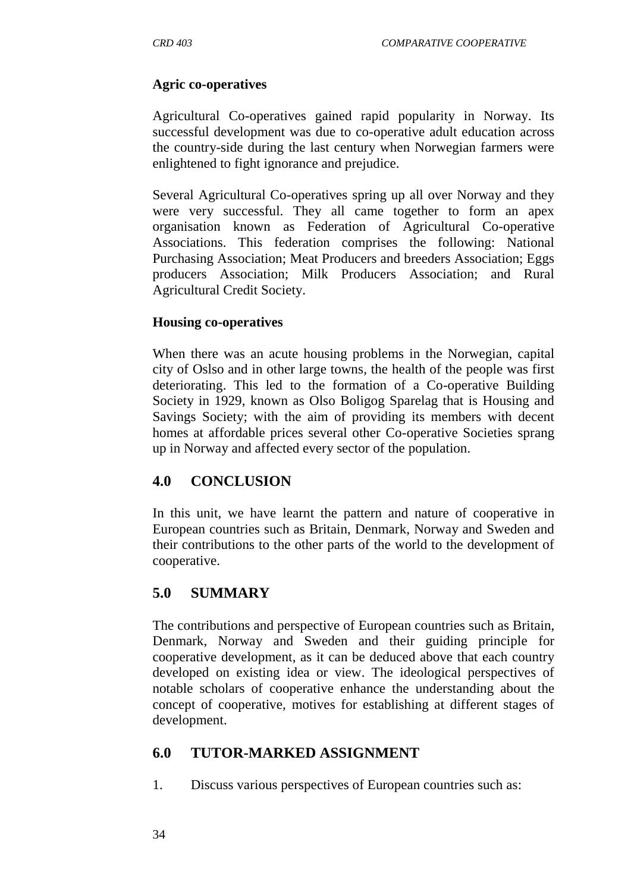#### **Agric co-operatives**

Agricultural Co-operatives gained rapid popularity in Norway. Its successful development was due to co-operative adult education across the country-side during the last century when Norwegian farmers were enlightened to fight ignorance and prejudice.

Several Agricultural Co-operatives spring up all over Norway and they were very successful. They all came together to form an apex organisation known as Federation of Agricultural Co-operative Associations. This federation comprises the following: National Purchasing Association; Meat Producers and breeders Association; Eggs producers Association; Milk Producers Association; and Rural Agricultural Credit Society.

#### **Housing co-operatives**

When there was an acute housing problems in the Norwegian, capital city of Oslso and in other large towns, the health of the people was first deteriorating. This led to the formation of a Co-operative Building Society in 1929, known as Olso Boligog Sparelag that is Housing and Savings Society; with the aim of providing its members with decent homes at affordable prices several other Co-operative Societies sprang up in Norway and affected every sector of the population.

### **4.0 CONCLUSION**

In this unit, we have learnt the pattern and nature of cooperative in European countries such as Britain, Denmark, Norway and Sweden and their contributions to the other parts of the world to the development of cooperative.

### **5.0 SUMMARY**

The contributions and perspective of European countries such as Britain, Denmark, Norway and Sweden and their guiding principle for cooperative development, as it can be deduced above that each country developed on existing idea or view. The ideological perspectives of notable scholars of cooperative enhance the understanding about the concept of cooperative, motives for establishing at different stages of development.

#### **6.0 TUTOR-MARKED ASSIGNMENT**

1. Discuss various perspectives of European countries such as: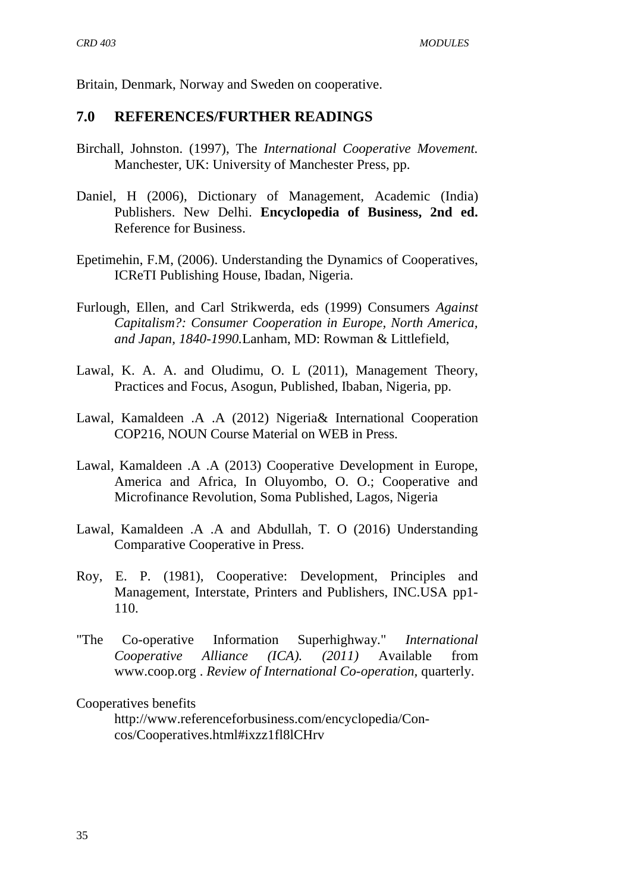Britain, Denmark, Norway and Sweden on cooperative.

#### **7.0 REFERENCES/FURTHER READINGS**

- Birchall, Johnston. (1997), The *International Cooperative Movement.*  Manchester, UK: University of Manchester Press, pp.
- Daniel, H (2006), Dictionary of Management, Academic (India) Publishers. New Delhi. **Encyclopedia of Business, 2nd ed.**  [Reference for Business.](http://www.referenceforbusiness.com/index.html)
- Epetimehin, F.M, (2006). Understanding the Dynamics of Cooperatives, ICReTI Publishing House, Ibadan, Nigeria.
- Furlough, Ellen, and Carl Strikwerda, eds (1999) Consumers *Against Capitalism?: Consumer Cooperation in Europe, North America, and Japan, 1840-1990.*Lanham, MD: Rowman & Littlefield,
- Lawal, K. A. A. and Oludimu, O. L (2011), Management Theory, Practices and Focus, Asogun, Published, Ibaban, Nigeria, pp.
- Lawal, Kamaldeen .A .A (2012) Nigeria& International Cooperation COP216, NOUN Course Material on WEB in Press.
- Lawal, Kamaldeen .A .A (2013) Cooperative Development in Europe, America and Africa, In Oluyombo, O. O.; Cooperative and Microfinance Revolution, Soma Published, Lagos, Nigeria
- Lawal, Kamaldeen .A .A and Abdullah, T. O (2016) Understanding Comparative Cooperative in Press.
- Roy, E. P. (1981), Cooperative: Development, Principles and Management, Interstate, Printers and Publishers, INC.USA pp1- 110.
- "The Co-operative Information Superhighway." *International Cooperative Alliance (ICA). (2011)* Available from [www.coop.org .](http://www.coop.org/) *Review of International Co-operation,* quarterly.

#### [Cooperatives benefits](http://www.referenceforbusiness.com/encyclopedia/Con-Cos/Cooperatives.html#ixzz1fl8lCHrv)

[http://www.referenceforbusiness.com/encyclopedia/Con](http://www.referenceforbusiness.com/encyclopedia/Con-%20%20%20%20cos/Cooperatives.html#ixzz1fl8lCHrv)[cos/Cooperatives.html#ixzz1fl8lCHrv](http://www.referenceforbusiness.com/encyclopedia/Con-%20%20%20%20cos/Cooperatives.html#ixzz1fl8lCHrv)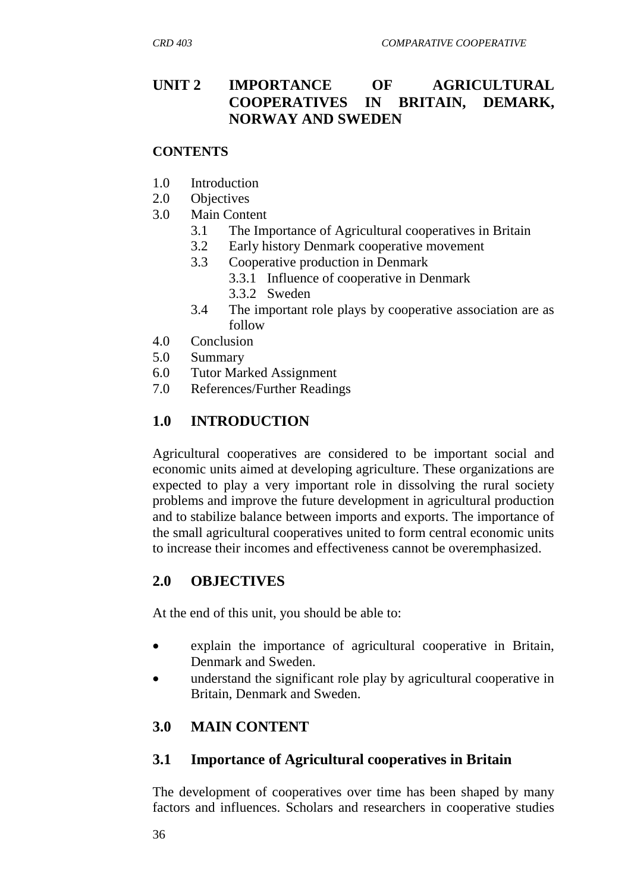## **UNIT 2 IMPORTANCE OF AGRICULTURAL COOPERATIVES IN BRITAIN, DEMARK, NORWAY AND SWEDEN**

#### **CONTENTS**

- 1.0 Introduction
- 2.0 Objectives
- 3.0 Main Content
	- 3.1 The Importance of Agricultural cooperatives in Britain
	- 3.2 Early history Denmark cooperative movement
	- 3.3 Cooperative production in Denmark
		- 3.3.1 Influence of cooperative in Denmark
		- 3.3.2 Sweden
	- 3.4 The important role plays by cooperative association are as follow
- 4.0 Conclusion
- 5.0 Summary
- 6.0 Tutor Marked Assignment
- 7.0 References/Further Readings

## **1.0 INTRODUCTION**

Agricultural cooperatives are considered to be important social and economic units aimed at developing agriculture. These organizations are expected to play a very important role in dissolving the rural society problems and improve the future development in agricultural production and to stabilize balance between imports and exports. The importance of the small agricultural cooperatives united to form central economic units to increase their incomes and effectiveness cannot be overemphasized.

## **2.0 OBJECTIVES**

At the end of this unit, you should be able to:

- explain the importance of agricultural cooperative in Britain, Denmark and Sweden.
- understand the significant role play by agricultural cooperative in Britain, Denmark and Sweden.

## **3.0 MAIN CONTENT**

### **3.1 Importance of Agricultural cooperatives in Britain**

The development of cooperatives over time has been shaped by many factors and influences. Scholars and researchers in cooperative studies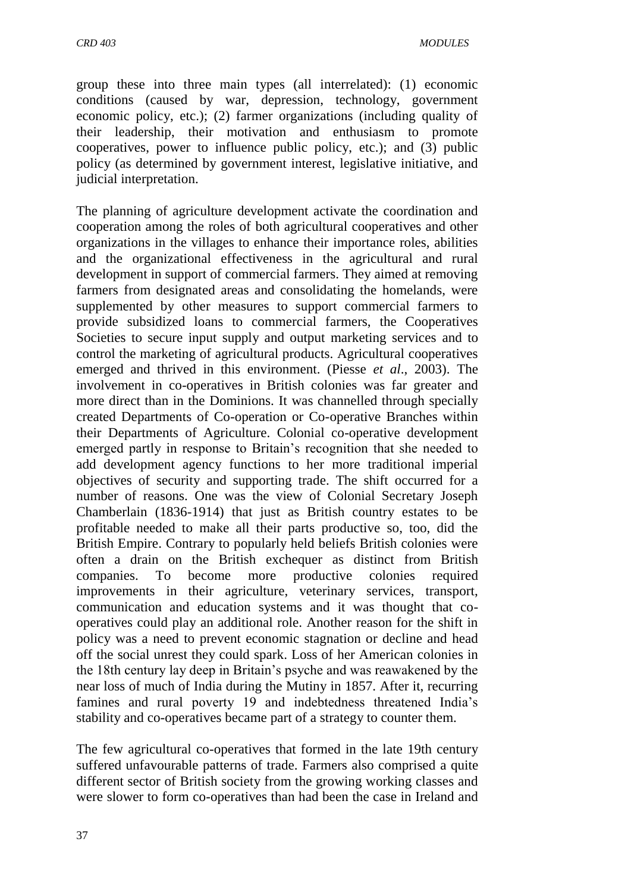group these into three main types (all interrelated): (1) economic conditions (caused by war, depression, technology, government economic policy, etc.); (2) farmer organizations (including quality of their leadership, their motivation and enthusiasm to promote cooperatives, power to influence public policy, etc.); and (3) public policy (as determined by government interest, legislative initiative, and judicial interpretation.

The planning of agriculture development activate the coordination and cooperation among the roles of both agricultural cooperatives and other organizations in the villages to enhance their importance roles, abilities and the organizational effectiveness in the agricultural and rural development in support of commercial farmers. They aimed at removing farmers from designated areas and consolidating the homelands, were supplemented by other measures to support commercial farmers to provide subsidized loans to commercial farmers, the Cooperatives Societies to secure input supply and output marketing services and to control the marketing of agricultural products. Agricultural cooperatives emerged and thrived in this environment. (Piesse *et al*., 2003). The involvement in co-operatives in British colonies was far greater and more direct than in the Dominions. It was channelled through specially created Departments of Co-operation or Co-operative Branches within their Departments of Agriculture. Colonial co-operative development emerged partly in response to Britain"s recognition that she needed to add development agency functions to her more traditional imperial objectives of security and supporting trade. The shift occurred for a number of reasons. One was the view of Colonial Secretary Joseph Chamberlain (1836-1914) that just as British country estates to be profitable needed to make all their parts productive so, too, did the British Empire. Contrary to popularly held beliefs British colonies were often a drain on the British exchequer as distinct from British companies. To become more productive colonies required improvements in their agriculture, veterinary services, transport, communication and education systems and it was thought that cooperatives could play an additional role. Another reason for the shift in policy was a need to prevent economic stagnation or decline and head off the social unrest they could spark. Loss of her American colonies in the 18th century lay deep in Britain"s psyche and was reawakened by the near loss of much of India during the Mutiny in 1857. After it, recurring famines and rural poverty 19 and indebtedness threatened India"s stability and co-operatives became part of a strategy to counter them.

The few agricultural co-operatives that formed in the late 19th century suffered unfavourable patterns of trade. Farmers also comprised a quite different sector of British society from the growing working classes and were slower to form co-operatives than had been the case in Ireland and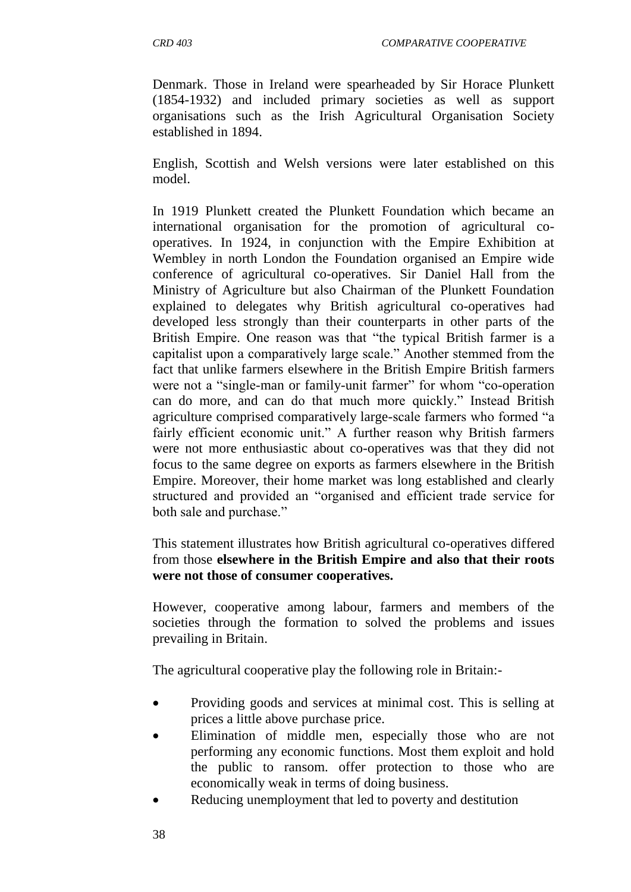Denmark. Those in Ireland were spearheaded by Sir Horace Plunkett (1854-1932) and included primary societies as well as support organisations such as the Irish Agricultural Organisation Society established in 1894.

English, Scottish and Welsh versions were later established on this model.

In 1919 Plunkett created the Plunkett Foundation which became an international organisation for the promotion of agricultural cooperatives. In 1924, in conjunction with the Empire Exhibition at Wembley in north London the Foundation organised an Empire wide conference of agricultural co-operatives. Sir Daniel Hall from the Ministry of Agriculture but also Chairman of the Plunkett Foundation explained to delegates why British agricultural co-operatives had developed less strongly than their counterparts in other parts of the British Empire. One reason was that "the typical British farmer is a capitalist upon a comparatively large scale." Another stemmed from the fact that unlike farmers elsewhere in the British Empire British farmers were not a "single-man or family-unit farmer" for whom "co-operation can do more, and can do that much more quickly." Instead British agriculture comprised comparatively large-scale farmers who formed "a fairly efficient economic unit." A further reason why British farmers were not more enthusiastic about co-operatives was that they did not focus to the same degree on exports as farmers elsewhere in the British Empire. Moreover, their home market was long established and clearly structured and provided an "organised and efficient trade service for both sale and purchase."

This statement illustrates how British agricultural co-operatives differed from those **elsewhere in the British Empire and also that their roots were not those of consumer cooperatives.**

However, cooperative among labour, farmers and members of the societies through the formation to solved the problems and issues prevailing in Britain.

The agricultural cooperative play the following role in Britain:-

- Providing goods and services at minimal cost. This is selling at prices a little above purchase price.
- Elimination of middle men, especially those who are not performing any economic functions. Most them exploit and hold the public to ransom. offer protection to those who are economically weak in terms of doing business.
- Reducing unemployment that led to poverty and destitution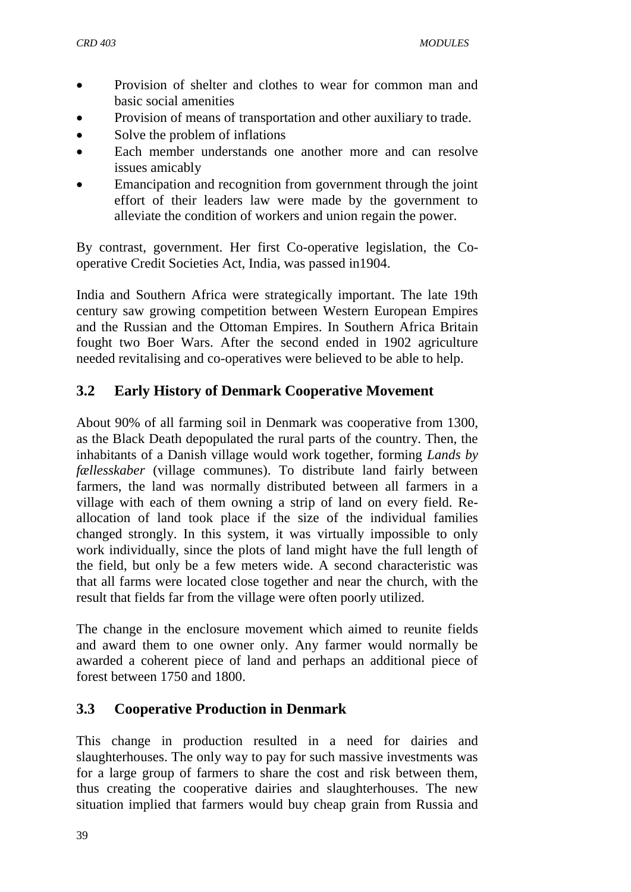- Provision of shelter and clothes to wear for common man and basic social amenities
- Provision of means of transportation and other auxiliary to trade.
- Solve the problem of inflations
- Each member understands one another more and can resolve issues amicably
- Emancipation and recognition from government through the joint effort of their leaders law were made by the government to alleviate the condition of workers and union regain the power.

By contrast, government. Her first Co-operative legislation, the Cooperative Credit Societies Act, India, was passed in1904.

India and Southern Africa were strategically important. The late 19th century saw growing competition between Western European Empires and the Russian and the Ottoman Empires. In Southern Africa Britain fought two Boer Wars. After the second ended in 1902 agriculture needed revitalising and co-operatives were believed to be able to help.

## **3.2 Early History of Denmark Cooperative Movement**

About 90% of all farming soil in Denmark was cooperative from 1300, as the [Black Death](http://en.wikipedia.org/wiki/Black_Death) depopulated the rural parts of the country. Then, the inhabitants of a Danish village would work together, forming *Lands by fællesskaber* (village [communes\)](http://en.wikipedia.org/wiki/Commune_(intentional_community)). To distribute land fairly between farmers, the land was normally distributed between all farmers in a village with each of them owning a strip of land on every field. Reallocation of land took place if the size of the individual families changed strongly. In this system, it was virtually impossible to only work individually, since the plots of land might have the full length of the field, but only be a few meters wide. A second characteristic was that all farms were located close together and near the church, with the result that fields far from the village were often poorly utilized.

The change in the [enclosure movement](http://en.wikipedia.org/wiki/Enclosure_movement) which aimed to reunite fields and award them to one owner only. Any farmer would normally be awarded a coherent piece of land and perhaps an additional piece of forest between 1750 and 1800.

### **3.3 Cooperative Production in Denmark**

This change in production resulted in a need for [dairies](http://en.wikipedia.org/wiki/Dairies) and [slaughterhouses.](http://en.wikipedia.org/wiki/Slaughterhouse) The only way to pay for such massive investments was for a large group of farmers to share the cost and risk between them, thus creating the cooperative dairies and slaughterhouses. The new situation implied that farmers would buy cheap grain from Russia and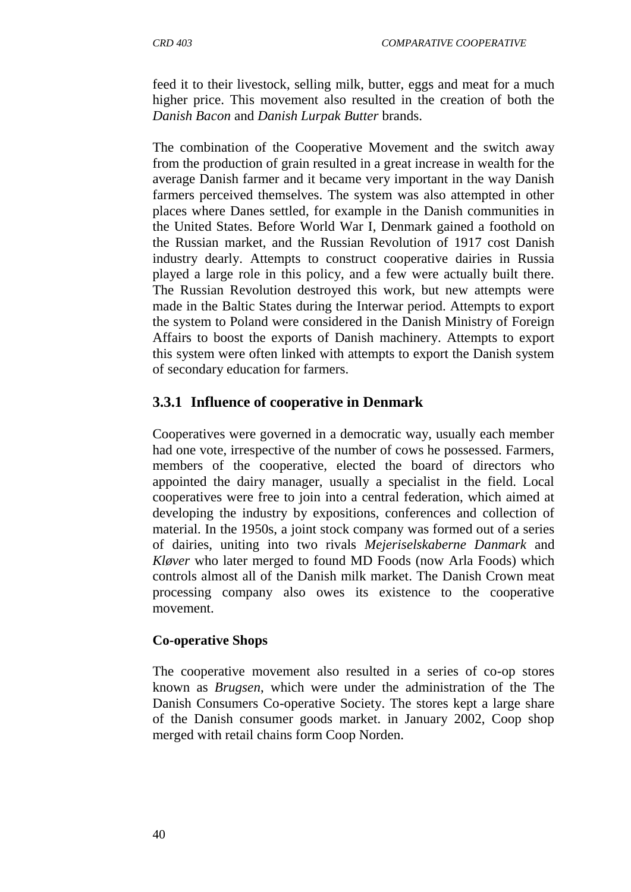feed it to their livestock, selling [milk,](http://en.wikipedia.org/wiki/Milk) [butter,](http://en.wikipedia.org/wiki/Butter) [eggs](http://en.wikipedia.org/wiki/Egg_(food)) and meat for a much higher price. This movement also resulted in the creation of both the *[Danish Bacon](http://en.wikipedia.org/wiki/Danish_Bacon)* and *Danish Lurpak Butter* brands.

The combination of the Cooperative Movement and the switch away from the production of grain resulted in a great increase in wealth for the average Danish farmer and it became very important in the way Danish farmers perceived themselves. The system was also attempted in other places where Danes settled, for example in the Danish communities in the [United States.](http://en.wikipedia.org/wiki/United_States) Before [World War I,](http://en.wikipedia.org/wiki/World_War_I) Denmark gained a foothold on the Russian market, and the [Russian Revolution of 1917](http://en.wikipedia.org/wiki/Russian_Revolution_of_1917) cost Danish industry dearly. Attempts to construct cooperative dairies in Russia played a large role in this policy, and a few were actually built there. The Russian Revolution destroyed this work, but new attempts were made in the [Baltic States](http://en.wikipedia.org/wiki/Baltic_States) during the [Interwar period.](http://en.wikipedia.org/wiki/Interwar_period) Attempts to export the system to Poland were considered in the [Danish Ministry of Foreign](http://en.wikipedia.org/wiki/Ministry_of_Foreign_Affairs_of_Denmark)  [Affairs](http://en.wikipedia.org/wiki/Ministry_of_Foreign_Affairs_of_Denmark) to boost the exports of Danish [machinery.](http://en.wikipedia.org/wiki/Machinery) Attempts to export this system were often linked with attempts to export the Danish system of secondary education for farmers.

### **3.3.1 Influence of cooperative in Denmark**

Cooperatives were governed in a democratic way, usually each member had one vote, irrespective of the number of cows he possessed. Farmers, members of the cooperative, elected the board of directors who appointed the dairy manager, usually a specialist in the field. Local cooperatives were free to join into a central federation, which aimed at developing the industry by expositions, conferences and collection of material. In the 1950s, a joint stock company was formed out of a series of dairies, uniting into two rivals *Mejeriselskaberne Danmark* and *Kløver* who later merged to found MD Foods (now [Arla Foods\)](http://en.wikipedia.org/wiki/Arla_Foods) which controls almost all of the Danish milk market. The [Danish Crown](http://en.wikipedia.org/wiki/Danish_Crown_AmbA) meat processing company also owes its existence to the cooperative movement.

#### **Co-operative Shops**

The cooperative movement also resulted in a series of co-op stores known as *[Brugsen](http://en.wikipedia.org/wiki/Brugsen)*, which were under the administration of the [The](http://en.wikipedia.org/wiki/The_Danish_Consumers_Co-operative_Society)  [Danish Consumers Co-operative Society.](http://en.wikipedia.org/wiki/The_Danish_Consumers_Co-operative_Society) The stores kept a large share of the Danish consumer goods market. in January 2002, Coop shop merged with [retail chains](http://en.wikipedia.org/wiki/Retail_chain) form [Coop Norden.](http://en.wikipedia.org/wiki/Coop_Norden)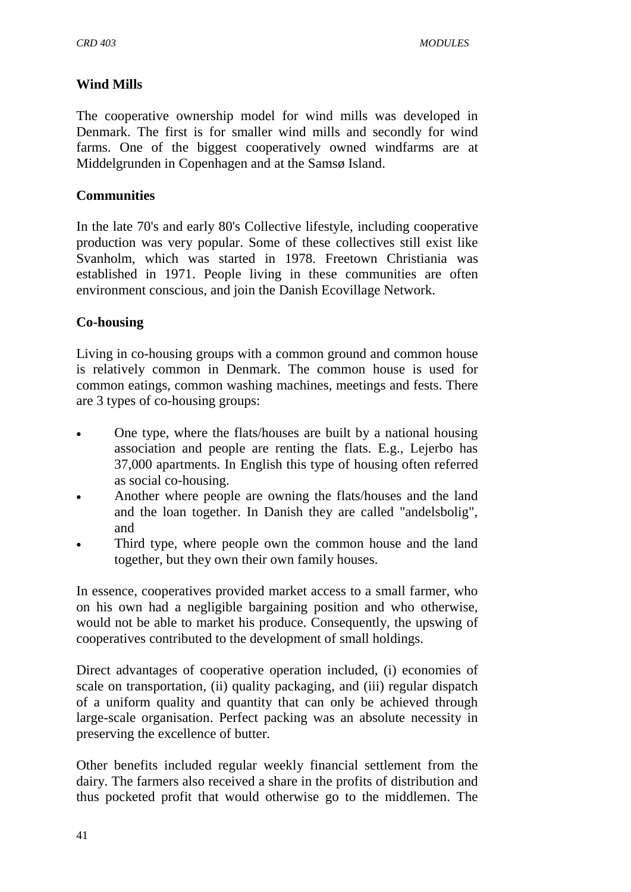#### **Wind Mills**

The cooperative ownership model for wind mills was developed in Denmark. The first is for smaller wind mills and secondly for wind farms. One of the biggest cooperatively owned windfarms are at Middelgrunden in Copenhagen and at the Samsø Island.

#### **Communities**

In the late 70's and early 80's [Collective](http://en.wikipedia.org/wiki/Collective) lifestyle, including [cooperative](http://en.wikipedia.org/wiki/Cooperative) production was very popular. Some of these collectives still exist like [Svanholm,](http://en.wikipedia.org/wiki/Svanholm) which was started in 1978. [Freetown Christiania](http://en.wikipedia.org/wiki/Freetown_Christiania) was established in 1971. People living in these communities are often environment conscious, and join the Danish Ecovillage Network.

#### **Co-housing**

Living in [co-housing](http://en.wikipedia.org/wiki/Co-housing) groups with a common ground and common house is relatively common in Denmark. The common house is used for common eatings, common washing machines, meetings and fests. There are 3 types of co-housing groups:

- One type, where the flats/houses are built by a national housing association and people are renting the flats. E.g., Lejerbo has 37,000 apartments. In English this type of housing often referred as social co-housing.
- Another where people are owning the flats/houses and the land and the loan together. In Danish they are called "andelsbolig", and
- Third type, where people own the common house and the land together, but they own their own family houses.

In essence, cooperatives provided market access to a small farmer, who on his own had a negligible bargaining position and who otherwise, would not be able to market his produce. Consequently, the upswing of cooperatives contributed to the development of small holdings.

Direct advantages of cooperative operation included, (i) economies of scale on transportation, (ii) quality packaging, and (iii) regular dispatch of a uniform quality and quantity that can only be achieved through large-scale organisation. Perfect packing was an absolute necessity in preserving the excellence of butter.

Other benefits included regular weekly financial settlement from the dairy. The farmers also received a share in the profits of distribution and thus pocketed profit that would otherwise go to the middlemen. The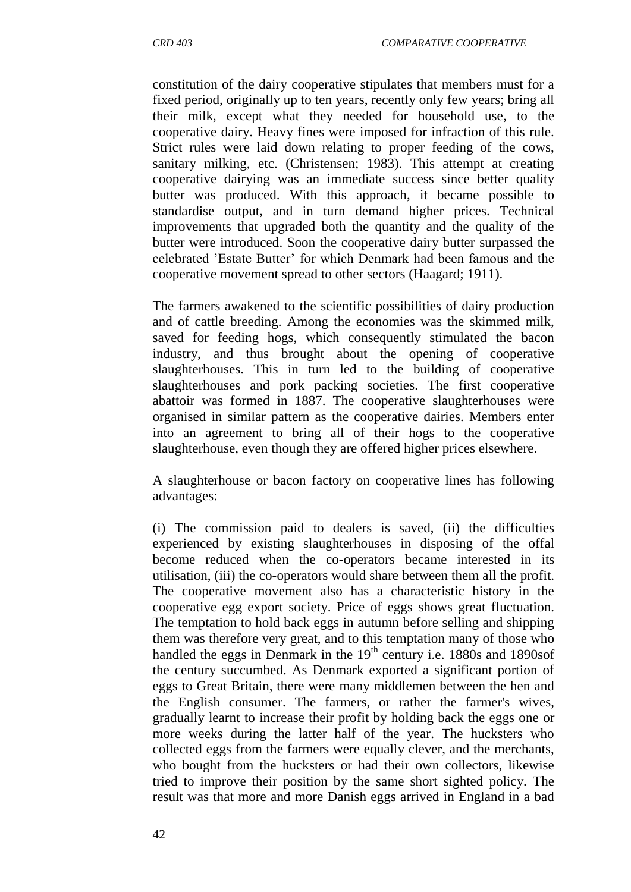constitution of the dairy cooperative stipulates that members must for a fixed period, originally up to ten years, recently only few years; bring all their milk, except what they needed for household use, to the cooperative dairy. Heavy fines were imposed for infraction of this rule. Strict rules were laid down relating to proper feeding of the cows, sanitary milking, etc. (Christensen; 1983). This attempt at creating cooperative dairying was an immediate success since better quality butter was produced. With this approach, it became possible to standardise output, and in turn demand higher prices. Technical improvements that upgraded both the quantity and the quality of the butter were introduced. Soon the cooperative dairy butter surpassed the celebrated "Estate Butter" for which Denmark had been famous and the cooperative movement spread to other sectors (Haagard; 1911).

The farmers awakened to the scientific possibilities of dairy production and of cattle breeding. Among the economies was the skimmed milk, saved for feeding hogs, which consequently stimulated the bacon industry, and thus brought about the opening of cooperative slaughterhouses. This in turn led to the building of cooperative slaughterhouses and pork packing societies. The first cooperative abattoir was formed in 1887. The cooperative slaughterhouses were organised in similar pattern as the cooperative dairies. Members enter into an agreement to bring all of their hogs to the cooperative slaughterhouse, even though they are offered higher prices elsewhere.

A slaughterhouse or bacon factory on cooperative lines has following advantages:

(i) The commission paid to dealers is saved, (ii) the difficulties experienced by existing slaughterhouses in disposing of the offal become reduced when the co-operators became interested in its utilisation, (iii) the co-operators would share between them all the profit. The cooperative movement also has a characteristic history in the cooperative egg export society. Price of eggs shows great fluctuation. The temptation to hold back eggs in autumn before selling and shipping them was therefore very great, and to this temptation many of those who handled the eggs in Denmark in the  $19<sup>th</sup>$  century i.e. 1880s and 1890s of the century succumbed. As Denmark exported a significant portion of eggs to Great Britain, there were many middlemen between the hen and the English consumer. The farmers, or rather the farmer's wives, gradually learnt to increase their profit by holding back the eggs one or more weeks during the latter half of the year. The hucksters who collected eggs from the farmers were equally clever, and the merchants, who bought from the hucksters or had their own collectors, likewise tried to improve their position by the same short sighted policy. The result was that more and more Danish eggs arrived in England in a bad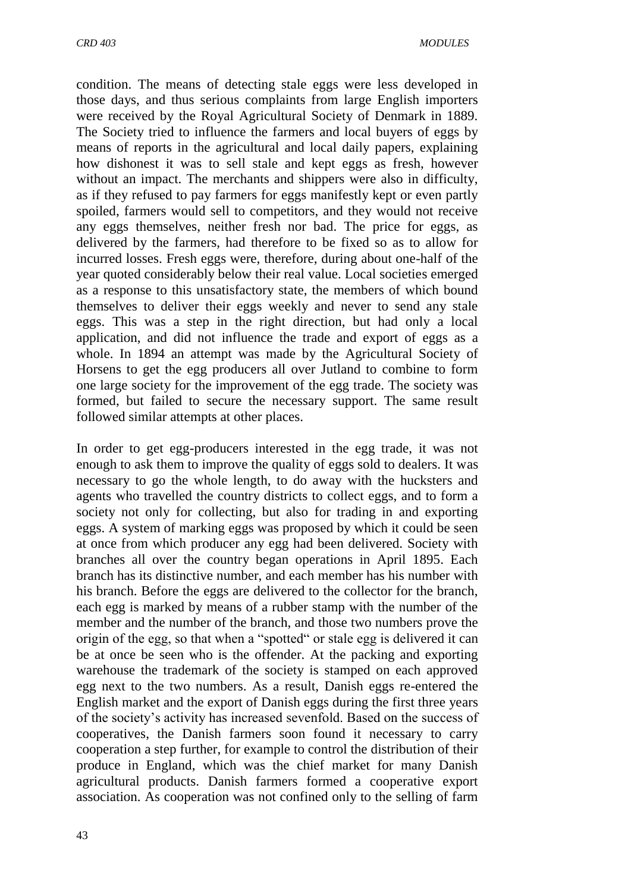condition. The means of detecting stale eggs were less developed in those days, and thus serious complaints from large English importers were received by the Royal Agricultural Society of Denmark in 1889. The Society tried to influence the farmers and local buyers of eggs by means of reports in the agricultural and local daily papers, explaining how dishonest it was to sell stale and kept eggs as fresh, however without an impact. The merchants and shippers were also in difficulty, as if they refused to pay farmers for eggs manifestly kept or even partly spoiled, farmers would sell to competitors, and they would not receive any eggs themselves, neither fresh nor bad. The price for eggs, as delivered by the farmers, had therefore to be fixed so as to allow for incurred losses. Fresh eggs were, therefore, during about one-half of the year quoted considerably below their real value. Local societies emerged as a response to this unsatisfactory state, the members of which bound themselves to deliver their eggs weekly and never to send any stale eggs. This was a step in the right direction, but had only a local application, and did not influence the trade and export of eggs as a whole. In 1894 an attempt was made by the Agricultural Society of Horsens to get the egg producers all over Jutland to combine to form one large society for the improvement of the egg trade. The society was formed, but failed to secure the necessary support. The same result followed similar attempts at other places.

In order to get egg-producers interested in the egg trade, it was not enough to ask them to improve the quality of eggs sold to dealers. It was necessary to go the whole length, to do away with the hucksters and agents who travelled the country districts to collect eggs, and to form a society not only for collecting, but also for trading in and exporting eggs. A system of marking eggs was proposed by which it could be seen at once from which producer any egg had been delivered. Society with branches all over the country began operations in April 1895. Each branch has its distinctive number, and each member has his number with his branch. Before the eggs are delivered to the collector for the branch, each egg is marked by means of a rubber stamp with the number of the member and the number of the branch, and those two numbers prove the origin of the egg, so that when a "spotted" or stale egg is delivered it can be at once be seen who is the offender. At the packing and exporting warehouse the trademark of the society is stamped on each approved egg next to the two numbers. As a result, Danish eggs re-entered the English market and the export of Danish eggs during the first three years of the society"s activity has increased sevenfold. Based on the success of cooperatives, the Danish farmers soon found it necessary to carry cooperation a step further, for example to control the distribution of their produce in England, which was the chief market for many Danish agricultural products. Danish farmers formed a cooperative export association. As cooperation was not confined only to the selling of farm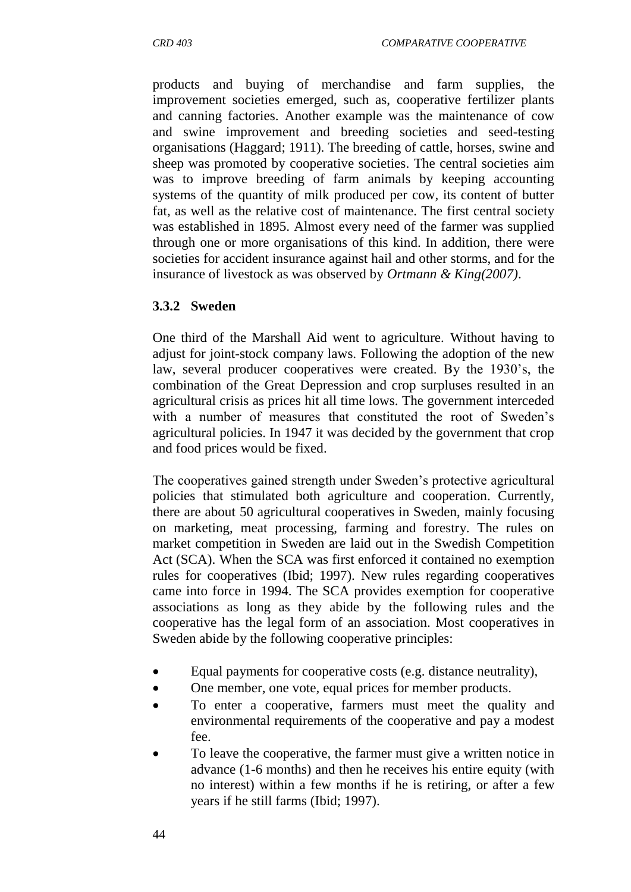products and buying of merchandise and farm supplies, the improvement societies emerged, such as, cooperative fertilizer plants and canning factories. Another example was the maintenance of cow and swine improvement and breeding societies and seed-testing organisations (Haggard; 1911). The breeding of cattle, horses, swine and sheep was promoted by cooperative societies. The central societies aim was to improve breeding of farm animals by keeping accounting systems of the quantity of milk produced per cow, its content of butter fat, as well as the relative cost of maintenance. The first central society was established in 1895. Almost every need of the farmer was supplied through one or more organisations of this kind. In addition, there were societies for accident insurance against hail and other storms, and for the insurance of livestock as was observed by *Ortmann & King(2007)*.

#### **3.3.2 Sweden**

One third of the Marshall Aid went to agriculture. Without having to adjust for joint-stock company laws. Following the adoption of the new law, several producer cooperatives were created. By the 1930"s, the combination of the Great Depression and crop surpluses resulted in an agricultural crisis as prices hit all time lows. The government interceded with a number of measures that constituted the root of Sweden"s agricultural policies. In 1947 it was decided by the government that crop and food prices would be fixed.

The cooperatives gained strength under Sweden"s protective agricultural policies that stimulated both agriculture and cooperation. Currently, there are about 50 agricultural cooperatives in Sweden, mainly focusing on marketing, meat processing, farming and forestry. The rules on market competition in Sweden are laid out in the Swedish Competition Act (SCA). When the SCA was first enforced it contained no exemption rules for cooperatives (Ibid; 1997). New rules regarding cooperatives came into force in 1994. The SCA provides exemption for cooperative associations as long as they abide by the following rules and the cooperative has the legal form of an association. Most cooperatives in Sweden abide by the following cooperative principles:

- Equal payments for cooperative costs (e.g. distance neutrality),
- One member, one vote, equal prices for member products.
- To enter a cooperative, farmers must meet the quality and environmental requirements of the cooperative and pay a modest fee.
- To leave the cooperative, the farmer must give a written notice in advance (1-6 months) and then he receives his entire equity (with no interest) within a few months if he is retiring, or after a few years if he still farms (Ibid; 1997).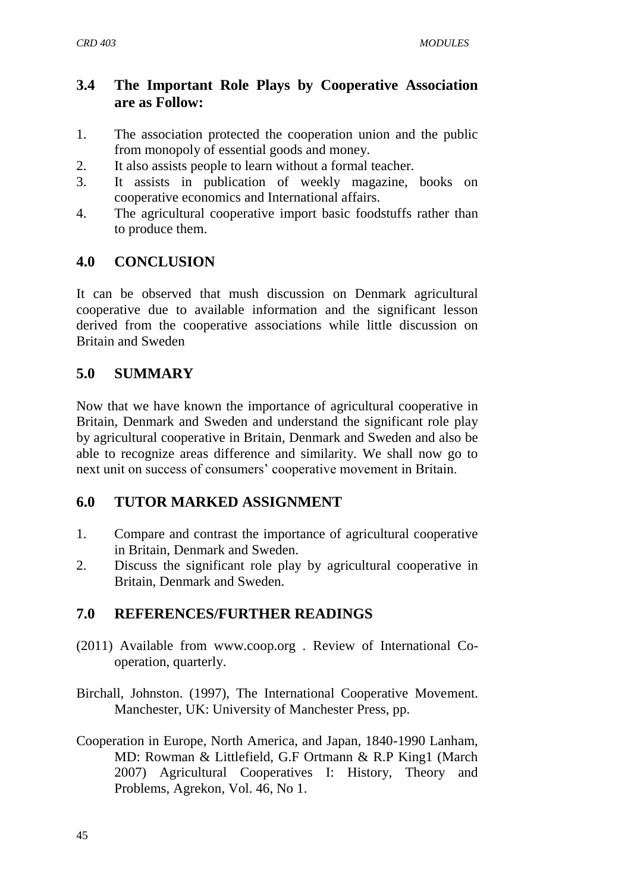## **3.4 The Important Role Plays by Cooperative Association are as Follow:**

- 1. The association protected the cooperation union and the public from monopoly of essential goods and money.
- 2. It also assists people to learn without a formal teacher.
- 3. It assists in publication of weekly magazine, books on cooperative economics and International affairs.
- 4. The agricultural cooperative import basic foodstuffs rather than to produce them.

## **4.0 CONCLUSION**

It can be observed that mush discussion on Denmark agricultural cooperative due to available information and the significant lesson derived from the cooperative associations while little discussion on Britain and Sweden

## **5.0 SUMMARY**

Now that we have known the importance of agricultural cooperative in Britain, Denmark and Sweden and understand the significant role play by agricultural cooperative in Britain, Denmark and Sweden and also be able to recognize areas difference and similarity. We shall now go to next unit on success of consumers' cooperative movement in Britain.

### **6.0 TUTOR MARKED ASSIGNMENT**

- 1. Compare and contrast the importance of agricultural cooperative in Britain, Denmark and Sweden.
- 2. Discuss the significant role play by agricultural cooperative in Britain, Denmark and Sweden.

## **7.0 REFERENCES/FURTHER READINGS**

- (2011) Available from [www.coop.org .](http://www.coop.org/) Review of International Cooperation, quarterly.
- Birchall, Johnston. (1997), The International Cooperative Movement. Manchester, UK: University of Manchester Press, pp.
- Cooperation in Europe, North America, and Japan, 1840-1990 Lanham, MD: Rowman & Littlefield, G.F Ortmann & R.P King1 (March 2007) Agricultural Cooperatives I: History, Theory and Problems, Agrekon, Vol. 46, No 1.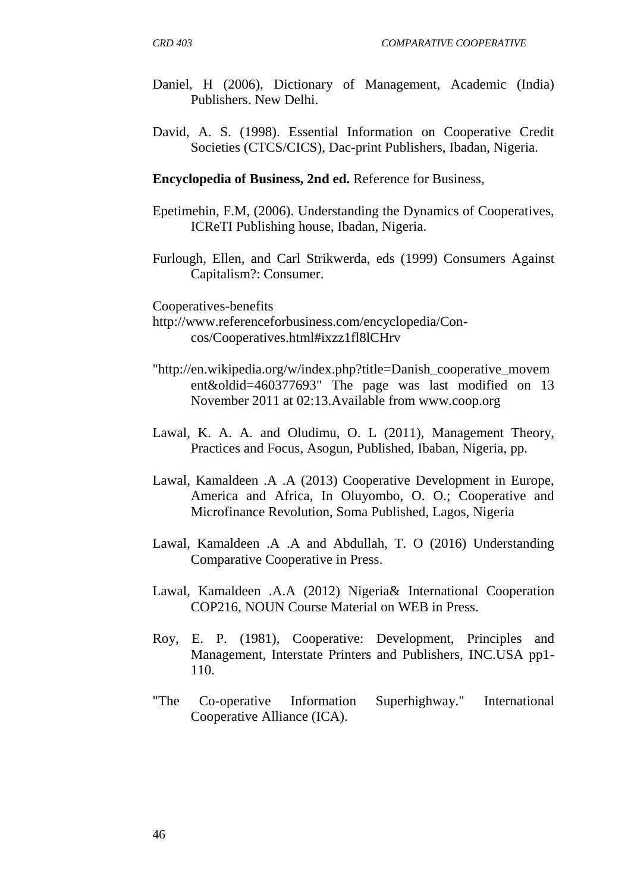- Daniel, H (2006), Dictionary of Management, Academic (India) Publishers. New Delhi.
- David, A. S. (1998). Essential Information on Cooperative Credit Societies (CTCS/CICS), Dac-print Publishers, Ibadan, Nigeria.

**Encyclopedia of Business, 2nd ed.** [Reference for Business,](http://www.referenceforbusiness.com/index.html)

- Epetimehin, F.M, (2006). Understanding the Dynamics of Cooperatives, ICReTI Publishing house, Ibadan, Nigeria.
- Furlough, Ellen, and Carl Strikwerda, eds (1999) Consumers Against Capitalism?: Consumer.

[Cooperatives-benefits](http://www.referenceforbusiness.com/encyclopedia/Con-Cos/Cooperatives.html#ixzz1fl8lCHrv)

- [http://www.referenceforbusiness.com/encyclopedia/Con](http://www.referenceforbusiness.com/encyclopedia/Con-cos/Cooperatives.html#ixzz1fl8lCHrv)[cos/Cooperatives.html#ixzz1fl8lCHrv](http://www.referenceforbusiness.com/encyclopedia/Con-cos/Cooperatives.html#ixzz1fl8lCHrv)
- ["http://en.wikipedia.org/w/index.php?title=Danish\\_cooperative\\_movem](http://en.wikipedia.org/w/index.php?title=Danish_cooperative_movement&oldid=460377693) [ent&oldid=460377693"](http://en.wikipedia.org/w/index.php?title=Danish_cooperative_movement&oldid=460377693) The page was last modified on 13 November 2011 at 02:13.Available from [www.coop.org](http://www.coop.org/)
- Lawal, K. A. A. and Oludimu, O. L (2011), Management Theory, Practices and Focus, Asogun, Published, Ibaban, Nigeria, pp.
- Lawal, Kamaldeen .A .A (2013) Cooperative Development in Europe, America and Africa, In Oluyombo, O. O.; Cooperative and Microfinance Revolution, Soma Published, Lagos, Nigeria
- Lawal, Kamaldeen .A .A and Abdullah, T. O (2016) Understanding Comparative Cooperative in Press.
- Lawal, Kamaldeen .A.A (2012) Nigeria& International Cooperation COP216, NOUN Course Material on WEB in Press.
- Roy, E. P. (1981), Cooperative: Development, Principles and Management, Interstate Printers and Publishers, INC.USA pp1- 110.
- "The Co-operative Information Superhighway." International Cooperative Alliance (ICA).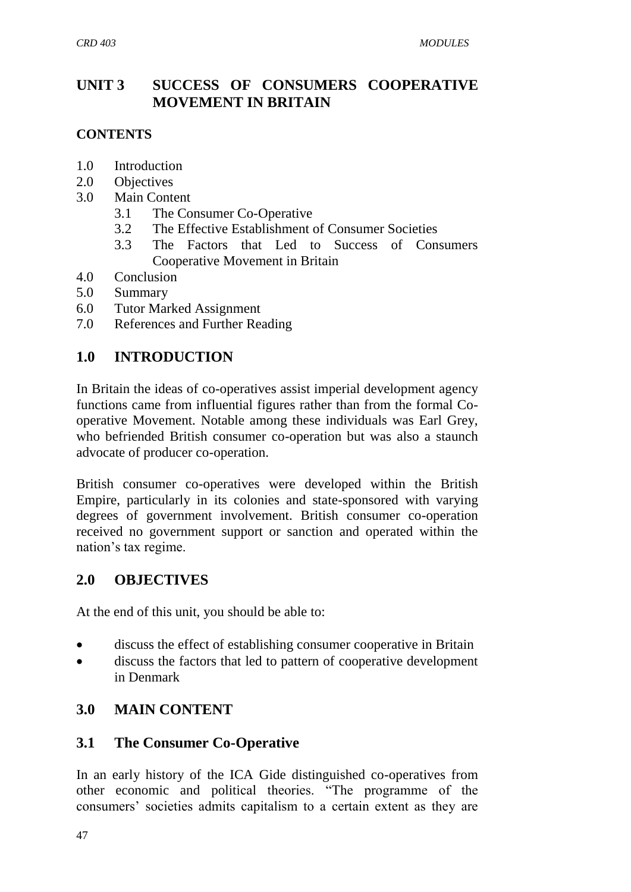## **UNIT 3 SUCCESS OF CONSUMERS COOPERATIVE MOVEMENT IN BRITAIN**

#### **CONTENTS**

- 1.0 Introduction
- 2.0 Objectives
- 3.0 Main Content
	- 3.1 The Consumer Co-Operative
	- 3.2 The Effective Establishment of Consumer Societies
	- 3.3 The Factors that Led to Success of Consumers Cooperative Movement in Britain
- 4.0 Conclusion
- 5.0 Summary
- 6.0 Tutor Marked Assignment
- 7.0 References and Further Reading

### **1.0 INTRODUCTION**

In Britain the ideas of co-operatives assist imperial development agency functions came from influential figures rather than from the formal Cooperative Movement. Notable among these individuals was Earl Grey, who befriended British consumer co-operation but was also a staunch advocate of producer co-operation.

British consumer co-operatives were developed within the British Empire, particularly in its colonies and state-sponsored with varying degrees of government involvement. British consumer co-operation received no government support or sanction and operated within the nation"s tax regime.

### **2.0 OBJECTIVES**

At the end of this unit, you should be able to:

- discuss the effect of establishing consumer cooperative in Britain
- discuss the factors that led to pattern of cooperative development in Denmark

### **3.0 MAIN CONTENT**

### **3.1 The Consumer Co-Operative**

In an early history of the ICA Gide distinguished co-operatives from other economic and political theories. "The programme of the consumers" societies admits capitalism to a certain extent as they are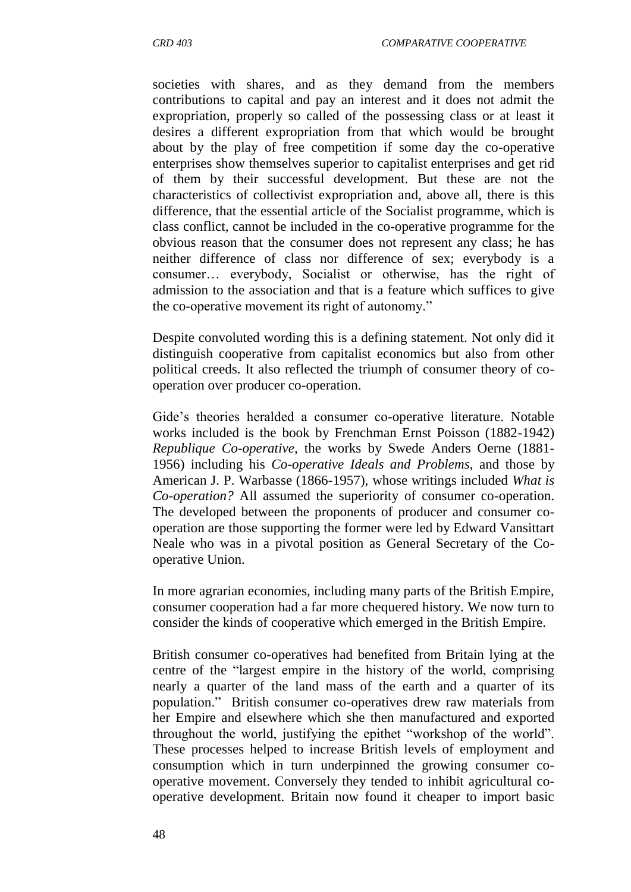societies with shares, and as they demand from the members contributions to capital and pay an interest and it does not admit the expropriation, properly so called of the possessing class or at least it desires a different expropriation from that which would be brought about by the play of free competition if some day the co-operative enterprises show themselves superior to capitalist enterprises and get rid of them by their successful development. But these are not the characteristics of collectivist expropriation and, above all, there is this difference, that the essential article of the Socialist programme, which is class conflict, cannot be included in the co-operative programme for the obvious reason that the consumer does not represent any class; he has neither difference of class nor difference of sex; everybody is a consumer… everybody, Socialist or otherwise, has the right of admission to the association and that is a feature which suffices to give the co-operative movement its right of autonomy."

Despite convoluted wording this is a defining statement. Not only did it distinguish cooperative from capitalist economics but also from other political creeds. It also reflected the triumph of consumer theory of cooperation over producer co-operation.

Gide"s theories heralded a consumer co-operative literature. Notable works included is the book by Frenchman Ernst Poisson (1882-1942) *Republique Co-operative,* the works by Swede Anders Oerne (1881- 1956) including his *Co-operative Ideals and Problems,* and those by American J. P. Warbasse (1866-1957), whose writings included *What is Co-operation?* All assumed the superiority of consumer co-operation. The developed between the proponents of producer and consumer cooperation are those supporting the former were led by Edward Vansittart Neale who was in a pivotal position as General Secretary of the Cooperative Union.

In more agrarian economies, including many parts of the British Empire, consumer cooperation had a far more chequered history. We now turn to consider the kinds of cooperative which emerged in the British Empire.

British consumer co-operatives had benefited from Britain lying at the centre of the "largest empire in the history of the world, comprising nearly a quarter of the land mass of the earth and a quarter of its population." British consumer co-operatives drew raw materials from her Empire and elsewhere which she then manufactured and exported throughout the world, justifying the epithet "workshop of the world". These processes helped to increase British levels of employment and consumption which in turn underpinned the growing consumer cooperative movement. Conversely they tended to inhibit agricultural cooperative development. Britain now found it cheaper to import basic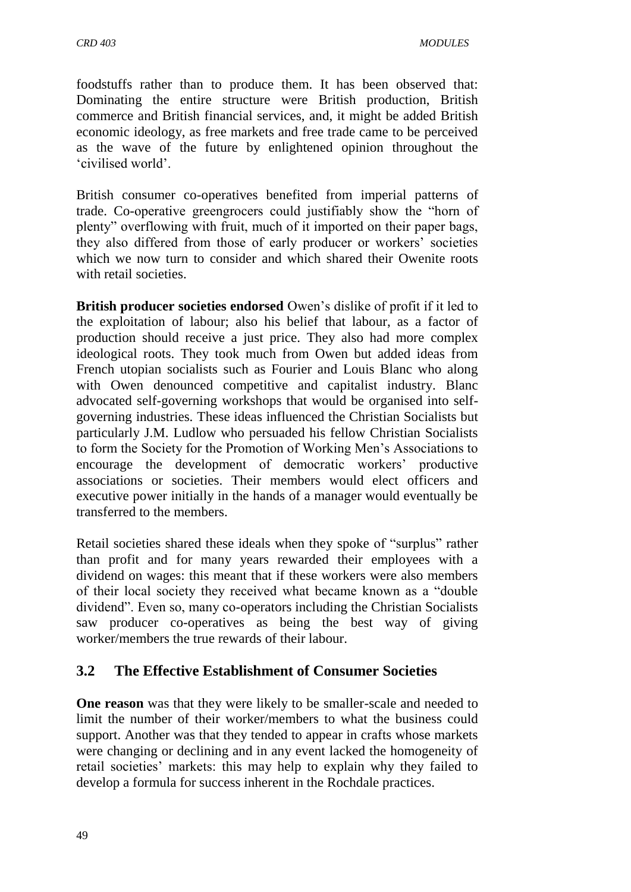foodstuffs rather than to produce them. It has been observed that: Dominating the entire structure were British production, British commerce and British financial services, and, it might be added British economic ideology, as free markets and free trade came to be perceived as the wave of the future by enlightened opinion throughout the "civilised world".

British consumer co-operatives benefited from imperial patterns of trade. Co-operative greengrocers could justifiably show the "horn of plenty" overflowing with fruit, much of it imported on their paper bags, they also differed from those of early producer or workers' societies which we now turn to consider and which shared their Owenite roots with retail societies.

**British producer societies endorsed** Owen"s dislike of profit if it led to the exploitation of labour; also his belief that labour, as a factor of production should receive a just price. They also had more complex ideological roots. They took much from Owen but added ideas from French utopian socialists such as Fourier and Louis Blanc who along with Owen denounced competitive and capitalist industry. Blanc advocated self-governing workshops that would be organised into selfgoverning industries. These ideas influenced the Christian Socialists but particularly J.M. Ludlow who persuaded his fellow Christian Socialists to form the Society for the Promotion of Working Men"s Associations to encourage the development of democratic workers" productive associations or societies. Their members would elect officers and executive power initially in the hands of a manager would eventually be transferred to the members.

Retail societies shared these ideals when they spoke of "surplus" rather than profit and for many years rewarded their employees with a dividend on wages: this meant that if these workers were also members of their local society they received what became known as a "double dividend". Even so, many co-operators including the Christian Socialists saw producer co-operatives as being the best way of giving worker/members the true rewards of their labour.

### **3.2 The Effective Establishment of Consumer Societies**

**One reason** was that they were likely to be smaller-scale and needed to limit the number of their worker/members to what the business could support. Another was that they tended to appear in crafts whose markets were changing or declining and in any event lacked the homogeneity of retail societies" markets: this may help to explain why they failed to develop a formula for success inherent in the Rochdale practices.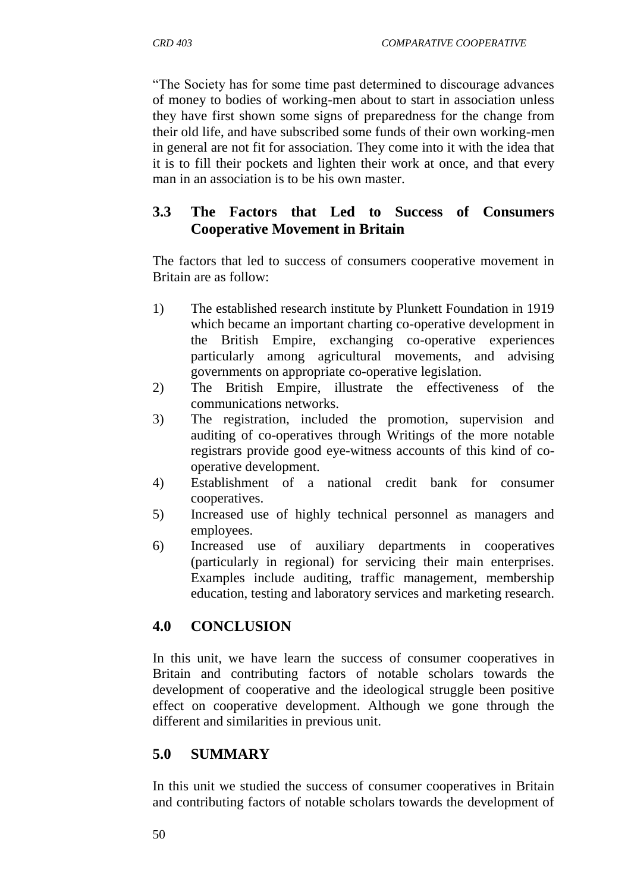"The Society has for some time past determined to discourage advances of money to bodies of working-men about to start in association unless they have first shown some signs of preparedness for the change from their old life, and have subscribed some funds of their own working-men in general are not fit for association. They come into it with the idea that it is to fill their pockets and lighten their work at once, and that every man in an association is to be his own master.

## **3.3 The Factors that Led to Success of Consumers Cooperative Movement in Britain**

The factors that led to success of consumers cooperative movement in Britain are as follow:

- 1) The established research institute by Plunkett Foundation in 1919 which became an important charting co-operative development in the British Empire, exchanging co-operative experiences particularly among agricultural movements, and advising governments on appropriate co-operative legislation.
- 2) The British Empire, illustrate the effectiveness of the communications networks.
- 3) The registration, included the promotion, supervision and auditing of co-operatives through Writings of the more notable registrars provide good eye-witness accounts of this kind of cooperative development.
- 4) Establishment of a national credit bank for consumer cooperatives.
- 5) Increased use of highly technical personnel as managers and employees.
- 6) Increased use of auxiliary departments in cooperatives (particularly in regional) for servicing their main enterprises. Examples include auditing, traffic management, membership education, testing and laboratory services and marketing research.

## **4.0 CONCLUSION**

In this unit, we have learn the success of consumer cooperatives in Britain and contributing factors of notable scholars towards the development of cooperative and the ideological struggle been positive effect on cooperative development. Although we gone through the different and similarities in previous unit.

# **5.0 SUMMARY**

In this unit we studied the success of consumer cooperatives in Britain and contributing factors of notable scholars towards the development of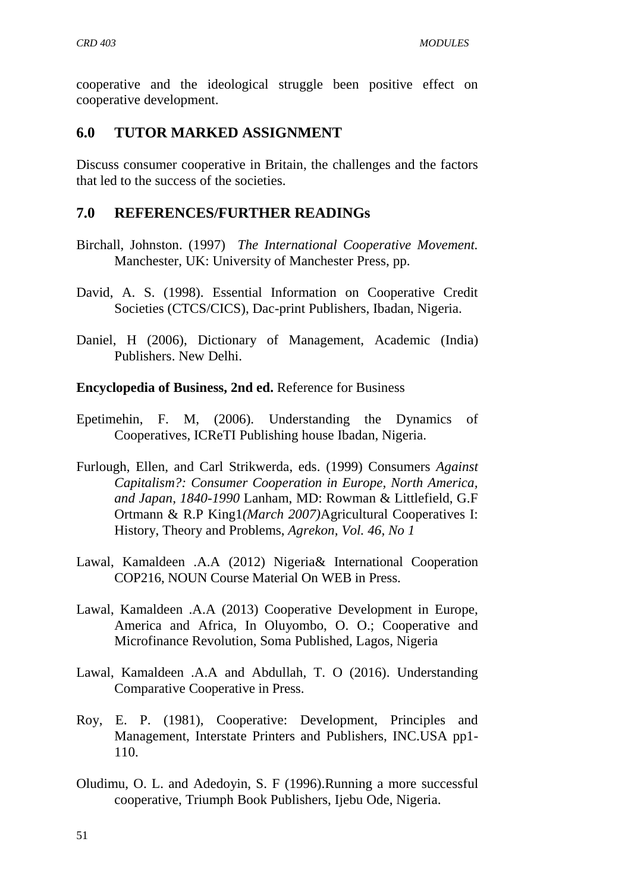cooperative and the ideological struggle been positive effect on cooperative development.

### **6.0 TUTOR MARKED ASSIGNMENT**

Discuss consumer cooperative in Britain, the challenges and the factors that led to the success of the societies.

### **7.0 REFERENCES/FURTHER READINGs**

- Birchall, Johnston. (1997) *The International Cooperative Movement.*  Manchester, UK: University of Manchester Press, pp.
- David, A. S. (1998). Essential Information on Cooperative Credit Societies (CTCS/CICS), Dac-print Publishers, Ibadan, Nigeria.
- Daniel, H (2006), Dictionary of Management, Academic (India) Publishers. New Delhi.

#### **Encyclopedia of Business, 2nd ed.** [Reference for Business](http://www.referenceforbusiness.com/index.html)

- Epetimehin, F. M, (2006). Understanding the Dynamics of Cooperatives, ICReTI Publishing house Ibadan, Nigeria.
- Furlough, Ellen, and Carl Strikwerda, eds. (1999) Consumers *Against Capitalism?: Consumer Cooperation in Europe, North America, and Japan, 1840-1990* Lanham, MD: Rowman & Littlefield, G.F Ortmann & R.P King1*(March 2007)*Agricultural Cooperatives I: History, Theory and Problems, *Agrekon, Vol. 46, No 1*
- Lawal, Kamaldeen .A.A (2012) Nigeria& International Cooperation COP216, NOUN Course Material On WEB in Press.
- Lawal, Kamaldeen .A.A (2013) Cooperative Development in Europe, America and Africa, In Oluyombo, O. O.; Cooperative and Microfinance Revolution, Soma Published, Lagos, Nigeria
- Lawal, Kamaldeen .A.A and Abdullah, T. O (2016). Understanding Comparative Cooperative in Press.
- Roy, E. P. (1981), Cooperative: Development, Principles and Management, Interstate Printers and Publishers, INC.USA pp1- 110.
- Oludimu, O. L. and Adedoyin, S. F (1996).Running a more successful cooperative, Triumph Book Publishers, Ijebu Ode, Nigeria.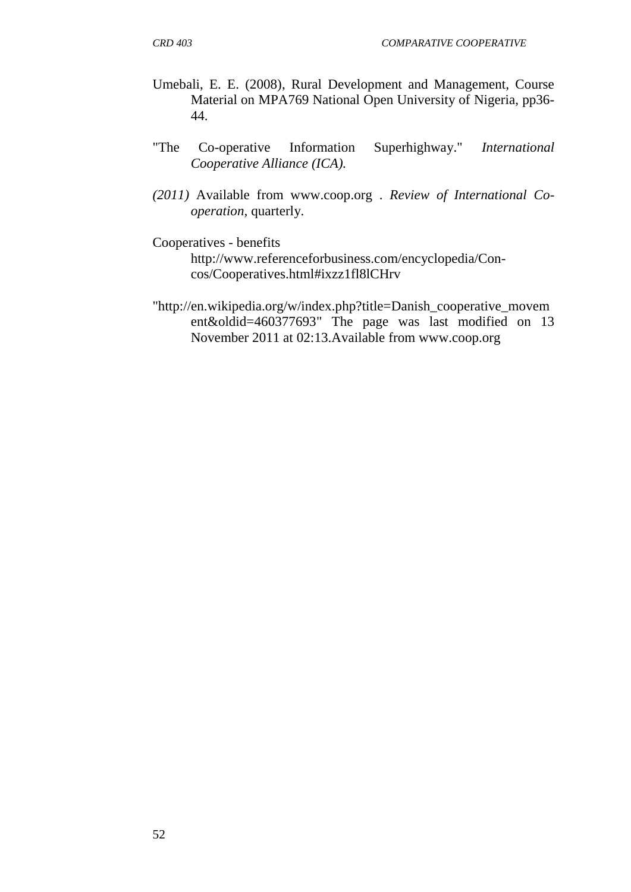- Umebali, E. E. (2008), Rural Development and Management, Course Material on MPA769 National Open University of Nigeria, pp36- 44.
- "The Co-operative Information Superhighway." *International Cooperative Alliance (ICA).*
- *(2011)* Available from [www.coop.org .](http://www.coop.org/) *Review of International Cooperation,* quarterly.
- [Cooperatives -](http://www.referenceforbusiness.com/encyclopedia/Con-Cos/Cooperatives.html#ixzz1fl8lCHrv) benefits

[http://www.referenceforbusiness.com/encyclopedia/Con](http://www.referenceforbusiness.com/encyclopedia/Con-%20%20%20%20cos/Cooperatives.html#ixzz1fl8lCHrv)[cos/Cooperatives.html#ixzz1fl8lCHrv](http://www.referenceforbusiness.com/encyclopedia/Con-%20%20%20%20cos/Cooperatives.html#ixzz1fl8lCHrv)

["http://en.wikipedia.org/w/index.php?title=Danish\\_cooperative\\_movem](http://en.wikipedia.org/w/index.php?title=Danish_cooperative_movement&oldid=460377693) [ent&oldid=460377693"](http://en.wikipedia.org/w/index.php?title=Danish_cooperative_movement&oldid=460377693) The page was last modified on 13 November 2011 at 02:13.Available from [www.coop.org](http://www.coop.org/)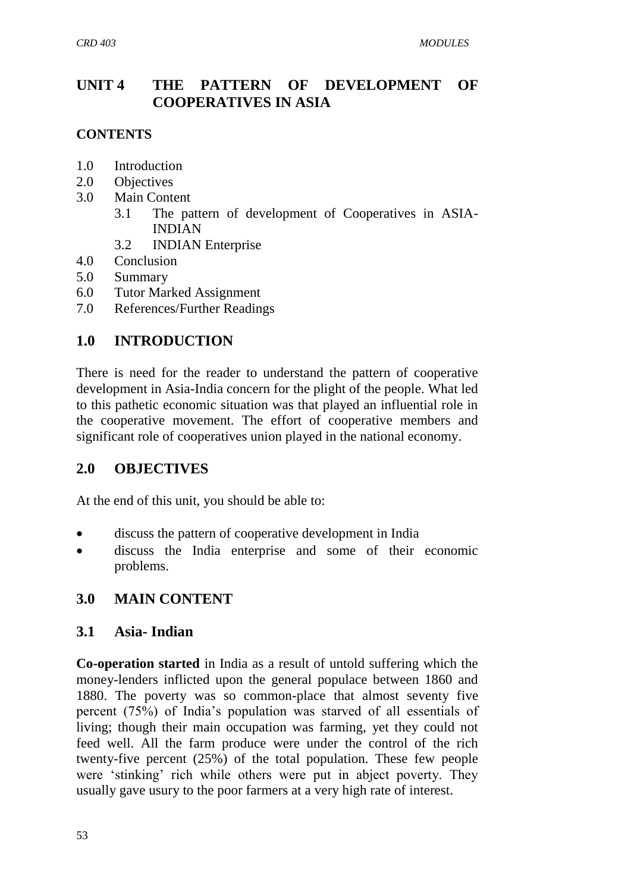## **UNIT 4 THE PATTERN OF DEVELOPMENT OF COOPERATIVES IN ASIA**

### **CONTENTS**

- 1.0 Introduction
- 2.0 Objectives
- 3.0 Main Content
	- 3.1 The pattern of development of Cooperatives in ASIA-INDIAN
	- 3.2 INDIAN Enterprise
- 4.0 Conclusion
- 5.0 Summary
- 6.0 Tutor Marked Assignment
- 7.0 References/Further Readings

# **1.0 INTRODUCTION**

There is need for the reader to understand the pattern of cooperative development in Asia-India concern for the plight of the people. What led to this pathetic economic situation was that played an influential role in the cooperative movement. The effort of cooperative members and significant role of cooperatives union played in the national economy.

## **2.0 OBJECTIVES**

At the end of this unit, you should be able to:

- discuss the pattern of cooperative development in India
- discuss the India enterprise and some of their economic problems.

## **3.0 MAIN CONTENT**

### **3.1 Asia- Indian**

**Co-operation started** in India as a result of untold suffering which the money-lenders inflicted upon the general populace between 1860 and 1880. The poverty was so common-place that almost seventy five percent (75%) of India"s population was starved of all essentials of living; though their main occupation was farming, yet they could not feed well. All the farm produce were under the control of the rich twenty-five percent (25%) of the total population. These few people were 'stinking' rich while others were put in abject poverty. They usually gave usury to the poor farmers at a very high rate of interest.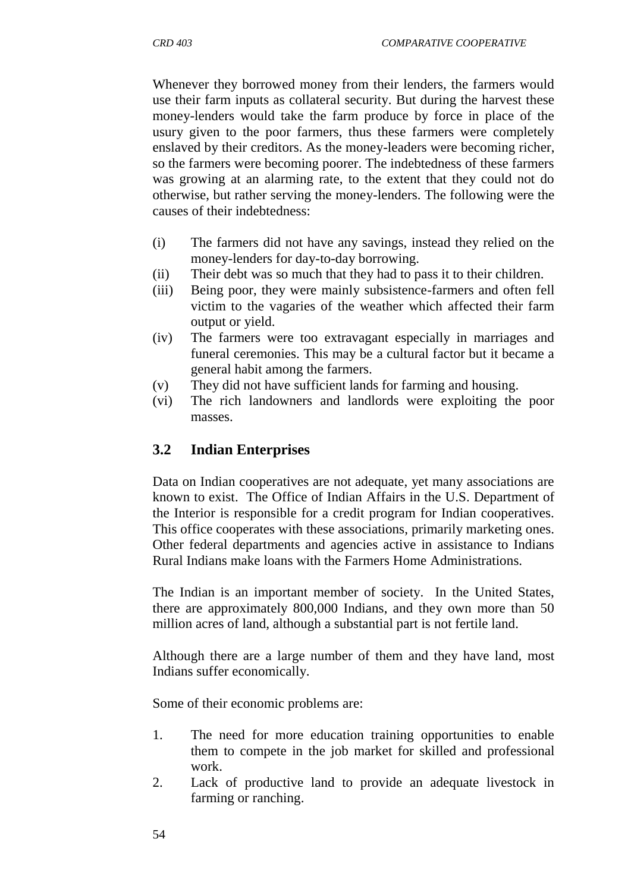Whenever they borrowed money from their lenders, the farmers would use their farm inputs as collateral security. But during the harvest these money-lenders would take the farm produce by force in place of the usury given to the poor farmers, thus these farmers were completely enslaved by their creditors. As the money-leaders were becoming richer, so the farmers were becoming poorer. The indebtedness of these farmers was growing at an alarming rate, to the extent that they could not do otherwise, but rather serving the money-lenders. The following were the causes of their indebtedness:

- (i) The farmers did not have any savings, instead they relied on the money-lenders for day-to-day borrowing.
- (ii) Their debt was so much that they had to pass it to their children.
- (iii) Being poor, they were mainly subsistence-farmers and often fell victim to the vagaries of the weather which affected their farm output or yield.
- (iv) The farmers were too extravagant especially in marriages and funeral ceremonies. This may be a cultural factor but it became a general habit among the farmers.
- (v) They did not have sufficient lands for farming and housing.
- (vi) The rich landowners and landlords were exploiting the poor masses.

## **3.2 Indian Enterprises**

Data on Indian cooperatives are not adequate, yet many associations are known to exist. The Office of Indian Affairs in the U.S. Department of the Interior is responsible for a credit program for Indian cooperatives. This office cooperates with these associations, primarily marketing ones. Other federal departments and agencies active in assistance to Indians Rural Indians make loans with the Farmers Home Administrations.

The Indian is an important member of society. In the United States, there are approximately 800,000 Indians, and they own more than 50 million acres of land, although a substantial part is not fertile land.

Although there are a large number of them and they have land, most Indians suffer economically.

Some of their economic problems are:

- 1. The need for more education training opportunities to enable them to compete in the job market for skilled and professional work.
- 2. Lack of productive land to provide an adequate livestock in farming or ranching.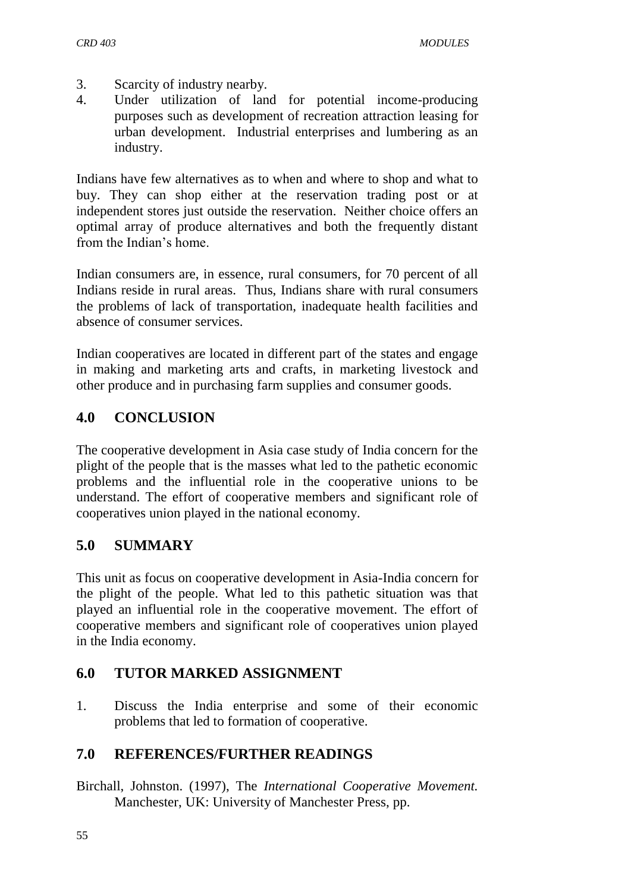- 3. Scarcity of industry nearby.
- 4. Under utilization of land for potential income-producing purposes such as development of recreation attraction leasing for urban development. Industrial enterprises and lumbering as an industry.

Indians have few alternatives as to when and where to shop and what to buy. They can shop either at the reservation trading post or at independent stores just outside the reservation. Neither choice offers an optimal array of produce alternatives and both the frequently distant from the Indian"s home.

Indian consumers are, in essence, rural consumers, for 70 percent of all Indians reside in rural areas. Thus, Indians share with rural consumers the problems of lack of transportation, inadequate health facilities and absence of consumer services.

Indian cooperatives are located in different part of the states and engage in making and marketing arts and crafts, in marketing livestock and other produce and in purchasing farm supplies and consumer goods.

## **4.0 CONCLUSION**

The cooperative development in Asia case study of India concern for the plight of the people that is the masses what led to the pathetic economic problems and the influential role in the cooperative unions to be understand. The effort of cooperative members and significant role of cooperatives union played in the national economy.

## **5.0 SUMMARY**

This unit as focus on cooperative development in Asia-India concern for the plight of the people. What led to this pathetic situation was that played an influential role in the cooperative movement. The effort of cooperative members and significant role of cooperatives union played in the India economy.

## **6.0 TUTOR MARKED ASSIGNMENT**

1. Discuss the India enterprise and some of their economic problems that led to formation of cooperative.

## **7.0 REFERENCES/FURTHER READINGS**

Birchall, Johnston. (1997), The *International Cooperative Movement.*  Manchester, UK: University of Manchester Press, pp.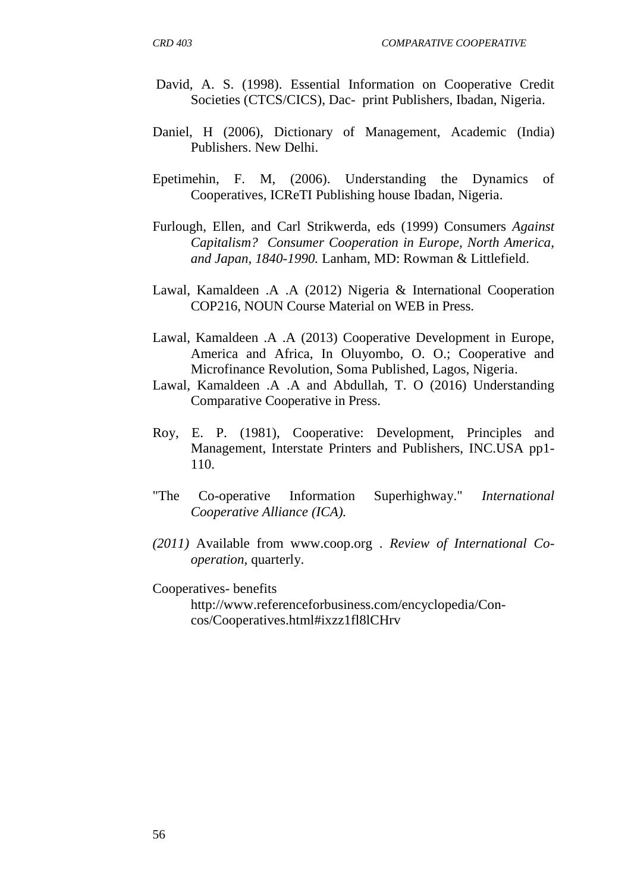- David, A. S. (1998). Essential Information on Cooperative Credit Societies (CTCS/CICS), Dac- print Publishers, Ibadan, Nigeria.
- Daniel, H (2006), Dictionary of Management, Academic (India) Publishers. New Delhi.
- Epetimehin, F. M, (2006). Understanding the Dynamics of Cooperatives, ICReTI Publishing house Ibadan, Nigeria.
- Furlough, Ellen, and Carl Strikwerda, eds (1999) Consumers *Against Capitalism? Consumer Cooperation in Europe, North America, and Japan, 1840-1990.* Lanham, MD: Rowman & Littlefield.
- Lawal, Kamaldeen .A .A (2012) Nigeria & International Cooperation COP216, NOUN Course Material on WEB in Press.
- Lawal, Kamaldeen .A .A (2013) Cooperative Development in Europe, America and Africa, In Oluyombo, O. O.; Cooperative and Microfinance Revolution, Soma Published, Lagos, Nigeria.
- Lawal, Kamaldeen .A .A and Abdullah, T. O (2016) Understanding Comparative Cooperative in Press.
- Roy, E. P. (1981), Cooperative: Development, Principles and Management, Interstate Printers and Publishers, INC.USA pp1- 110.
- "The Co-operative Information Superhighway." *International Cooperative Alliance (ICA).*
- *(2011)* Available from [www.coop.org .](http://www.coop.org/) *Review of International Cooperation,* quarterly.
- [Cooperatives-](http://www.referenceforbusiness.com/encyclopedia/Con-Cos/Cooperatives.html#ixzz1fl8lCHrv) benefits [http://www.referenceforbusiness.com/encyclopedia/Con](http://www.referenceforbusiness.com/encyclopedia/Con-%20%20%20%20cos/Cooperatives.html#ixzz1fl8lCHrv)[cos/Cooperatives.html#ixzz1fl8lCHrv](http://www.referenceforbusiness.com/encyclopedia/Con-%20%20%20%20cos/Cooperatives.html#ixzz1fl8lCHrv)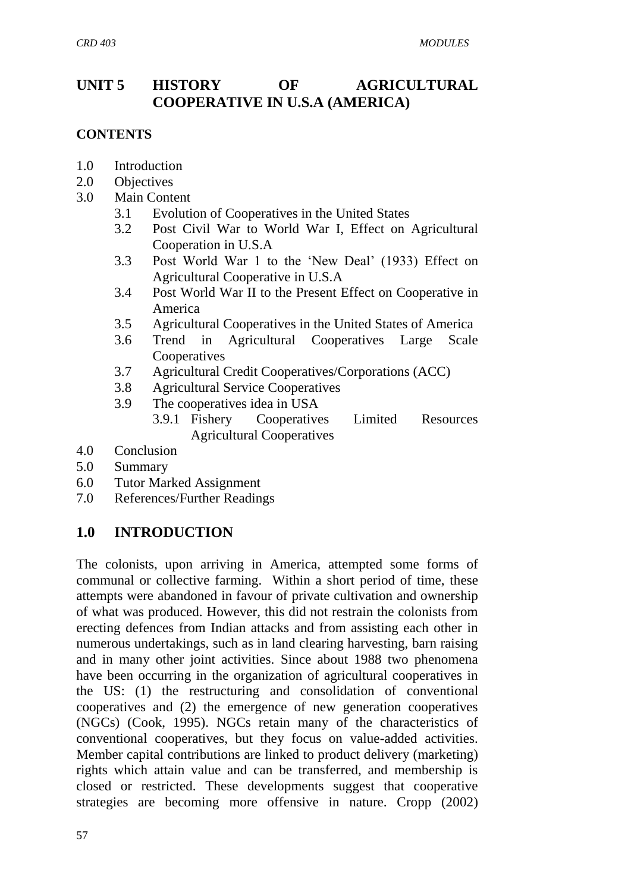# **UNIT 5 HISTORY OF AGRICULTURAL COOPERATIVE IN U.S.A (AMERICA)**

### **CONTENTS**

- 1.0 Introduction
- 2.0 Objectives
- 3.0 Main Content
	- 3.1 Evolution of Cooperatives in the United States
	- 3.2 Post Civil War to World War I, Effect on Agricultural Cooperation in U.S.A
	- 3.3 Post World War 1 to the "New Deal" (1933) Effect on Agricultural Cooperative in U.S.A
	- 3.4 Post World War II to the Present Effect on Cooperative in America
	- 3.5 Agricultural Cooperatives in the United States of America
	- 3.6 Trend in Agricultural Cooperatives Large Scale **Cooperatives**
	- 3.7 Agricultural Credit Cooperatives/Corporations (ACC)
	- 3.8 Agricultural Service Cooperatives
	- 3.9 The cooperatives idea in USA
		- 3.9.1 Fishery Cooperatives Limited Resources Agricultural Cooperatives
- 4.0 Conclusion
- 5.0 Summary
- 6.0 Tutor Marked Assignment
- 7.0 References/Further Readings

## **1.0 INTRODUCTION**

The colonists, upon arriving in America, attempted some forms of communal or collective farming. Within a short period of time, these attempts were abandoned in favour of private cultivation and ownership of what was produced. However, this did not restrain the colonists from erecting defences from Indian attacks and from assisting each other in numerous undertakings, such as in land clearing harvesting, barn raising and in many other joint activities. Since about 1988 two phenomena have been occurring in the organization of agricultural cooperatives in the US: (1) the restructuring and consolidation of conventional cooperatives and (2) the emergence of new generation cooperatives (NGCs) (Cook, 1995). NGCs retain many of the characteristics of conventional cooperatives, but they focus on value-added activities. Member capital contributions are linked to product delivery (marketing) rights which attain value and can be transferred, and membership is closed or restricted. These developments suggest that cooperative strategies are becoming more offensive in nature. Cropp (2002)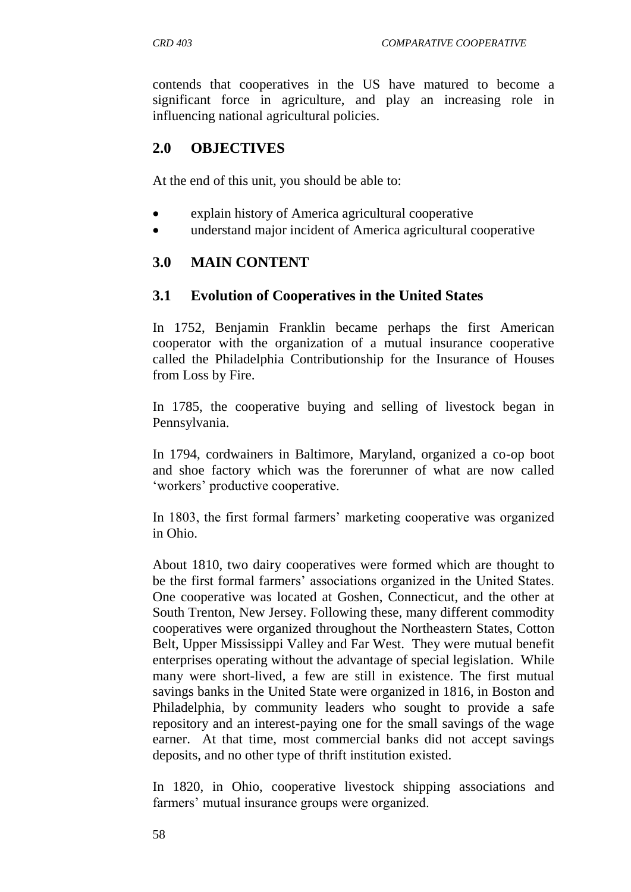contends that cooperatives in the US have matured to become a significant force in agriculture, and play an increasing role in influencing national agricultural policies.

## **2.0 OBJECTIVES**

At the end of this unit, you should be able to:

- explain history of America agricultural cooperative
- understand major incident of America agricultural cooperative

#### **3.0 MAIN CONTENT**

#### **3.1 Evolution of Cooperatives in the United States**

In 1752, Benjamin Franklin became perhaps the first American cooperator with the organization of a mutual insurance cooperative called the Philadelphia Contributionship for the Insurance of Houses from Loss by Fire.

In 1785, the cooperative buying and selling of livestock began in Pennsylvania.

In 1794, cordwainers in Baltimore, Maryland, organized a co-op boot and shoe factory which was the forerunner of what are now called "workers" productive cooperative.

In 1803, the first formal farmers' marketing cooperative was organized in Ohio.

About 1810, two dairy cooperatives were formed which are thought to be the first formal farmers" associations organized in the United States. One cooperative was located at Goshen, Connecticut, and the other at South Trenton, New Jersey. Following these, many different commodity cooperatives were organized throughout the Northeastern States, Cotton Belt, Upper Mississippi Valley and Far West. They were mutual benefit enterprises operating without the advantage of special legislation. While many were short-lived, a few are still in existence. The first mutual savings banks in the United State were organized in 1816, in Boston and Philadelphia, by community leaders who sought to provide a safe repository and an interest-paying one for the small savings of the wage earner. At that time, most commercial banks did not accept savings deposits, and no other type of thrift institution existed.

In 1820, in Ohio, cooperative livestock shipping associations and farmers' mutual insurance groups were organized.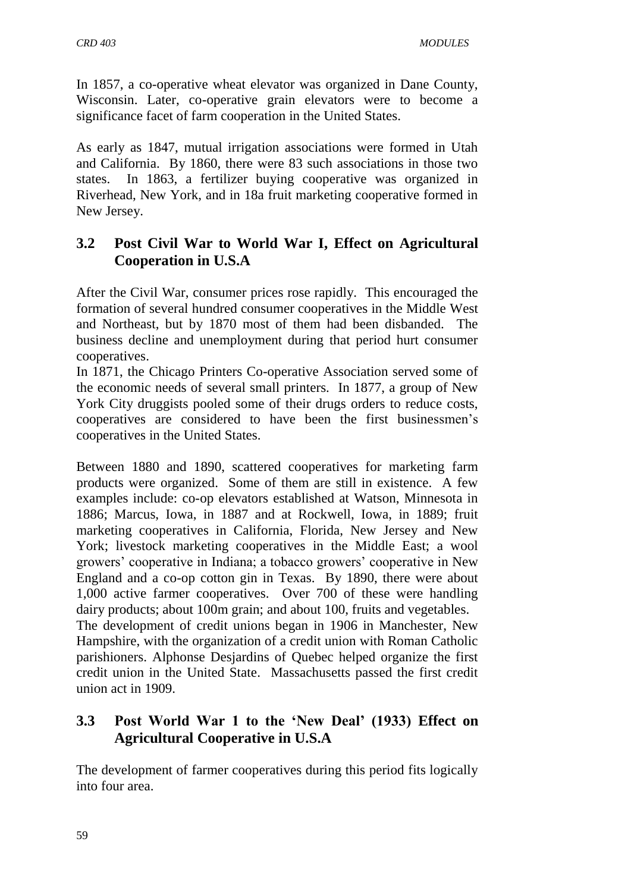In 1857, a co-operative wheat elevator was organized in Dane County, Wisconsin. Later, co-operative grain elevators were to become a significance facet of farm cooperation in the United States.

As early as 1847, mutual irrigation associations were formed in Utah and California. By 1860, there were 83 such associations in those two states. In 1863, a fertilizer buying cooperative was organized in Riverhead, New York, and in 18a fruit marketing cooperative formed in New Jersey.

## **3.2 Post Civil War to World War I, Effect on Agricultural Cooperation in U.S.A**

After the Civil War, consumer prices rose rapidly. This encouraged the formation of several hundred consumer cooperatives in the Middle West and Northeast, but by 1870 most of them had been disbanded. The business decline and unemployment during that period hurt consumer cooperatives.

In 1871, the Chicago Printers Co-operative Association served some of the economic needs of several small printers. In 1877, a group of New York City druggists pooled some of their drugs orders to reduce costs, cooperatives are considered to have been the first businessmen"s cooperatives in the United States.

Between 1880 and 1890, scattered cooperatives for marketing farm products were organized. Some of them are still in existence. A few examples include: co-op elevators established at Watson, Minnesota in 1886; Marcus, Iowa, in 1887 and at Rockwell, Iowa, in 1889; fruit marketing cooperatives in California, Florida, New Jersey and New York; livestock marketing cooperatives in the Middle East; a wool growers" cooperative in Indiana; a tobacco growers" cooperative in New England and a co-op cotton gin in Texas. By 1890, there were about 1,000 active farmer cooperatives. Over 700 of these were handling dairy products; about 100m grain; and about 100, fruits and vegetables. The development of credit unions began in 1906 in Manchester, New Hampshire, with the organization of a credit union with Roman Catholic parishioners. Alphonse Desjardins of Quebec helped organize the first credit union in the United State. Massachusetts passed the first credit union act in 1909.

## **3.3 Post World War 1 to the 'New Deal' (1933) Effect on Agricultural Cooperative in U.S.A**

The development of farmer cooperatives during this period fits logically into four area.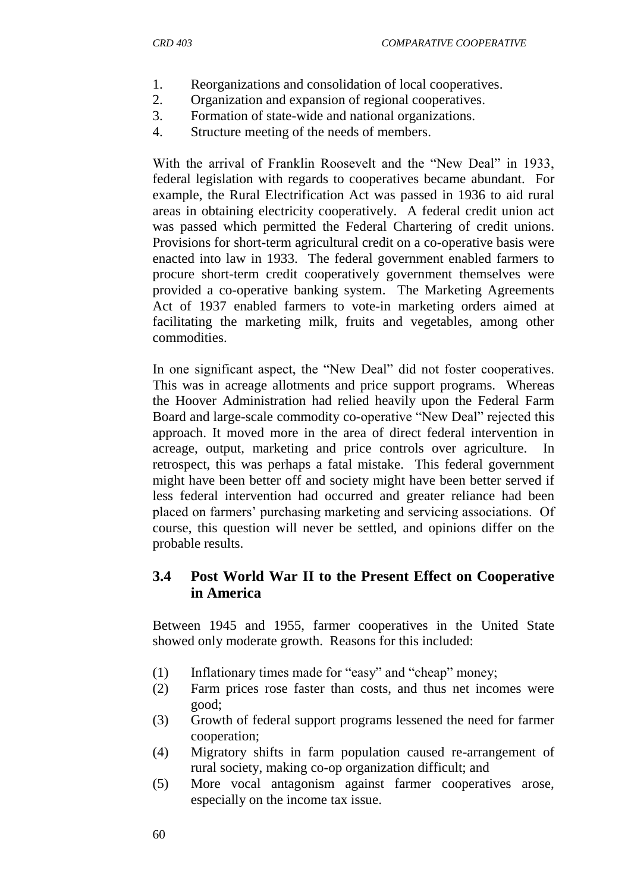- 1. Reorganizations and consolidation of local cooperatives.
- 2. Organization and expansion of regional cooperatives.
- 3. Formation of state-wide and national organizations.
- 4. Structure meeting of the needs of members.

With the arrival of Franklin Roosevelt and the "New Deal" in 1933, federal legislation with regards to cooperatives became abundant. For example, the Rural Electrification Act was passed in 1936 to aid rural areas in obtaining electricity cooperatively. A federal credit union act was passed which permitted the Federal Chartering of credit unions. Provisions for short-term agricultural credit on a co-operative basis were enacted into law in 1933. The federal government enabled farmers to procure short-term credit cooperatively government themselves were provided a co-operative banking system. The Marketing Agreements Act of 1937 enabled farmers to vote-in marketing orders aimed at facilitating the marketing milk, fruits and vegetables, among other commodities.

In one significant aspect, the "New Deal" did not foster cooperatives. This was in acreage allotments and price support programs. Whereas the Hoover Administration had relied heavily upon the Federal Farm Board and large-scale commodity co-operative "New Deal" rejected this approach. It moved more in the area of direct federal intervention in acreage, output, marketing and price controls over agriculture. In retrospect, this was perhaps a fatal mistake. This federal government might have been better off and society might have been better served if less federal intervention had occurred and greater reliance had been placed on farmers" purchasing marketing and servicing associations. Of course, this question will never be settled, and opinions differ on the probable results.

### **3.4 Post World War II to the Present Effect on Cooperative in America**

Between 1945 and 1955, farmer cooperatives in the United State showed only moderate growth. Reasons for this included:

- (1) Inflationary times made for "easy" and "cheap" money;
- (2) Farm prices rose faster than costs, and thus net incomes were good;
- (3) Growth of federal support programs lessened the need for farmer cooperation;
- (4) Migratory shifts in farm population caused re-arrangement of rural society, making co-op organization difficult; and
- (5) More vocal antagonism against farmer cooperatives arose, especially on the income tax issue.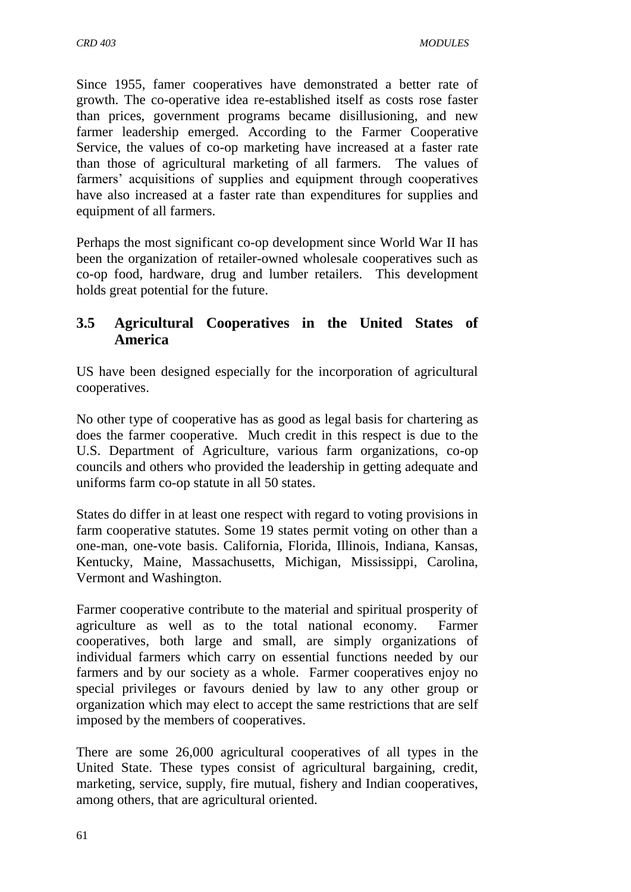Since 1955, famer cooperatives have demonstrated a better rate of growth. The co-operative idea re-established itself as costs rose faster than prices, government programs became disillusioning, and new farmer leadership emerged. According to the Farmer Cooperative Service, the values of co-op marketing have increased at a faster rate than those of agricultural marketing of all farmers. The values of farmers' acquisitions of supplies and equipment through cooperatives have also increased at a faster rate than expenditures for supplies and equipment of all farmers.

Perhaps the most significant co-op development since World War II has been the organization of retailer-owned wholesale cooperatives such as co-op food, hardware, drug and lumber retailers. This development holds great potential for the future.

## **3.5 Agricultural Cooperatives in the United States of America**

US have been designed especially for the incorporation of agricultural cooperatives.

No other type of cooperative has as good as legal basis for chartering as does the farmer cooperative. Much credit in this respect is due to the U.S. Department of Agriculture, various farm organizations, co-op councils and others who provided the leadership in getting adequate and uniforms farm co-op statute in all 50 states.

States do differ in at least one respect with regard to voting provisions in farm cooperative statutes. Some 19 states permit voting on other than a one-man, one-vote basis. California, Florida, Illinois, Indiana, Kansas, Kentucky, Maine, Massachusetts, Michigan, Mississippi, Carolina, Vermont and Washington.

Farmer cooperative contribute to the material and spiritual prosperity of agriculture as well as to the total national economy. Farmer cooperatives, both large and small, are simply organizations of individual farmers which carry on essential functions needed by our farmers and by our society as a whole. Farmer cooperatives enjoy no special privileges or favours denied by law to any other group or organization which may elect to accept the same restrictions that are self imposed by the members of cooperatives.

There are some 26,000 agricultural cooperatives of all types in the United State. These types consist of agricultural bargaining, credit, marketing, service, supply, fire mutual, fishery and Indian cooperatives, among others, that are agricultural oriented.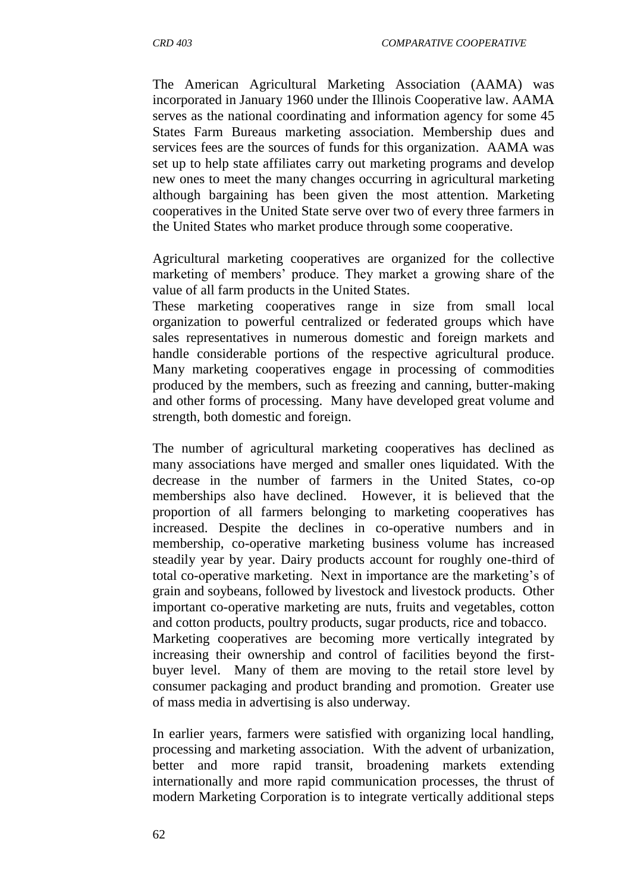The American Agricultural Marketing Association (AAMA) was incorporated in January 1960 under the Illinois Cooperative law. AAMA serves as the national coordinating and information agency for some 45 States Farm Bureaus marketing association. Membership dues and services fees are the sources of funds for this organization. AAMA was set up to help state affiliates carry out marketing programs and develop new ones to meet the many changes occurring in agricultural marketing although bargaining has been given the most attention. Marketing cooperatives in the United State serve over two of every three farmers in the United States who market produce through some cooperative.

Agricultural marketing cooperatives are organized for the collective marketing of members' produce. They market a growing share of the value of all farm products in the United States.

These marketing cooperatives range in size from small local organization to powerful centralized or federated groups which have sales representatives in numerous domestic and foreign markets and handle considerable portions of the respective agricultural produce. Many marketing cooperatives engage in processing of commodities produced by the members, such as freezing and canning, butter-making and other forms of processing. Many have developed great volume and strength, both domestic and foreign.

The number of agricultural marketing cooperatives has declined as many associations have merged and smaller ones liquidated. With the decrease in the number of farmers in the United States, co-op memberships also have declined. However, it is believed that the proportion of all farmers belonging to marketing cooperatives has increased. Despite the declines in co-operative numbers and in membership, co-operative marketing business volume has increased steadily year by year. Dairy products account for roughly one-third of total co-operative marketing. Next in importance are the marketing"s of grain and soybeans, followed by livestock and livestock products. Other important co-operative marketing are nuts, fruits and vegetables, cotton and cotton products, poultry products, sugar products, rice and tobacco. Marketing cooperatives are becoming more vertically integrated by increasing their ownership and control of facilities beyond the firstbuyer level. Many of them are moving to the retail store level by consumer packaging and product branding and promotion. Greater use

In earlier years, farmers were satisfied with organizing local handling, processing and marketing association. With the advent of urbanization, better and more rapid transit, broadening markets extending internationally and more rapid communication processes, the thrust of modern Marketing Corporation is to integrate vertically additional steps

of mass media in advertising is also underway.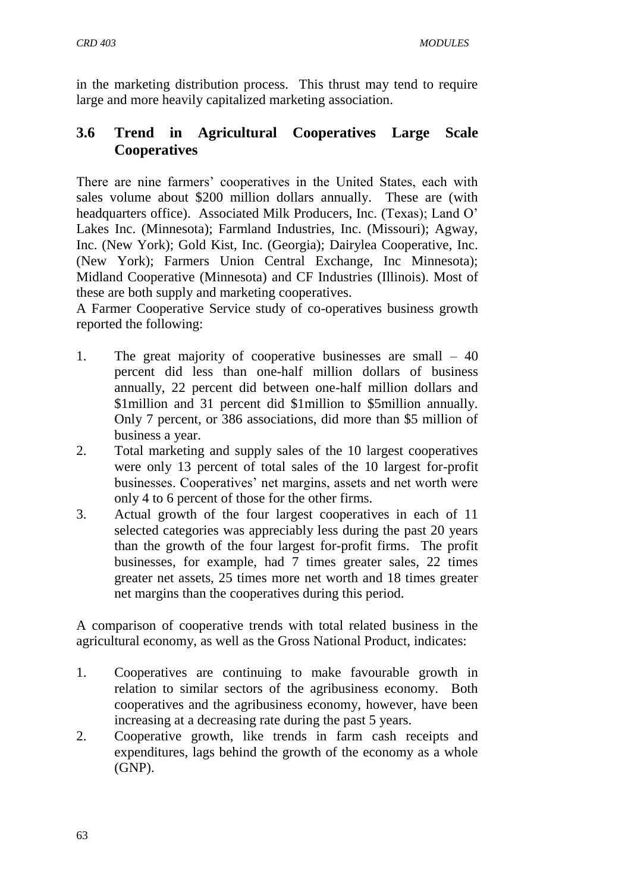in the marketing distribution process. This thrust may tend to require large and more heavily capitalized marketing association.

## **3.6 Trend in Agricultural Cooperatives Large Scale Cooperatives**

There are nine farmers' cooperatives in the United States, each with sales volume about \$200 million dollars annually. These are (with headquarters office). Associated Milk Producers, Inc. (Texas); Land O' Lakes Inc. (Minnesota); Farmland Industries, Inc. (Missouri); Agway, Inc. (New York); Gold Kist, Inc. (Georgia); Dairylea Cooperative, Inc. (New York); Farmers Union Central Exchange, Inc Minnesota); Midland Cooperative (Minnesota) and CF Industries (Illinois). Most of these are both supply and marketing cooperatives.

A Farmer Cooperative Service study of co-operatives business growth reported the following:

- 1. The great majority of cooperative businesses are small 40 percent did less than one-half million dollars of business annually, 22 percent did between one-half million dollars and \$1million and 31 percent did \$1million to \$5million annually. Only 7 percent, or 386 associations, did more than \$5 million of business a year.
- 2. Total marketing and supply sales of the 10 largest cooperatives were only 13 percent of total sales of the 10 largest for-profit businesses. Cooperatives' net margins, assets and net worth were only 4 to 6 percent of those for the other firms.
- 3. Actual growth of the four largest cooperatives in each of 11 selected categories was appreciably less during the past 20 years than the growth of the four largest for-profit firms. The profit businesses, for example, had 7 times greater sales, 22 times greater net assets, 25 times more net worth and 18 times greater net margins than the cooperatives during this period.

A comparison of cooperative trends with total related business in the agricultural economy, as well as the Gross National Product, indicates:

- 1. Cooperatives are continuing to make favourable growth in relation to similar sectors of the agribusiness economy. Both cooperatives and the agribusiness economy, however, have been increasing at a decreasing rate during the past 5 years.
- 2. Cooperative growth, like trends in farm cash receipts and expenditures, lags behind the growth of the economy as a whole (GNP).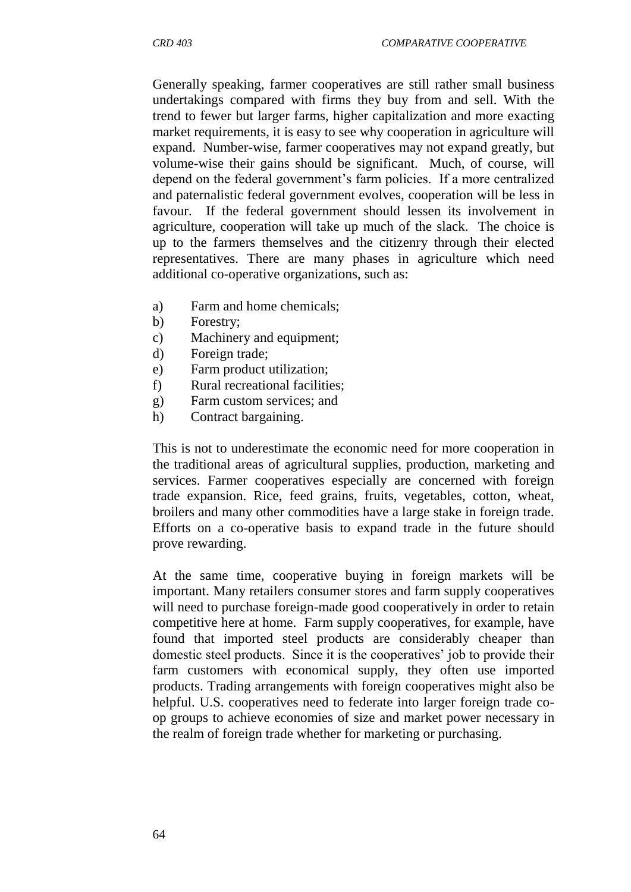Generally speaking, farmer cooperatives are still rather small business undertakings compared with firms they buy from and sell. With the trend to fewer but larger farms, higher capitalization and more exacting market requirements, it is easy to see why cooperation in agriculture will expand. Number-wise, farmer cooperatives may not expand greatly, but volume-wise their gains should be significant. Much, of course, will depend on the federal government's farm policies. If a more centralized and paternalistic federal government evolves, cooperation will be less in favour. If the federal government should lessen its involvement in agriculture, cooperation will take up much of the slack. The choice is up to the farmers themselves and the citizenry through their elected representatives. There are many phases in agriculture which need additional co-operative organizations, such as:

- a) Farm and home chemicals;
- b) Forestry;
- c) Machinery and equipment;
- d) Foreign trade;
- e) Farm product utilization;
- f) Rural recreational facilities;
- g) Farm custom services; and
- h) Contract bargaining.

This is not to underestimate the economic need for more cooperation in the traditional areas of agricultural supplies, production, marketing and services. Farmer cooperatives especially are concerned with foreign trade expansion. Rice, feed grains, fruits, vegetables, cotton, wheat, broilers and many other commodities have a large stake in foreign trade. Efforts on a co-operative basis to expand trade in the future should prove rewarding.

At the same time, cooperative buying in foreign markets will be important. Many retailers consumer stores and farm supply cooperatives will need to purchase foreign-made good cooperatively in order to retain competitive here at home. Farm supply cooperatives, for example, have found that imported steel products are considerably cheaper than domestic steel products. Since it is the cooperatives' job to provide their farm customers with economical supply, they often use imported products. Trading arrangements with foreign cooperatives might also be helpful. U.S. cooperatives need to federate into larger foreign trade coop groups to achieve economies of size and market power necessary in the realm of foreign trade whether for marketing or purchasing.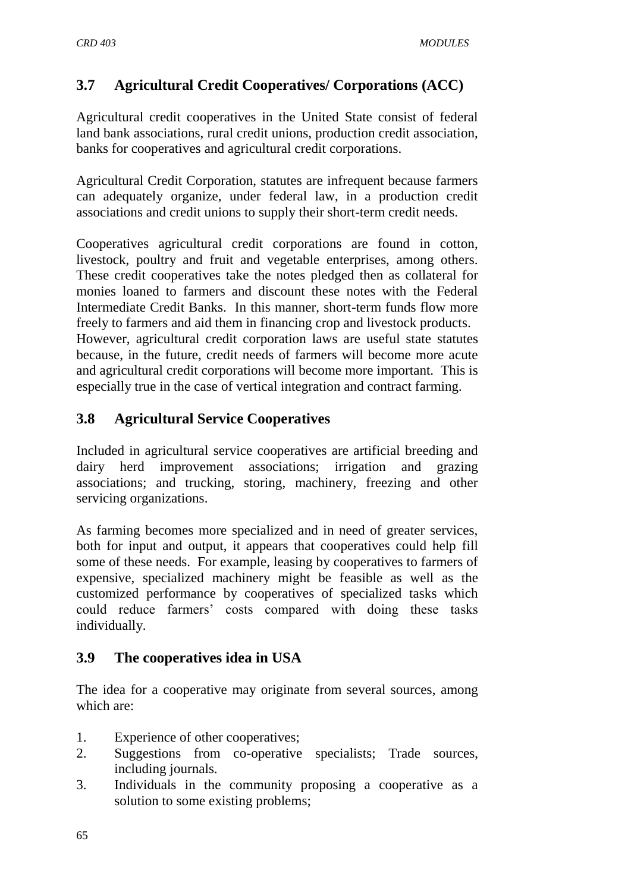# **3.7 Agricultural Credit Cooperatives/ Corporations (ACC)**

Agricultural credit cooperatives in the United State consist of federal land bank associations, rural credit unions, production credit association, banks for cooperatives and agricultural credit corporations.

Agricultural Credit Corporation, statutes are infrequent because farmers can adequately organize, under federal law, in a production credit associations and credit unions to supply their short-term credit needs.

Cooperatives agricultural credit corporations are found in cotton, livestock, poultry and fruit and vegetable enterprises, among others. These credit cooperatives take the notes pledged then as collateral for monies loaned to farmers and discount these notes with the Federal Intermediate Credit Banks. In this manner, short-term funds flow more freely to farmers and aid them in financing crop and livestock products. However, agricultural credit corporation laws are useful state statutes because, in the future, credit needs of farmers will become more acute and agricultural credit corporations will become more important. This is especially true in the case of vertical integration and contract farming.

## **3.8 Agricultural Service Cooperatives**

Included in agricultural service cooperatives are artificial breeding and dairy herd improvement associations; irrigation and grazing associations; and trucking, storing, machinery, freezing and other servicing organizations.

As farming becomes more specialized and in need of greater services, both for input and output, it appears that cooperatives could help fill some of these needs. For example, leasing by cooperatives to farmers of expensive, specialized machinery might be feasible as well as the customized performance by cooperatives of specialized tasks which could reduce farmers" costs compared with doing these tasks individually.

#### **3.9 The cooperatives idea in USA**

The idea for a cooperative may originate from several sources, among which are:

- 1. Experience of other cooperatives;
- 2. Suggestions from co-operative specialists; Trade sources, including journals.
- 3. Individuals in the community proposing a cooperative as a solution to some existing problems;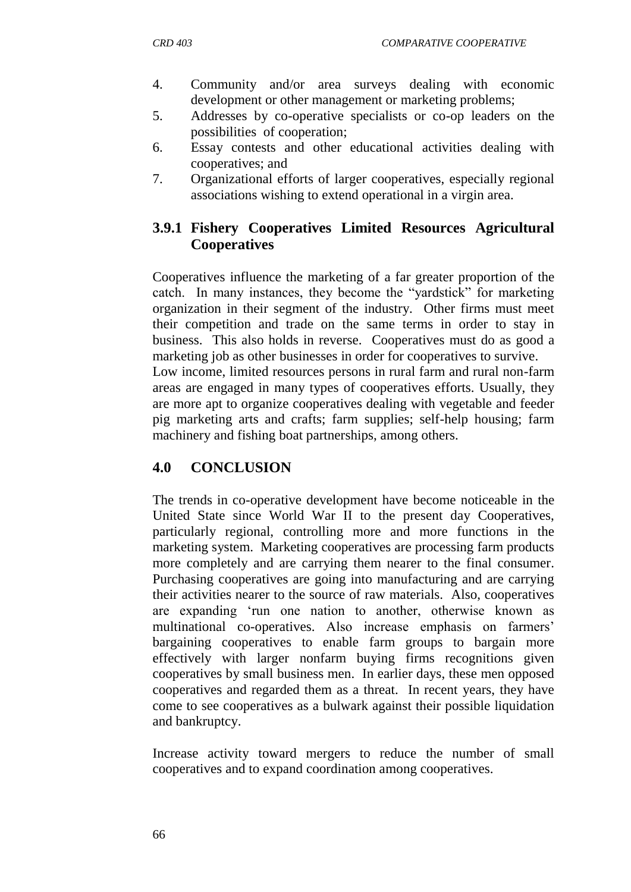- 4. Community and/or area surveys dealing with economic development or other management or marketing problems;
- 5. Addresses by co-operative specialists or co-op leaders on the possibilities of cooperation;
- 6. Essay contests and other educational activities dealing with cooperatives; and
- 7. Organizational efforts of larger cooperatives, especially regional associations wishing to extend operational in a virgin area.

## **3.9.1 Fishery Cooperatives Limited Resources Agricultural Cooperatives**

Cooperatives influence the marketing of a far greater proportion of the catch. In many instances, they become the "yardstick" for marketing organization in their segment of the industry. Other firms must meet their competition and trade on the same terms in order to stay in business. This also holds in reverse. Cooperatives must do as good a marketing job as other businesses in order for cooperatives to survive. Low income, limited resources persons in rural farm and rural non-farm areas are engaged in many types of cooperatives efforts. Usually, they are more apt to organize cooperatives dealing with vegetable and feeder pig marketing arts and crafts; farm supplies; self-help housing; farm

machinery and fishing boat partnerships, among others.

## **4.0 CONCLUSION**

The trends in co-operative development have become noticeable in the United State since World War II to the present day Cooperatives, particularly regional, controlling more and more functions in the marketing system. Marketing cooperatives are processing farm products more completely and are carrying them nearer to the final consumer. Purchasing cooperatives are going into manufacturing and are carrying their activities nearer to the source of raw materials. Also, cooperatives are expanding "run one nation to another, otherwise known as multinational co-operatives. Also increase emphasis on farmers' bargaining cooperatives to enable farm groups to bargain more effectively with larger nonfarm buying firms recognitions given cooperatives by small business men. In earlier days, these men opposed cooperatives and regarded them as a threat. In recent years, they have come to see cooperatives as a bulwark against their possible liquidation and bankruptcy.

Increase activity toward mergers to reduce the number of small cooperatives and to expand coordination among cooperatives.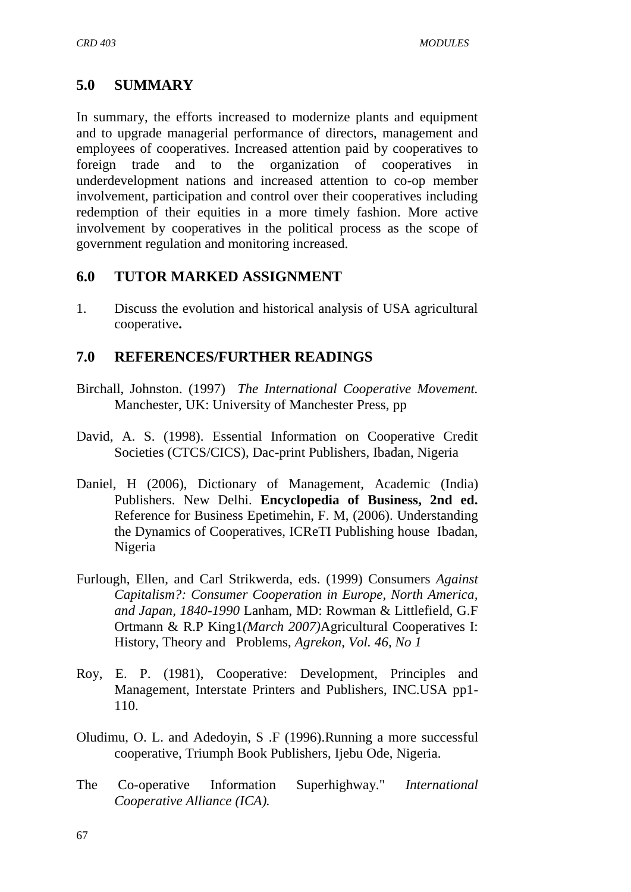## **5.0 SUMMARY**

In summary, the efforts increased to modernize plants and equipment and to upgrade managerial performance of directors, management and employees of cooperatives. Increased attention paid by cooperatives to foreign trade and to the organization of cooperatives in underdevelopment nations and increased attention to co-op member involvement, participation and control over their cooperatives including redemption of their equities in a more timely fashion. More active involvement by cooperatives in the political process as the scope of government regulation and monitoring increased.

#### **6.0 TUTOR MARKED ASSIGNMENT**

1. Discuss the evolution and historical analysis of USA agricultural cooperative**.**

## **7.0 REFERENCES/FURTHER READINGS**

- Birchall, Johnston. (1997) *The International Cooperative Movement.*  Manchester, UK: University of Manchester Press, pp
- David, A. S. (1998). Essential Information on Cooperative Credit Societies (CTCS/CICS), Dac-print Publishers, Ibadan, Nigeria
- Daniel, H (2006), Dictionary of Management, Academic (India) Publishers. New Delhi. **Encyclopedia of Business, 2nd ed.**  [Reference for Business](http://www.referenceforbusiness.com/index.html) Epetimehin, F. M, (2006). Understanding the Dynamics of Cooperatives, ICReTI Publishing house Ibadan, Nigeria
- Furlough, Ellen, and Carl Strikwerda, eds. (1999) Consumers *Against Capitalism?: Consumer Cooperation in Europe, North America, and Japan, 1840-1990* Lanham, MD: Rowman & Littlefield, G.F Ortmann & R.P King1*(March 2007)*Agricultural Cooperatives I: History, Theory and Problems, *Agrekon, Vol. 46, No 1*
- Roy, E. P. (1981), Cooperative: Development, Principles and Management, Interstate Printers and Publishers, INC.USA pp1- 110.
- Oludimu, O. L. and Adedoyin, S .F (1996).Running a more successful cooperative, Triumph Book Publishers, Ijebu Ode, Nigeria.
- The Co-operative Information Superhighway." *International Cooperative Alliance (ICA).*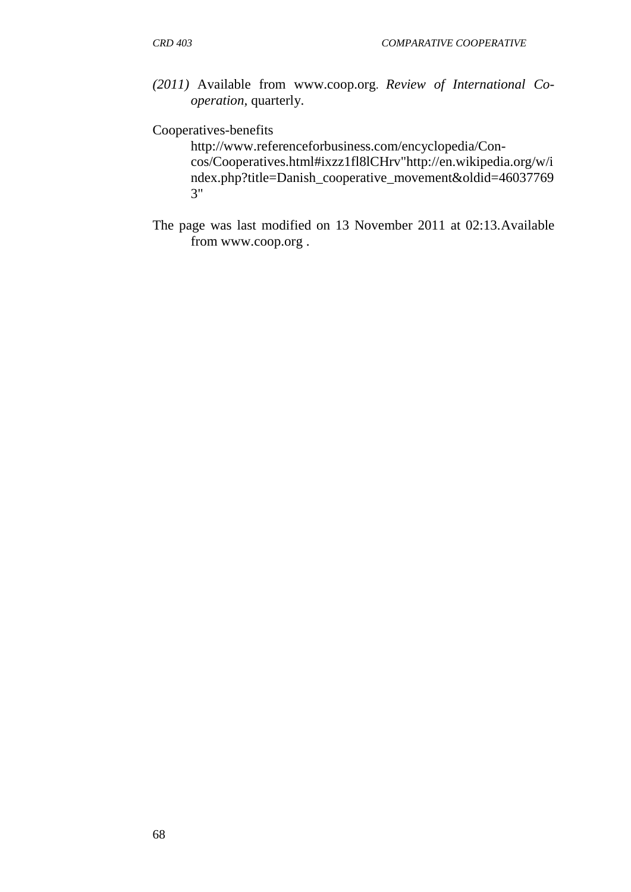*(2011)* Available from [www.coop.org](http://www.coop.org/). *Review of International Cooperation,* quarterly.

#### [Cooperatives-benefits](http://www.referenceforbusiness.com/encyclopedia/Con-Cos/Cooperatives.html#ixzz1fl8lCHrv)

[http://www.referenceforbusiness.com/encyclopedia/Con](http://www.referenceforbusiness.com/encyclopedia/Con-%20%20%20%20cos/Cooperatives.html#ixzz1fl8lCHrv)[cos/Cooperatives.html#ixzz1fl8lCHrv](http://www.referenceforbusiness.com/encyclopedia/Con-%20%20%20%20cos/Cooperatives.html#ixzz1fl8lCHrv)["http://en.wikipedia.org/w/i](http://en.wikipedia.org/w/index.php?title=Danish_cooperative_movement&oldid=460377693) [ndex.php?title=Danish\\_cooperative\\_movement&oldid=46037769](http://en.wikipedia.org/w/index.php?title=Danish_cooperative_movement&oldid=460377693) [3"](http://en.wikipedia.org/w/index.php?title=Danish_cooperative_movement&oldid=460377693)

The page was last modified on 13 November 2011 at 02:13.Available from [www.coop.org .](http://www.coop.org/)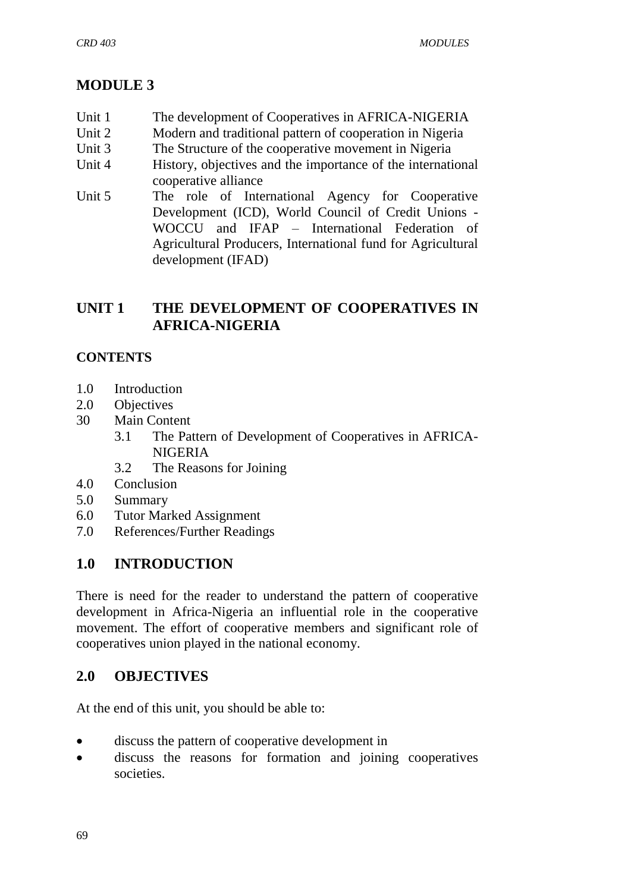# **MODULE 3**

- Unit 1 The development of Cooperatives in AFRICA-NIGERIA
- Unit 2 Modern and traditional pattern of cooperation in Nigeria
- Unit 3 The Structure of the cooperative movement in Nigeria
- Unit 4 History, objectives and the importance of the international cooperative alliance
- Unit 5 The role of International Agency for Cooperative Development (ICD), World Council of Credit Unions - WOCCU and IFAP – International Federation of Agricultural Producers, International fund for Agricultural development (IFAD)

# **UNIT 1 THE DEVELOPMENT OF COOPERATIVES IN AFRICA-NIGERIA**

#### **CONTENTS**

- 1.0 Introduction
- 2.0 Objectives
- 30 Main Content
	- 3.1 The Pattern of Development of Cooperatives in AFRICA-NIGERIA
	- 3.2 The Reasons for Joining
- 4.0 Conclusion
- 5.0 Summary
- 6.0 Tutor Marked Assignment
- 7.0 References/Further Readings

## **1.0 INTRODUCTION**

There is need for the reader to understand the pattern of cooperative development in Africa-Nigeria an influential role in the cooperative movement. The effort of cooperative members and significant role of cooperatives union played in the national economy.

## **2.0 OBJECTIVES**

At the end of this unit, you should be able to:

- discuss the pattern of cooperative development in
- discuss the reasons for formation and joining cooperatives societies.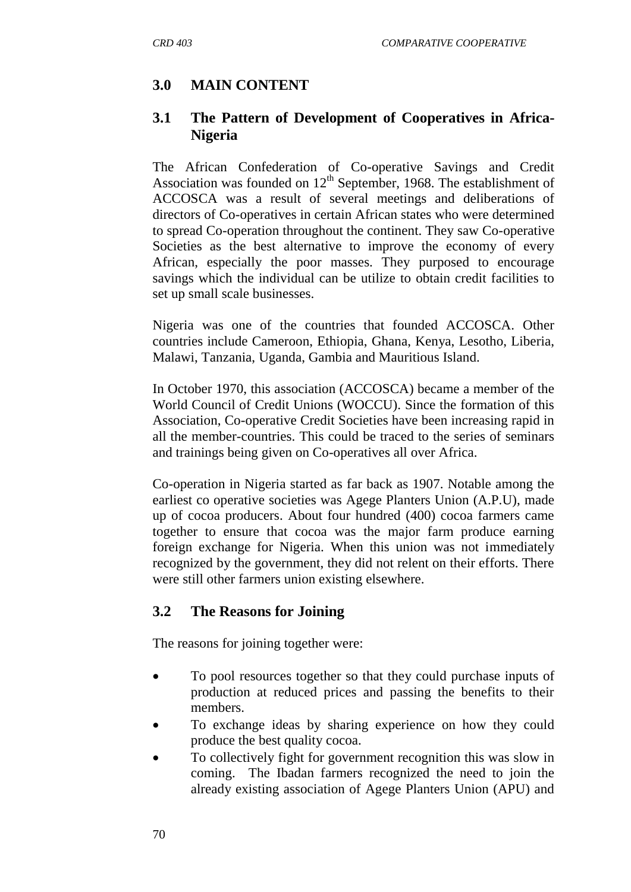# **3.0 MAIN CONTENT**

#### **3.1 The Pattern of Development of Cooperatives in Africa-Nigeria**

The African Confederation of Co-operative Savings and Credit Association was founded on  $12<sup>th</sup>$  September, 1968. The establishment of ACCOSCA was a result of several meetings and deliberations of directors of Co-operatives in certain African states who were determined to spread Co-operation throughout the continent. They saw Co-operative Societies as the best alternative to improve the economy of every African, especially the poor masses. They purposed to encourage savings which the individual can be utilize to obtain credit facilities to set up small scale businesses.

Nigeria was one of the countries that founded ACCOSCA. Other countries include Cameroon, Ethiopia, Ghana, Kenya, Lesotho, Liberia, Malawi, Tanzania, Uganda, Gambia and Mauritious Island.

In October 1970, this association (ACCOSCA) became a member of the World Council of Credit Unions (WOCCU). Since the formation of this Association, Co-operative Credit Societies have been increasing rapid in all the member-countries. This could be traced to the series of seminars and trainings being given on Co-operatives all over Africa.

Co-operation in Nigeria started as far back as 1907. Notable among the earliest co operative societies was Agege Planters Union (A.P.U), made up of cocoa producers. About four hundred (400) cocoa farmers came together to ensure that cocoa was the major farm produce earning foreign exchange for Nigeria. When this union was not immediately recognized by the government, they did not relent on their efforts. There were still other farmers union existing elsewhere.

## **3.2 The Reasons for Joining**

The reasons for joining together were:

- To pool resources together so that they could purchase inputs of production at reduced prices and passing the benefits to their members.
- To exchange ideas by sharing experience on how they could produce the best quality cocoa.
- To collectively fight for government recognition this was slow in coming. The Ibadan farmers recognized the need to join the already existing association of Agege Planters Union (APU) and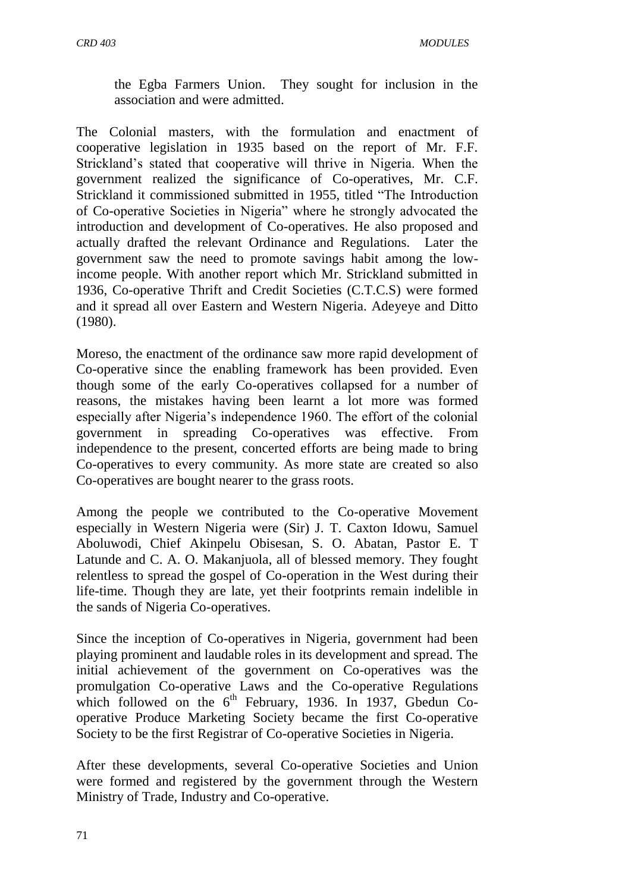the Egba Farmers Union. They sought for inclusion in the association and were admitted.

The Colonial masters, with the formulation and enactment of cooperative legislation in 1935 based on the report of Mr. F.F. Strickland"s stated that cooperative will thrive in Nigeria. When the government realized the significance of Co-operatives, Mr. C.F. Strickland it commissioned submitted in 1955, titled "The Introduction of Co-operative Societies in Nigeria" where he strongly advocated the introduction and development of Co-operatives. He also proposed and actually drafted the relevant Ordinance and Regulations. Later the government saw the need to promote savings habit among the lowincome people. With another report which Mr. Strickland submitted in 1936, Co-operative Thrift and Credit Societies (C.T.C.S) were formed and it spread all over Eastern and Western Nigeria. Adeyeye and Ditto (1980).

Moreso, the enactment of the ordinance saw more rapid development of Co-operative since the enabling framework has been provided. Even though some of the early Co-operatives collapsed for a number of reasons, the mistakes having been learnt a lot more was formed especially after Nigeria"s independence 1960. The effort of the colonial government in spreading Co-operatives was effective. From independence to the present, concerted efforts are being made to bring Co-operatives to every community. As more state are created so also Co-operatives are bought nearer to the grass roots.

Among the people we contributed to the Co-operative Movement especially in Western Nigeria were (Sir) J. T. Caxton Idowu, Samuel Aboluwodi, Chief Akinpelu Obisesan, S. O. Abatan, Pastor E. T Latunde and C. A. O. Makanjuola, all of blessed memory. They fought relentless to spread the gospel of Co-operation in the West during their life-time. Though they are late, yet their footprints remain indelible in the sands of Nigeria Co-operatives.

Since the inception of Co-operatives in Nigeria, government had been playing prominent and laudable roles in its development and spread. The initial achievement of the government on Co-operatives was the promulgation Co-operative Laws and the Co-operative Regulations which followed on the  $6<sup>th</sup>$  February, 1936. In 1937, Gbedun Cooperative Produce Marketing Society became the first Co-operative Society to be the first Registrar of Co-operative Societies in Nigeria.

After these developments, several Co-operative Societies and Union were formed and registered by the government through the Western Ministry of Trade, Industry and Co-operative.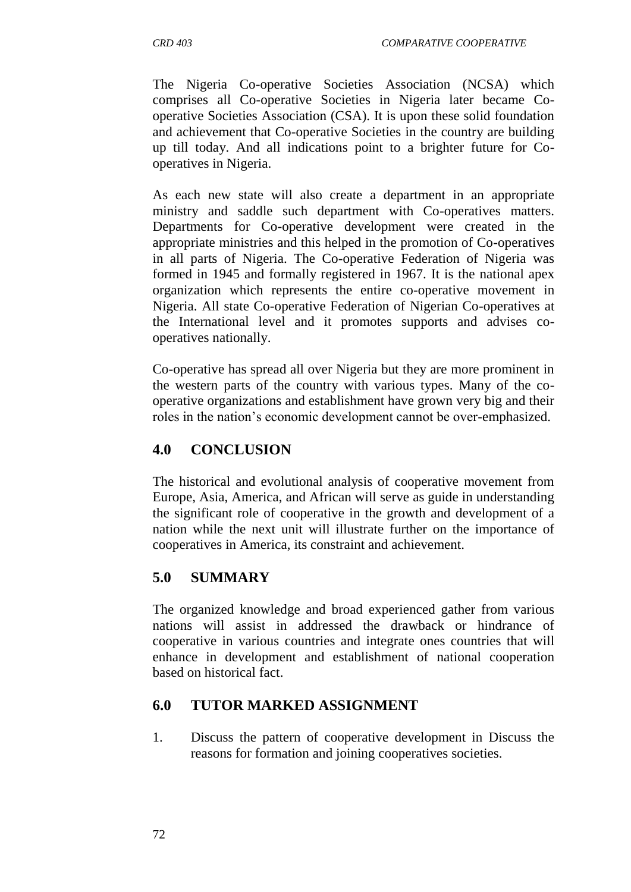The Nigeria Co-operative Societies Association (NCSA) which comprises all Co-operative Societies in Nigeria later became Cooperative Societies Association (CSA). It is upon these solid foundation and achievement that Co-operative Societies in the country are building up till today. And all indications point to a brighter future for Cooperatives in Nigeria.

As each new state will also create a department in an appropriate ministry and saddle such department with Co-operatives matters. Departments for Co-operative development were created in the appropriate ministries and this helped in the promotion of Co-operatives in all parts of Nigeria. The Co-operative Federation of Nigeria was formed in 1945 and formally registered in 1967. It is the national apex organization which represents the entire co-operative movement in Nigeria. All state Co-operative Federation of Nigerian Co-operatives at the International level and it promotes supports and advises cooperatives nationally.

Co-operative has spread all over Nigeria but they are more prominent in the western parts of the country with various types. Many of the cooperative organizations and establishment have grown very big and their roles in the nation's economic development cannot be over-emphasized.

## **4.0 CONCLUSION**

The historical and evolutional analysis of cooperative movement from Europe, Asia, America, and African will serve as guide in understanding the significant role of cooperative in the growth and development of a nation while the next unit will illustrate further on the importance of cooperatives in America, its constraint and achievement.

## **5.0 SUMMARY**

The organized knowledge and broad experienced gather from various nations will assist in addressed the drawback or hindrance of cooperative in various countries and integrate ones countries that will enhance in development and establishment of national cooperation based on historical fact.

## **6.0 TUTOR MARKED ASSIGNMENT**

1. Discuss the pattern of cooperative development in Discuss the reasons for formation and joining cooperatives societies.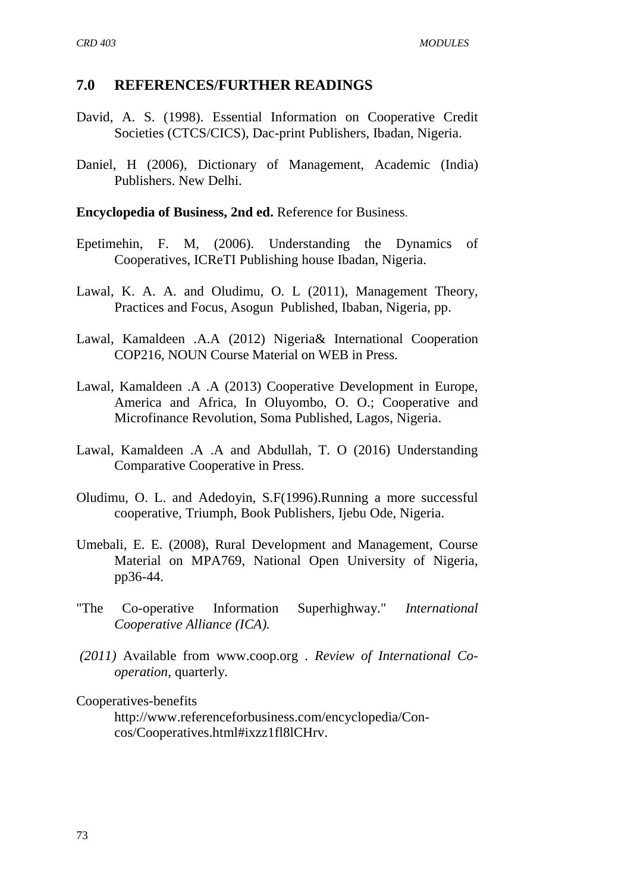#### **7.0 REFERENCES/FURTHER READINGS**

- David, A. S. (1998). Essential Information on Cooperative Credit Societies (CTCS/CICS), Dac-print Publishers, Ibadan, Nigeria.
- Daniel, H (2006), Dictionary of Management, Academic (India) Publishers. New Delhi.

#### **Encyclopedia of Business, 2nd ed.** [Reference for Business](http://www.referenceforbusiness.com/index.html).

- Epetimehin, F. M, (2006). Understanding the Dynamics of Cooperatives, ICReTI Publishing house Ibadan, Nigeria.
- Lawal, K. A. A. and Oludimu, O. L (2011), Management Theory, Practices and Focus, Asogun Published, Ibaban, Nigeria, pp.
- Lawal, Kamaldeen .A.A (2012) Nigeria& International Cooperation COP216, NOUN Course Material on WEB in Press.
- Lawal, Kamaldeen .A .A (2013) Cooperative Development in Europe, America and Africa, In Oluyombo, O. O.; Cooperative and Microfinance Revolution, Soma Published, Lagos, Nigeria.
- Lawal, Kamaldeen .A .A and Abdullah, T. O (2016) Understanding Comparative Cooperative in Press.
- Oludimu, O. L. and Adedoyin, S.F(1996).Running a more successful cooperative, Triumph, Book Publishers, Ijebu Ode, Nigeria.
- Umebali, E. E. (2008), Rural Development and Management, Course Material on MPA769, National Open University of Nigeria, pp36-44.
- "The Co-operative Information Superhighway." *International Cooperative Alliance (ICA).*
- *(2011)* Available from [www.coop.org .](http://www.coop.org/) *Review of International Cooperation,* quarterly.

[Cooperatives-benefits](http://www.referenceforbusiness.com/encyclopedia/Con-Cos/Cooperatives.html#ixzz1fl8lCHrv)

[http://www.referenceforbusiness.com/encyclopedia/Con](http://www.referenceforbusiness.com/encyclopedia/Con-%20%20%20%20cos/Cooperatives.html#ixzz1fl8lCHrv)[cos/Cooperatives.html#ixzz1fl8lCHrv.](http://www.referenceforbusiness.com/encyclopedia/Con-%20%20%20%20cos/Cooperatives.html#ixzz1fl8lCHrv)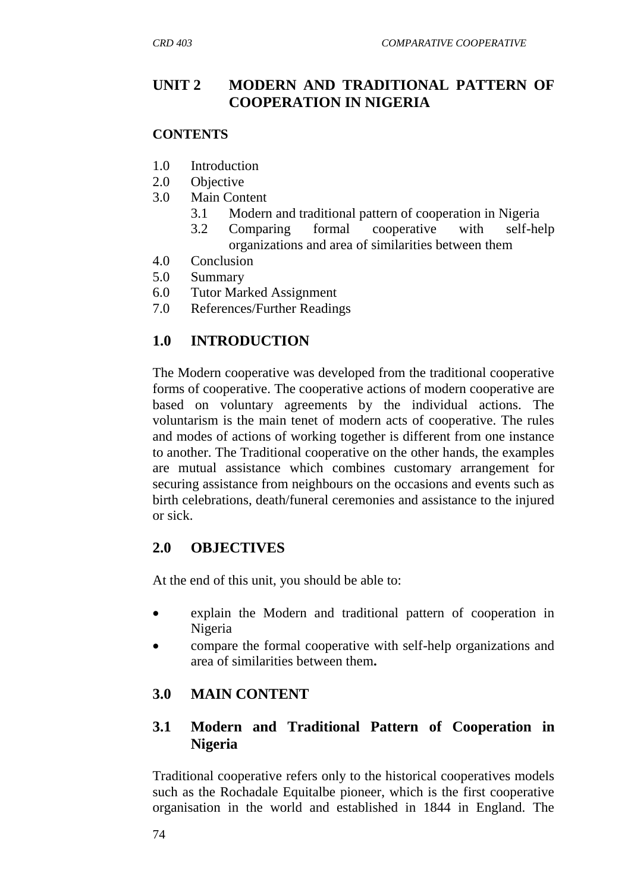#### **UNIT 2 MODERN AND TRADITIONAL PATTERN OF COOPERATION IN NIGERIA**

#### **CONTENTS**

- 1.0 Introduction
- 2.0 Objective
- 3.0 Main Content
	- 3.1 Modern and traditional pattern of cooperation in Nigeria
	- 3.2 Comparing formal cooperative with self-help organizations and area of similarities between them
- 4.0 Conclusion
- 5.0 Summary
- 6.0 Tutor Marked Assignment
- 7.0 References/Further Readings

## **1.0 INTRODUCTION**

The Modern cooperative was developed from the traditional cooperative forms of cooperative. The cooperative actions of modern cooperative are based on voluntary agreements by the individual actions. The voluntarism is the main tenet of modern acts of cooperative. The rules and modes of actions of working together is different from one instance to another. The Traditional cooperative on the other hands, the examples are mutual assistance which combines customary arrangement for securing assistance from neighbours on the occasions and events such as birth celebrations, death/funeral ceremonies and assistance to the injured or sick.

#### **2.0 OBJECTIVES**

At the end of this unit, you should be able to:

- explain the Modern and traditional pattern of cooperation in Nigeria
- compare the formal cooperative with self-help organizations and area of similarities between them**.**

## **3.0 MAIN CONTENT**

#### **3.1 Modern and Traditional Pattern of Cooperation in Nigeria**

Traditional cooperative refers only to the historical cooperatives models such as the Rochadale Equitalbe pioneer, which is the first cooperative organisation in the world and established in 1844 in England. The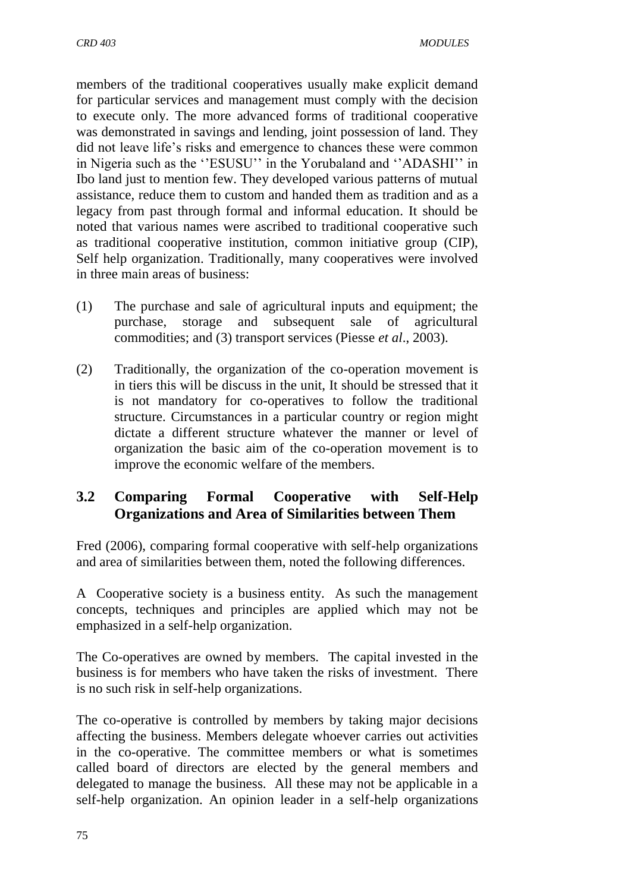members of the traditional cooperatives usually make explicit demand for particular services and management must comply with the decision to execute only. The more advanced forms of traditional cooperative was demonstrated in savings and lending, joint possession of land. They did not leave life's risks and emergence to chances these were common in Nigeria such as the "ESUSU" in the Yorubaland and "ADASHI" in Ibo land just to mention few. They developed various patterns of mutual assistance, reduce them to custom and handed them as tradition and as a legacy from past through formal and informal education. It should be noted that various names were ascribed to traditional cooperative such as traditional cooperative institution, common initiative group (CIP), Self help organization. Traditionally, many cooperatives were involved in three main areas of business:

- (1) The purchase and sale of agricultural inputs and equipment; the purchase, storage and subsequent sale of agricultural commodities; and (3) transport services (Piesse *et al*., 2003).
- (2) Traditionally, the organization of the co-operation movement is in tiers this will be discuss in the unit, It should be stressed that it is not mandatory for co-operatives to follow the traditional structure. Circumstances in a particular country or region might dictate a different structure whatever the manner or level of organization the basic aim of the co-operation movement is to improve the economic welfare of the members.

## **3.2 Comparing Formal Cooperative with Self-Help Organizations and Area of Similarities between Them**

Fred (2006), comparing formal cooperative with self-help organizations and area of similarities between them, noted the following differences.

A Cooperative society is a business entity. As such the management concepts, techniques and principles are applied which may not be emphasized in a self-help organization.

The Co-operatives are owned by members. The capital invested in the business is for members who have taken the risks of investment. There is no such risk in self-help organizations.

The co-operative is controlled by members by taking major decisions affecting the business. Members delegate whoever carries out activities in the co-operative. The committee members or what is sometimes called board of directors are elected by the general members and delegated to manage the business. All these may not be applicable in a self-help organization. An opinion leader in a self-help organizations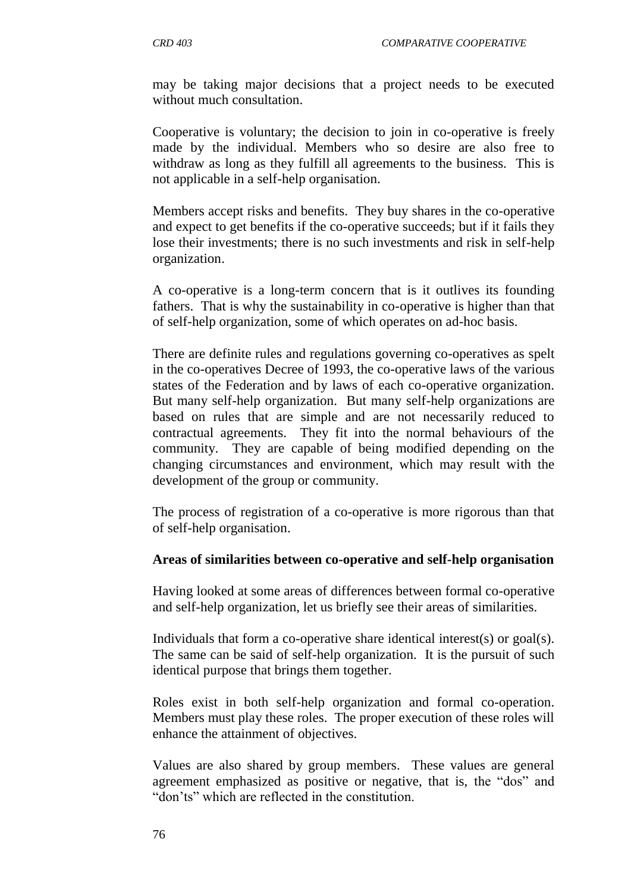may be taking major decisions that a project needs to be executed without much consultation.

Cooperative is voluntary; the decision to join in co-operative is freely made by the individual. Members who so desire are also free to withdraw as long as they fulfill all agreements to the business. This is not applicable in a self-help organisation.

Members accept risks and benefits. They buy shares in the co-operative and expect to get benefits if the co-operative succeeds; but if it fails they lose their investments; there is no such investments and risk in self-help organization.

A co-operative is a long-term concern that is it outlives its founding fathers. That is why the sustainability in co-operative is higher than that of self-help organization, some of which operates on ad-hoc basis.

There are definite rules and regulations governing co-operatives as spelt in the co-operatives Decree of 1993, the co-operative laws of the various states of the Federation and by laws of each co-operative organization. But many self-help organization. But many self-help organizations are based on rules that are simple and are not necessarily reduced to contractual agreements. They fit into the normal behaviours of the community. They are capable of being modified depending on the changing circumstances and environment, which may result with the development of the group or community.

The process of registration of a co-operative is more rigorous than that of self-help organisation.

#### **Areas of similarities between co-operative and self-help organisation**

Having looked at some areas of differences between formal co-operative and self-help organization, let us briefly see their areas of similarities.

Individuals that form a co-operative share identical interest(s) or goal(s). The same can be said of self-help organization. It is the pursuit of such identical purpose that brings them together.

Roles exist in both self-help organization and formal co-operation. Members must play these roles. The proper execution of these roles will enhance the attainment of objectives.

Values are also shared by group members. These values are general agreement emphasized as positive or negative, that is, the "dos" and "don"ts" which are reflected in the constitution.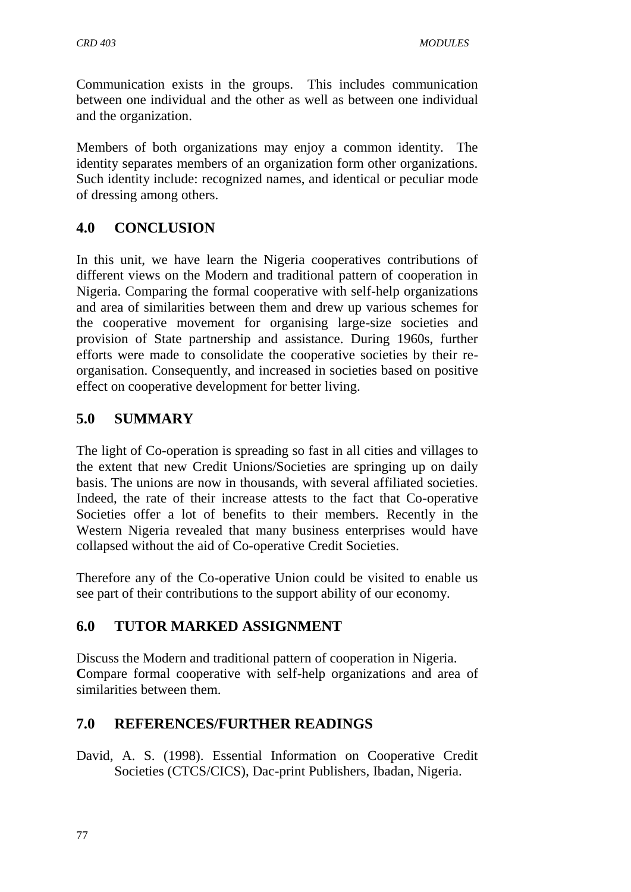Communication exists in the groups. This includes communication between one individual and the other as well as between one individual and the organization.

Members of both organizations may enjoy a common identity. The identity separates members of an organization form other organizations. Such identity include: recognized names, and identical or peculiar mode of dressing among others.

# **4.0 CONCLUSION**

In this unit, we have learn the Nigeria cooperatives contributions of different views on the Modern and traditional pattern of cooperation in Nigeria. Comparing the formal cooperative with self-help organizations and area of similarities between them and drew up various schemes for the cooperative movement for organising large-size societies and provision of State partnership and assistance. During 1960s, further efforts were made to consolidate the cooperative societies by their reorganisation. Consequently, and increased in societies based on positive effect on cooperative development for better living.

## **5.0 SUMMARY**

The light of Co-operation is spreading so fast in all cities and villages to the extent that new Credit Unions/Societies are springing up on daily basis. The unions are now in thousands, with several affiliated societies. Indeed, the rate of their increase attests to the fact that Co-operative Societies offer a lot of benefits to their members. Recently in the Western Nigeria revealed that many business enterprises would have collapsed without the aid of Co-operative Credit Societies.

Therefore any of the Co-operative Union could be visited to enable us see part of their contributions to the support ability of our economy.

## **6.0 TUTOR MARKED ASSIGNMENT**

Discuss the Modern and traditional pattern of cooperation in Nigeria. Compare formal cooperative with self-help organizations and area of similarities between them.

## **7.0 REFERENCES/FURTHER READINGS**

David, A. S. (1998). Essential Information on Cooperative Credit Societies (CTCS/CICS), Dac-print Publishers, Ibadan, Nigeria.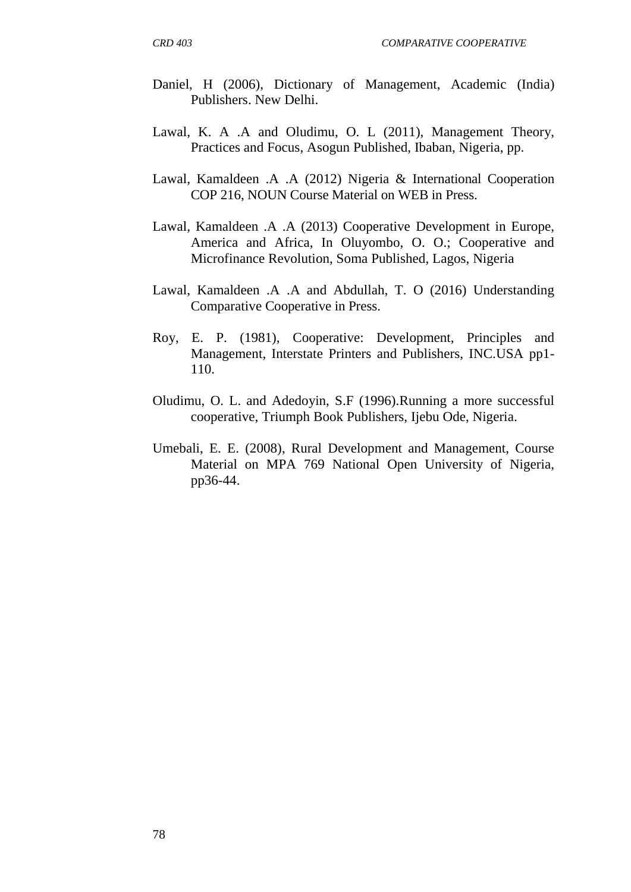- Daniel, H (2006), Dictionary of Management, Academic (India) Publishers. New Delhi.
- Lawal, K. A .A and Oludimu, O. L (2011), Management Theory, Practices and Focus, Asogun Published, Ibaban, Nigeria, pp.
- Lawal, Kamaldeen .A .A (2012) Nigeria & International Cooperation COP 216, NOUN Course Material on WEB in Press.
- Lawal, Kamaldeen .A .A (2013) Cooperative Development in Europe, America and Africa, In Oluyombo, O. O.; Cooperative and Microfinance Revolution, Soma Published, Lagos, Nigeria
- Lawal, Kamaldeen .A .A and Abdullah, T. O (2016) Understanding Comparative Cooperative in Press.
- Roy, E. P. (1981), Cooperative: Development, Principles and Management, Interstate Printers and Publishers, INC.USA pp1- 110.
- Oludimu, O. L. and Adedoyin, S.F (1996).Running a more successful cooperative, Triumph Book Publishers, Ijebu Ode, Nigeria.
- Umebali, E. E. (2008), Rural Development and Management, Course Material on MPA 769 National Open University of Nigeria, pp36-44.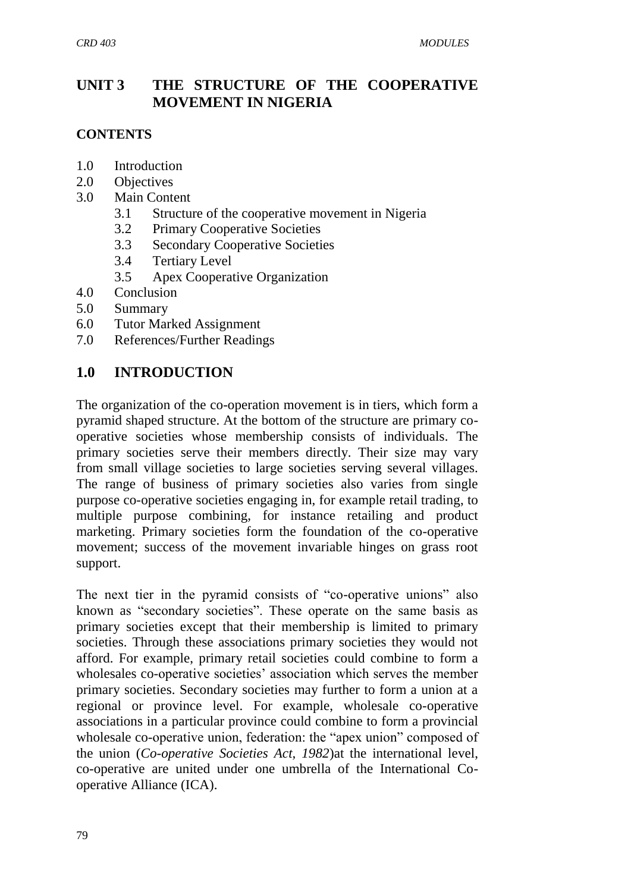## **UNIT 3 THE STRUCTURE OF THE COOPERATIVE MOVEMENT IN NIGERIA**

#### **CONTENTS**

- 1.0 Introduction
- 2.0 Objectives
- 3.0 Main Content
	- 3.1 Structure of the cooperative movement in Nigeria
	- 3.2 Primary Cooperative Societies
	- 3.3 Secondary Cooperative Societies
	- 3.4 Tertiary Level
	- 3.5 Apex Cooperative Organization
- 4.0 Conclusion
- 5.0 Summary
- 6.0 Tutor Marked Assignment
- 7.0 References/Further Readings

# **1.0 INTRODUCTION**

The organization of the co-operation movement is in tiers, which form a pyramid shaped structure. At the bottom of the structure are primary cooperative societies whose membership consists of individuals. The primary societies serve their members directly. Their size may vary from small village societies to large societies serving several villages. The range of business of primary societies also varies from single purpose co-operative societies engaging in, for example retail trading, to multiple purpose combining, for instance retailing and product marketing. Primary societies form the foundation of the co-operative movement; success of the movement invariable hinges on grass root support.

The next tier in the pyramid consists of "co-operative unions" also known as "secondary societies". These operate on the same basis as primary societies except that their membership is limited to primary societies. Through these associations primary societies they would not afford. For example, primary retail societies could combine to form a wholesales co-operative societies' association which serves the member primary societies. Secondary societies may further to form a union at a regional or province level. For example, wholesale co-operative associations in a particular province could combine to form a provincial wholesale co-operative union, federation: the "apex union" composed of the union (*Co-operative Societies Act, 1982*)at the international level, co-operative are united under one umbrella of the International Cooperative Alliance (ICA).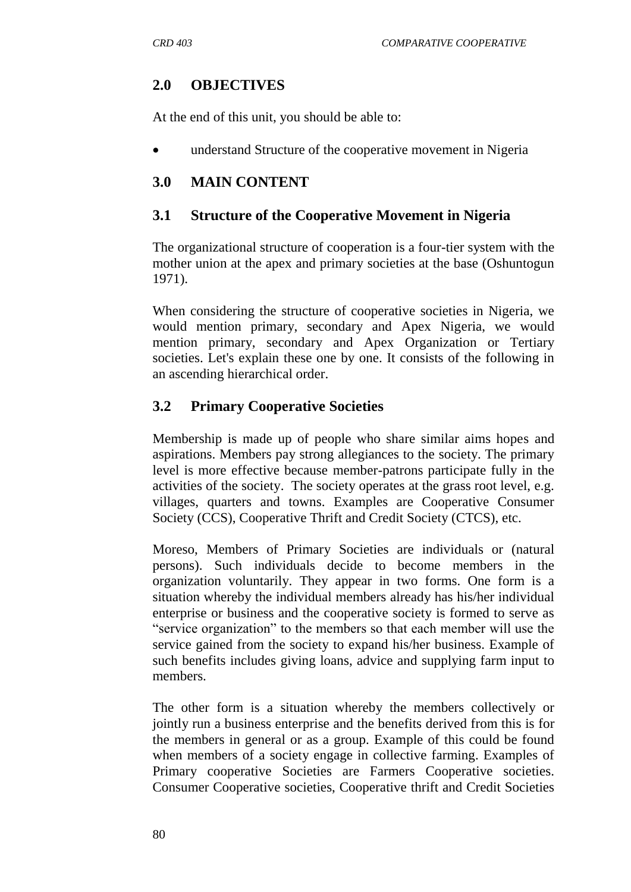## **2.0 OBJECTIVES**

At the end of this unit, you should be able to:

• understand Structure of the cooperative movement in Nigeria

#### **3.0 MAIN CONTENT**

#### **3.1 Structure of the Cooperative Movement in Nigeria**

The organizational structure of cooperation is a four-tier system with the mother union at the apex and primary societies at the base (Oshuntogun 1971).

When considering the structure of cooperative societies in Nigeria, we would mention primary, secondary and Apex Nigeria, we would mention primary, secondary and Apex Organization or Tertiary societies. Let's explain these one by one. It consists of the following in an ascending hierarchical order.

#### **3.2 Primary Cooperative Societies**

Membership is made up of people who share similar aims hopes and aspirations. Members pay strong allegiances to the society. The primary level is more effective because member-patrons participate fully in the activities of the society. The society operates at the grass root level, e.g. villages, quarters and towns. Examples are Cooperative Consumer Society (CCS), Cooperative Thrift and Credit Society (CTCS), etc.

Moreso, Members of Primary Societies are individuals or (natural persons). Such individuals decide to become members in the organization voluntarily. They appear in two forms. One form is a situation whereby the individual members already has his/her individual enterprise or business and the cooperative society is formed to serve as "service organization" to the members so that each member will use the service gained from the society to expand his/her business. Example of such benefits includes giving loans, advice and supplying farm input to members.

The other form is a situation whereby the members collectively or jointly run a business enterprise and the benefits derived from this is for the members in general or as a group. Example of this could be found when members of a society engage in collective farming. Examples of Primary cooperative Societies are Farmers Cooperative societies. Consumer Cooperative societies, Cooperative thrift and Credit Societies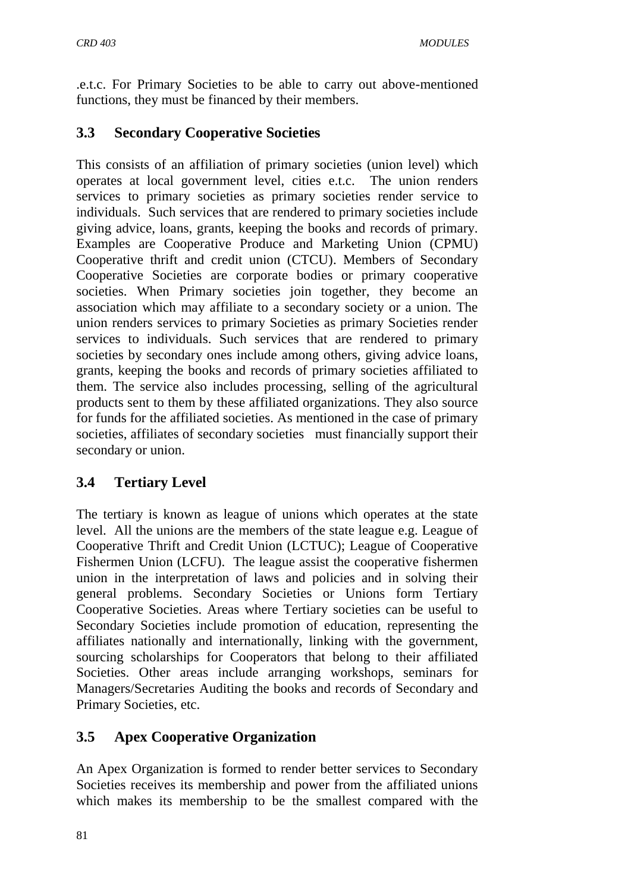.e.t.c. For Primary Societies to be able to carry out above-mentioned functions, they must be financed by their members.

## **3.3 Secondary Cooperative Societies**

This consists of an affiliation of primary societies (union level) which operates at local government level, cities e.t.c. The union renders services to primary societies as primary societies render service to individuals. Such services that are rendered to primary societies include giving advice, loans, grants, keeping the books and records of primary. Examples are Cooperative Produce and Marketing Union (CPMU) Cooperative thrift and credit union (CTCU). Members of Secondary Cooperative Societies are corporate bodies or primary cooperative societies. When Primary societies join together, they become an association which may affiliate to a secondary society or a union. The union renders services to primary Societies as primary Societies render services to individuals. Such services that are rendered to primary societies by secondary ones include among others, giving advice loans, grants, keeping the books and records of primary societies affiliated to them. The service also includes processing, selling of the agricultural products sent to them by these affiliated organizations. They also source for funds for the affiliated societies. As mentioned in the case of primary societies, affiliates of secondary societies must financially support their secondary or union.

## **3.4 Tertiary Level**

The tertiary is known as league of unions which operates at the state level. All the unions are the members of the state league e.g. League of Cooperative Thrift and Credit Union (LCTUC); League of Cooperative Fishermen Union (LCFU). The league assist the cooperative fishermen union in the interpretation of laws and policies and in solving their general problems. Secondary Societies or Unions form Tertiary Cooperative Societies. Areas where Tertiary societies can be useful to Secondary Societies include promotion of education, representing the affiliates nationally and internationally, linking with the government, sourcing scholarships for Cooperators that belong to their affiliated Societies. Other areas include arranging workshops, seminars for Managers/Secretaries Auditing the books and records of Secondary and Primary Societies, etc.

## **3.5 Apex Cooperative Organization**

An Apex Organization is formed to render better services to Secondary Societies receives its membership and power from the affiliated unions which makes its membership to be the smallest compared with the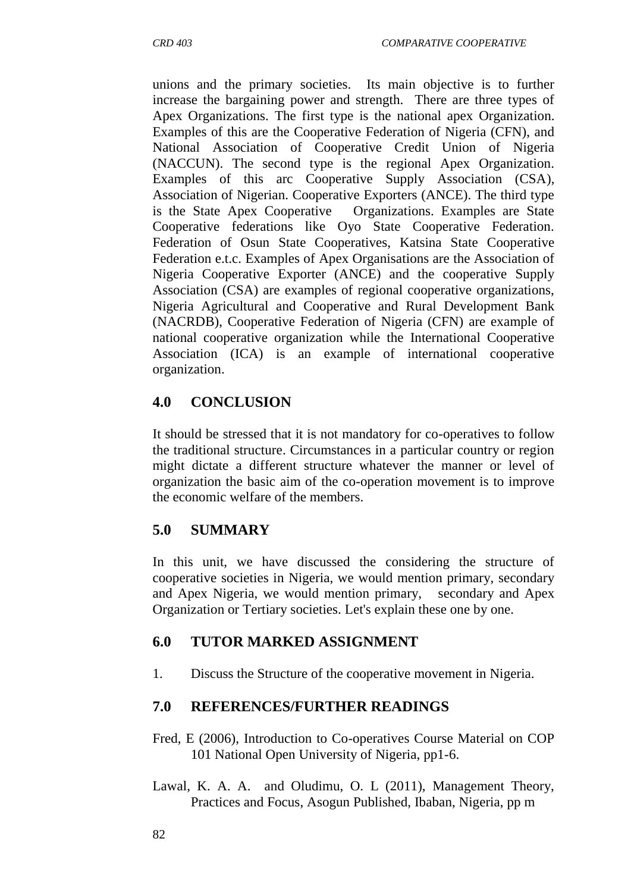unions and the primary societies. Its main objective is to further increase the bargaining power and strength. There are three types of Apex Organizations. The first type is the national apex Organization. Examples of this are the Cooperative Federation of Nigeria (CFN), and National Association of Cooperative Credit Union of Nigeria (NACCUN). The second type is the regional Apex Organization. Examples of this arc Cooperative Supply Association (CSA), Association of Nigerian. Cooperative Exporters (ANCE). The third type is the State Apex Cooperative Organizations. Examples are State Cooperative federations like Oyo State Cooperative Federation. Federation of Osun State Cooperatives, Katsina State Cooperative Federation e.t.c. Examples of Apex Organisations are the Association of Nigeria Cooperative Exporter (ANCE) and the cooperative Supply Association (CSA) are examples of regional cooperative organizations, Nigeria Agricultural and Cooperative and Rural Development Bank (NACRDB), Cooperative Federation of Nigeria (CFN) are example of national cooperative organization while the International Cooperative Association (ICA) is an example of international cooperative organization.

## **4.0 CONCLUSION**

It should be stressed that it is not mandatory for co-operatives to follow the traditional structure. Circumstances in a particular country or region might dictate a different structure whatever the manner or level of organization the basic aim of the co-operation movement is to improve the economic welfare of the members.

## **5.0 SUMMARY**

In this unit, we have discussed the considering the structure of cooperative societies in Nigeria, we would mention primary, secondary and Apex Nigeria, we would mention primary, secondary and Apex Organization or Tertiary societies. Let's explain these one by one.

## **6.0 TUTOR MARKED ASSIGNMENT**

1. Discuss the Structure of the cooperative movement in Nigeria.

## **7.0 REFERENCES/FURTHER READINGS**

- Fred, E (2006), Introduction to Co-operatives Course Material on COP 101 National Open University of Nigeria, pp1-6.
- Lawal, K. A. A. and Oludimu, O. L (2011), Management Theory, Practices and Focus, Asogun Published, Ibaban, Nigeria, pp m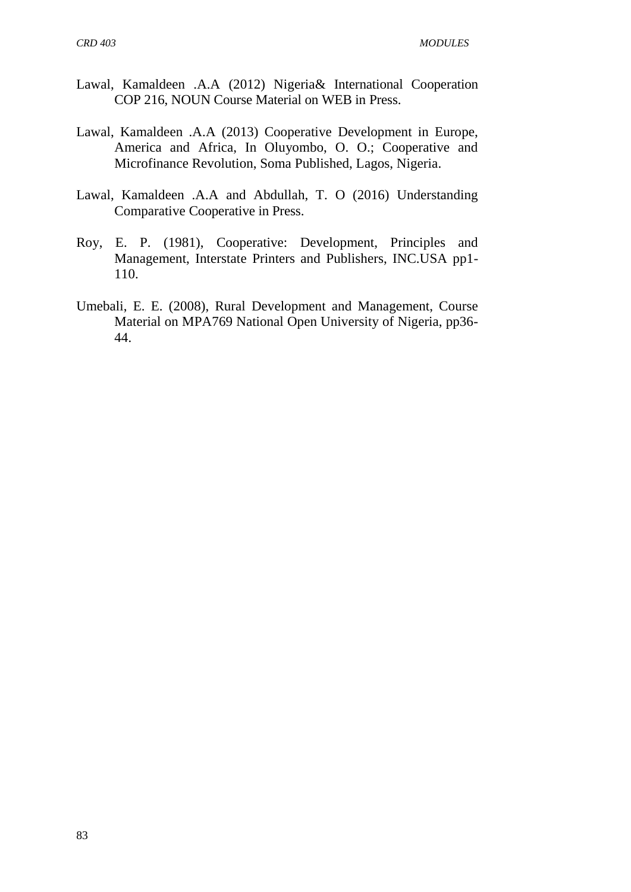- Lawal, Kamaldeen .A.A (2012) Nigeria& International Cooperation COP 216, NOUN Course Material on WEB in Press.
- Lawal, Kamaldeen .A.A (2013) Cooperative Development in Europe, America and Africa, In Oluyombo, O. O.; Cooperative and Microfinance Revolution, Soma Published, Lagos, Nigeria.
- Lawal, Kamaldeen .A.A and Abdullah, T. O (2016) Understanding Comparative Cooperative in Press.
- Roy, E. P. (1981), Cooperative: Development, Principles and Management, Interstate Printers and Publishers, INC.USA pp1- 110.
- Umebali, E. E. (2008), Rural Development and Management, Course Material on MPA769 National Open University of Nigeria, pp36- 44.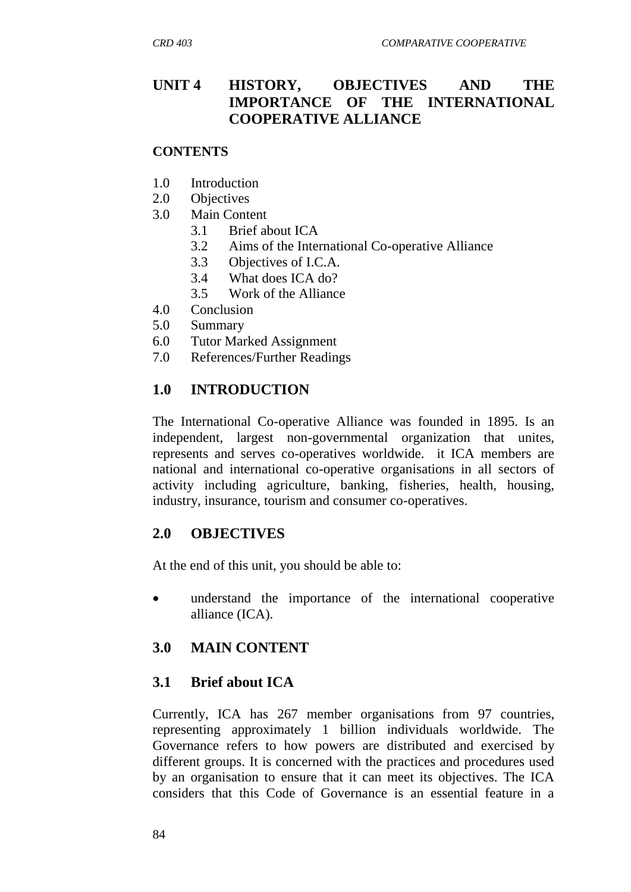### **UNIT 4 HISTORY, OBJECTIVES AND THE IMPORTANCE OF THE INTERNATIONAL COOPERATIVE ALLIANCE**

#### **CONTENTS**

- 1.0 Introduction
- 2.0 Objectives
- 3.0 Main Content
	- 3.1 Brief about ICA
	- 3.2 Aims of the International Co-operative Alliance
	- 3.3 Objectives of I.C.A.
	- 3.4 What does ICA do?
	- 3.5 Work of the Alliance
- 4.0 Conclusion
- 5.0 Summary
- 6.0 Tutor Marked Assignment
- 7.0 References/Further Readings

#### **1.0 INTRODUCTION**

The International Co-operative Alliance was founded in 1895. Is an independent, largest non-governmental organization that unites, represents and serves co-operatives worldwide. it ICA members are national and international co-operative organisations in all sectors of activity including agriculture, banking, fisheries, health, housing, industry, insurance, tourism and consumer co-operatives.

#### **2.0 OBJECTIVES**

At the end of this unit, you should be able to:

 understand the importance of the international cooperative alliance (ICA).

#### **3.0 MAIN CONTENT**

#### **3.1 Brief about ICA**

Currently, ICA has [267 member organisations](http://www.ica.coop/members/index.html) from 97 countries, representing approximately 1 billion individuals worldwide. The Governance refers to how powers are distributed and exercised by different groups. It is concerned with the practices and procedures used by an organisation to ensure that it can meet its objectives. The ICA considers that this Code of Governance is an essential feature in a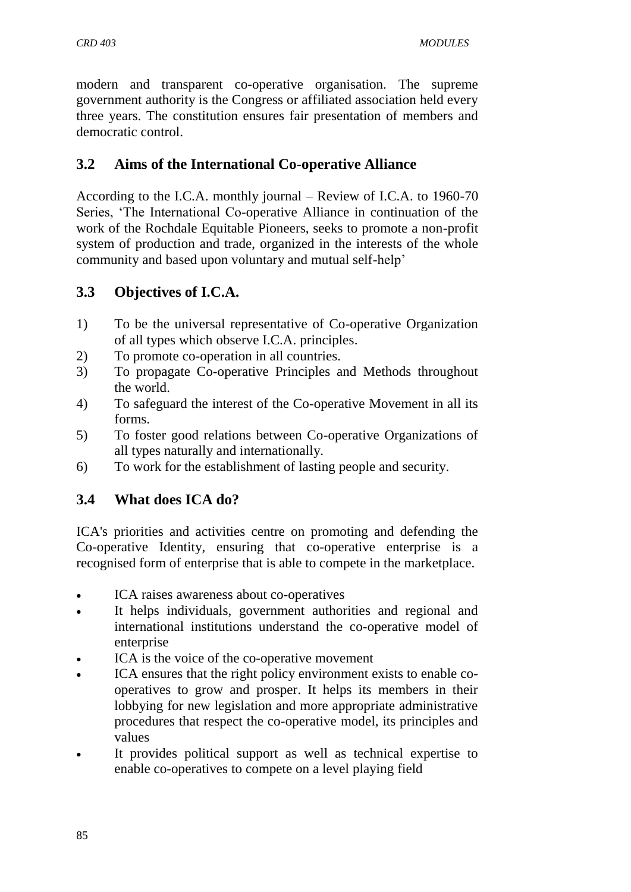modern and transparent co-operative organisation. The supreme government authority is the Congress or affiliated association held every three years. The constitution ensures fair presentation of members and democratic control.

#### **3.2 Aims of the International Co-operative Alliance**

According to the I.C.A. monthly journal – Review of I.C.A. to 1960-70 Series, "The International Co-operative Alliance in continuation of the work of the Rochdale Equitable Pioneers, seeks to promote a non-profit system of production and trade, organized in the interests of the whole community and based upon voluntary and mutual self-help"

#### **3.3 Objectives of I.C.A.**

- 1) To be the universal representative of Co-operative Organization of all types which observe I.C.A. principles.
- 2) To promote co-operation in all countries.
- 3) To propagate Co-operative Principles and Methods throughout the world.
- 4) To safeguard the interest of the Co-operative Movement in all its forms.
- 5) To foster good relations between Co-operative Organizations of all types naturally and internationally.
- 6) To work for the establishment of lasting people and security.

## **3.4 What does ICA do?**

ICA's priorities and activities centre on promoting and defending the [Co-operative Identity,](http://www.ica.coop/coop/principles.html) ensuring that co-operative enterprise is a recognised form of enterprise that is able to compete in the marketplace.

- ICA raises awareness about co-operatives
- It helps individuals, government authorities and regional and international institutions understand the co-operative model of enterprise
- [ICA is the voice of the co-operative movement](http://www.ica.coop/activities/representation.html)
- ICA ensures that the [right policy environment](http://www.ica.coop/activities/representation.html#policy) exists to enable cooperatives to grow and prosper. It helps its members in their lobbying for new legislation and more appropriate administrative procedures that respect the co-operative model, its principles and values
- It provides political support as well as technical expertise to enable co-operatives to compete on a level playing field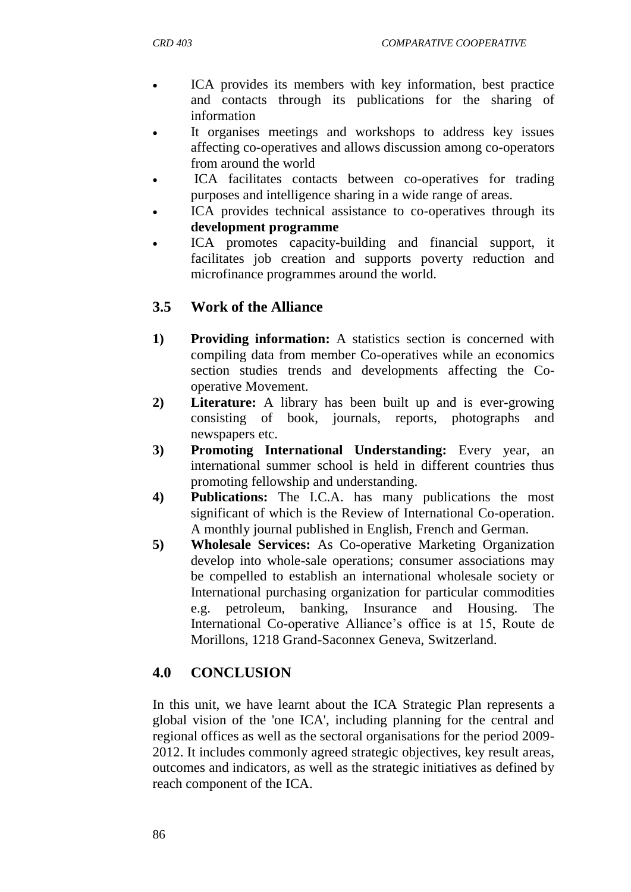- ICA provides its members with key information, best practice and contacts through its [publications](http://www.ica.coop/publications/index.html) for the sharing of information
- It organises meetings and workshops to address key issues affecting co-operatives and allows discussion among co-operators from around the world
- ICA facilitates contacts between co-operatives for trading purposes and intelligence sharing in a wide range of areas.
- ICA provides technical assistance to co-operatives through its **[development programme](http://www.ica.coop/development/index.html)**
- ICA promotes capacity-building and financial support, it facilitates job creation and supports poverty reduction and microfinance programmes around the world.

## **3.5 Work of the Alliance**

- **1) Providing information:** A statistics section is concerned with compiling data from member Co-operatives while an economics section studies trends and developments affecting the Cooperative Movement.
- **2) Literature:** A library has been built up and is ever-growing consisting of book, journals, reports, photographs and newspapers etc.
- **3) Promoting International Understanding:** Every year, an international summer school is held in different countries thus promoting fellowship and understanding.
- **4) Publications:** The I.C.A. has many publications the most significant of which is the Review of International Co-operation. A monthly journal published in English, French and German.
- **5) Wholesale Services:** As Co-operative Marketing Organization develop into whole-sale operations; consumer associations may be compelled to establish an international wholesale society or International purchasing organization for particular commodities e.g. petroleum, banking, Insurance and Housing. The International Co-operative Alliance's office is at 15, Route de Morillons, 1218 Grand-Saconnex Geneva, Switzerland.

## **4.0 CONCLUSION**

In this unit, we have learnt about the ICA Strategic Plan represents a global vision of the 'one ICA', including planning for the central and regional offices as well as the sectoral organisations for the period 2009- 2012. It includes commonly agreed strategic objectives, key result areas, outcomes and indicators, as well as the strategic initiatives as defined by reach component of the ICA.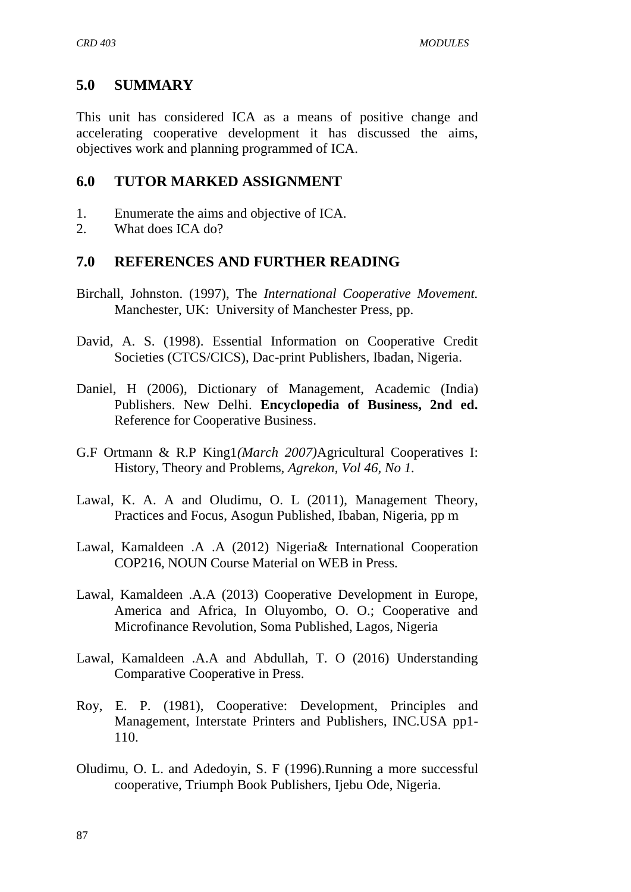#### **5.0 SUMMARY**

This unit has considered ICA as a means of positive change and accelerating cooperative development it has discussed the aims, objectives work and planning programmed of ICA.

#### **6.0 TUTOR MARKED ASSIGNMENT**

- 1. Enumerate the aims and objective of ICA.
- 2. What does ICA do?

#### **7.0 REFERENCES AND FURTHER READING**

- Birchall, Johnston. (1997), The *International Cooperative Movement.*  Manchester, UK: University of Manchester Press, pp.
- David, A. S. (1998). Essential Information on Cooperative Credit Societies (CTCS/CICS), Dac-print Publishers, Ibadan, Nigeria.
- Daniel, H (2006), Dictionary of Management, Academic (India) Publishers. New Delhi. **Encyclopedia of Business, 2nd ed.**  [Reference for Cooperative Business.](http://www.referenceforbusiness.com/index.html)
- G.F Ortmann & R.P King1*(March 2007)*Agricultural Cooperatives I: History, Theory and Problems, *Agrekon, Vol 46, No 1.*
- Lawal, K. A. A and Oludimu, O. L (2011), Management Theory, Practices and Focus, Asogun Published, Ibaban, Nigeria, pp m
- Lawal, Kamaldeen .A .A (2012) Nigeria& International Cooperation COP216, NOUN Course Material on WEB in Press.
- Lawal, Kamaldeen .A.A (2013) Cooperative Development in Europe, America and Africa, In Oluyombo, O. O.; Cooperative and Microfinance Revolution, Soma Published, Lagos, Nigeria
- Lawal, Kamaldeen .A.A and Abdullah, T. O (2016) Understanding Comparative Cooperative in Press.
- Roy, E. P. (1981), Cooperative: Development, Principles and Management, Interstate Printers and Publishers, INC.USA pp1- 110.
- Oludimu, O. L. and Adedoyin, S. F (1996).Running a more successful cooperative, Triumph Book Publishers, Ijebu Ode, Nigeria.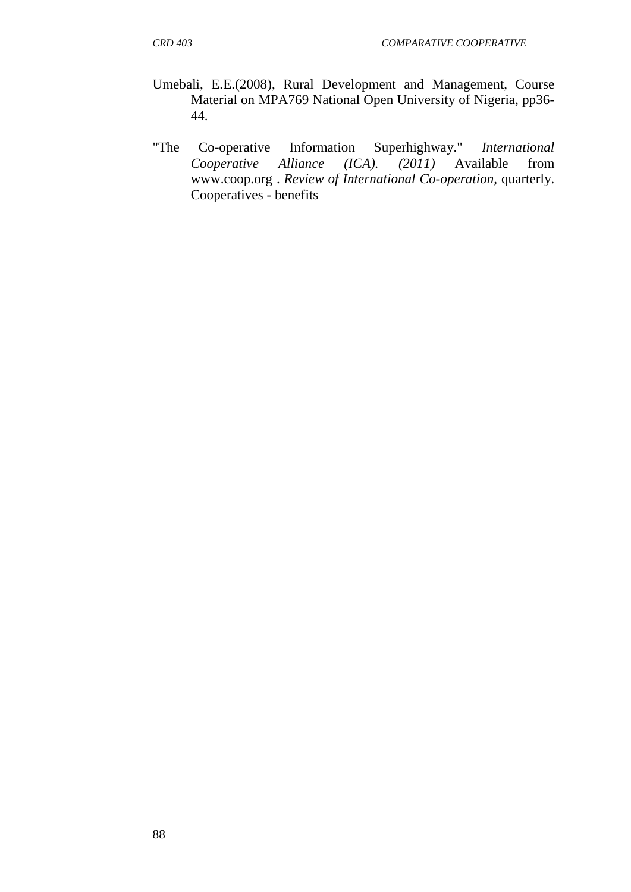- Umebali, E.E.(2008), Rural Development and Management, Course Material on MPA769 National Open University of Nigeria, pp36- 44.
- "The Co-operative Information Superhighway." *International Cooperative Alliance (ICA). (2011)* Available from [www.coop.org .](http://www.coop.org/) *Review of International Co-operation,* quarterly. [Cooperatives -](http://www.referenceforbusiness.com/encyclopedia/Con-Cos/Cooperatives.html#ixzz1fl8lCHrv) benefits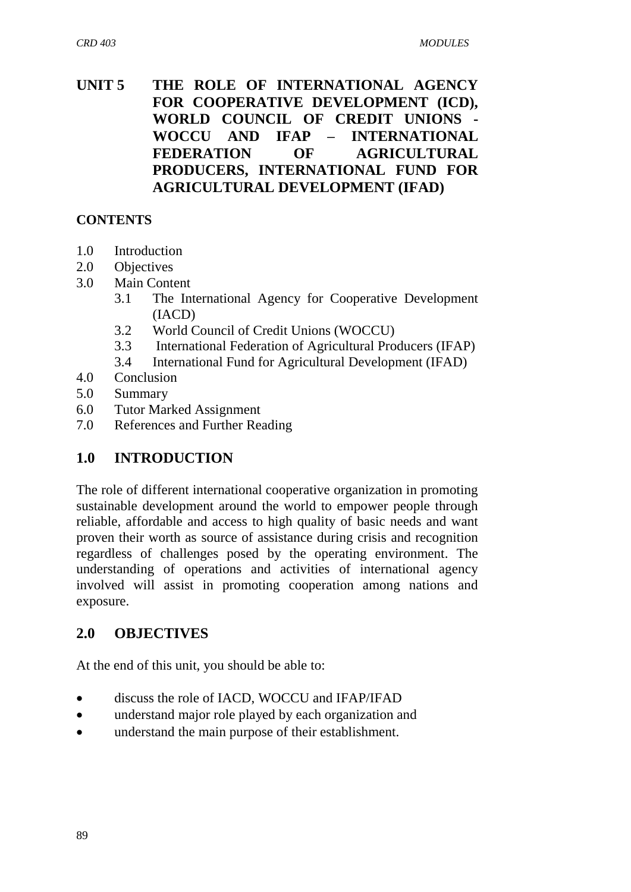#### **UNIT 5 THE ROLE OF INTERNATIONAL AGENCY FOR COOPERATIVE DEVELOPMENT (ICD), WORLD COUNCIL OF CREDIT UNIONS - WOCCU AND IFAP – INTERNATIONAL FEDERATION OF AGRICULTURAL PRODUCERS, INTERNATIONAL FUND FOR AGRICULTURAL DEVELOPMENT (IFAD)**

#### **CONTENTS**

- 1.0 Introduction
- 2.0 Objectives
- 3.0 Main Content
	- 3.1 The International Agency for Cooperative Development (IACD)
	- 3.2 World Council of Credit Unions (WOCCU)
	- 3.3 International Federation of Agricultural Producers (IFAP)
	- 3.4 International Fund for Agricultural Development (IFAD)
- 4.0 Conclusion
- 5.0 Summary
- 6.0 Tutor Marked Assignment
- 7.0 References and Further Reading

#### **1.0 INTRODUCTION**

The role of different international cooperative organization in promoting sustainable development around the world to empower people through reliable, affordable and access to high quality of basic needs and want proven their worth as source of assistance during crisis and recognition regardless of challenges posed by the operating environment. The understanding of operations and activities of international agency involved will assist in promoting cooperation among nations and exposure.

#### **2.0 OBJECTIVES**

At the end of this unit, you should be able to:

- discuss the role of IACD, WOCCU and IFAP/IFAD
- understand major role played by each organization and
- understand the main purpose of their establishment.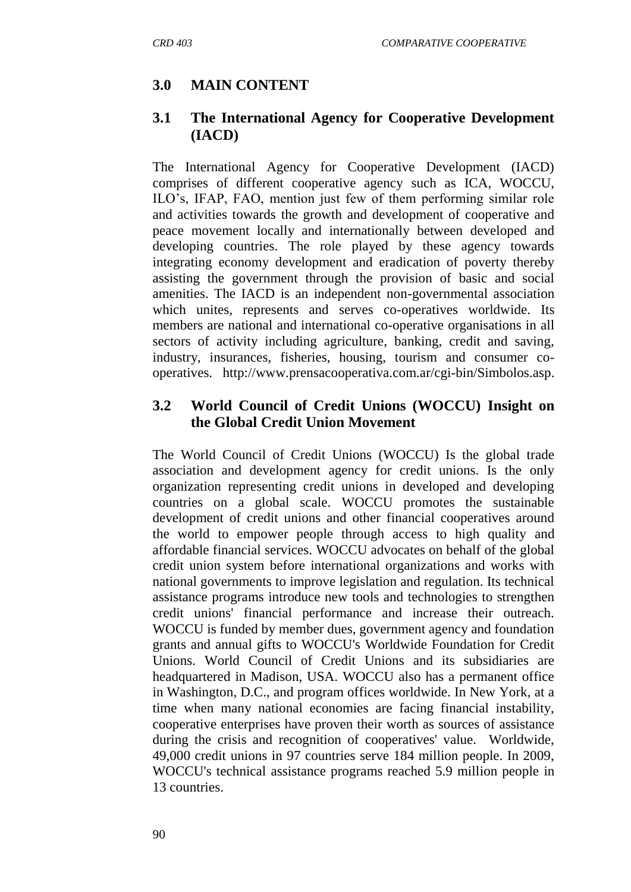# **3.0 MAIN CONTENT**

#### **3.1 The International Agency for Cooperative Development (IACD)**

The International Agency for Cooperative Development (IACD) comprises of different cooperative agency such as ICA, WOCCU, ILO"s, IFAP, FAO, mention just few of them performing similar role and activities towards the growth and development of cooperative and peace movement locally and internationally between developed and developing countries. The role played by these agency towards integrating economy development and eradication of poverty thereby assisting the government through the provision of basic and social amenities. The IACD is an independent non-governmental association which unites, represents and serves co-operatives worldwide. Its members are national and international co-operative organisations in all sectors of activity including agriculture, banking, credit and saving, industry, insurances, fisheries, housing, tourism and consumer cooperatives. [http://www.prensacooperativa.com.ar/cgi-bin/Simbolos.asp.](http://www.prensacooperativa.com.ar/cgi-bin/Simbolos.asp)

#### **3.2 World Council of Credit Unions (WOCCU) Insight on the Global Credit Union Movement**

The World Council of Credit Unions (WOCCU) Is the global trade association and development agency for credit unions. Is the only organization representing credit unions in developed and developing countries on a global scale. WOCCU promotes the sustainable development of credit unions and other financial cooperatives around the world to empower people through access to high quality and affordable financial services. WOCCU advocates on behalf of the global credit union system before international organizations and works with national governments to improve legislation and regulation. Its technical assistance programs introduce new tools and technologies to strengthen credit unions' financial performance and increase their outreach. WOCCU is funded by member dues, government agency and foundation grants and annual gifts to WOCCU's Worldwide Foundation for Credit Unions. World Council of Credit Unions and its subsidiaries are headquartered in Madison, USA. WOCCU also has a permanent office in Washington, D.C., and program offices worldwide. In New York, at a time when many national economies are facing financial instability, cooperative enterprises have proven their worth as sources of assistance during the crisis and recognition of cooperatives' value. Worldwide, 49,000 credit unions in 97 countries serve 184 million people. In 2009, WOCCU's technical assistance programs reached 5.9 million people in 13 countries.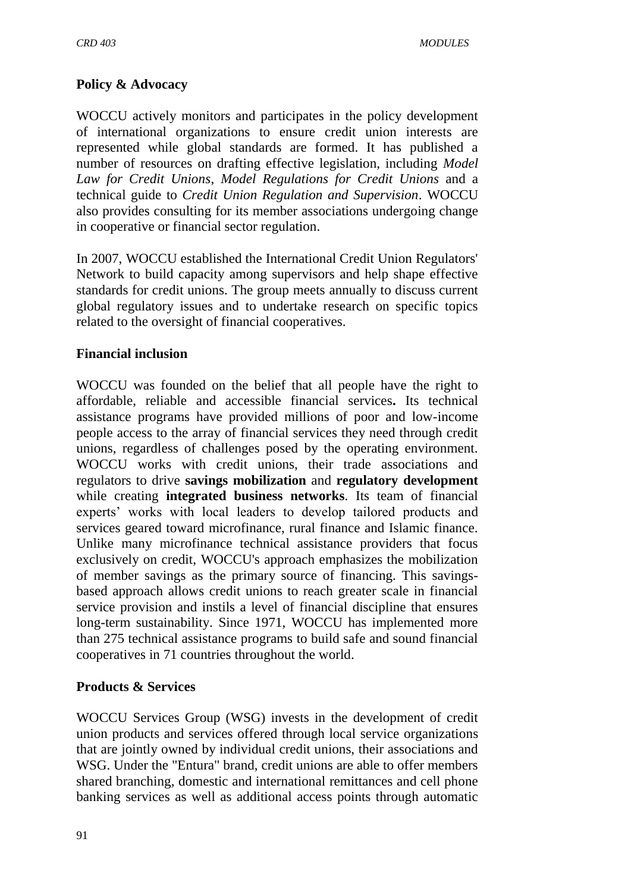#### **Policy & Advocacy**

WOCCU actively monitors and participates in the policy development of international organizations to ensure credit union interests are represented while global standards are formed. It has published a number of resources on drafting effective legislation, including *Model Law for Credit Unions*, *Model Regulations for Credit Unions* and a technical guide to *Credit Union Regulation and Supervision*. WOCCU also provides consulting for its member associations undergoing change in cooperative or financial sector regulation.

In 2007, WOCCU established the International Credit Union Regulators' Network to build capacity among supervisors and help shape effective standards for credit unions. The group meets annually to discuss current global regulatory issues and to undertake research on specific topics related to the oversight of financial cooperatives.

#### **Financial inclusion**

WOCCU was founded on the belief that all people have the right to affordable, reliable and accessible financial services**.** Its technical assistance programs have provided millions of poor and low-income people access to the array of financial services they need through credit unions, regardless of challenges posed by the operating environment. WOCCU works with credit unions, their trade associations and regulators to drive **savings mobilization** and **regulatory development** while creating **integrated business networks**. Its team of financial experts' works with local leaders to develop tailored products and services geared toward microfinance, rural finance and Islamic finance. Unlike many microfinance technical assistance providers that focus exclusively on credit, WOCCU's approach emphasizes the mobilization of member savings as the primary source of financing. This savingsbased approach allows credit unions to reach greater scale in financial service provision and instils a level of financial discipline that ensures long-term sustainability. Since 1971, WOCCU has implemented more than 275 technical assistance programs to build safe and sound financial cooperatives in 71 countries throughout the world.

#### **Products & Services**

WOCCU Services Group (WSG) invests in the development of credit union products and services offered through local service organizations that are jointly owned by individual credit unions, their associations and WSG. Under the "Entura" brand, credit unions are able to offer members shared branching, domestic and international remittances and cell phone banking services as well as additional access points through automatic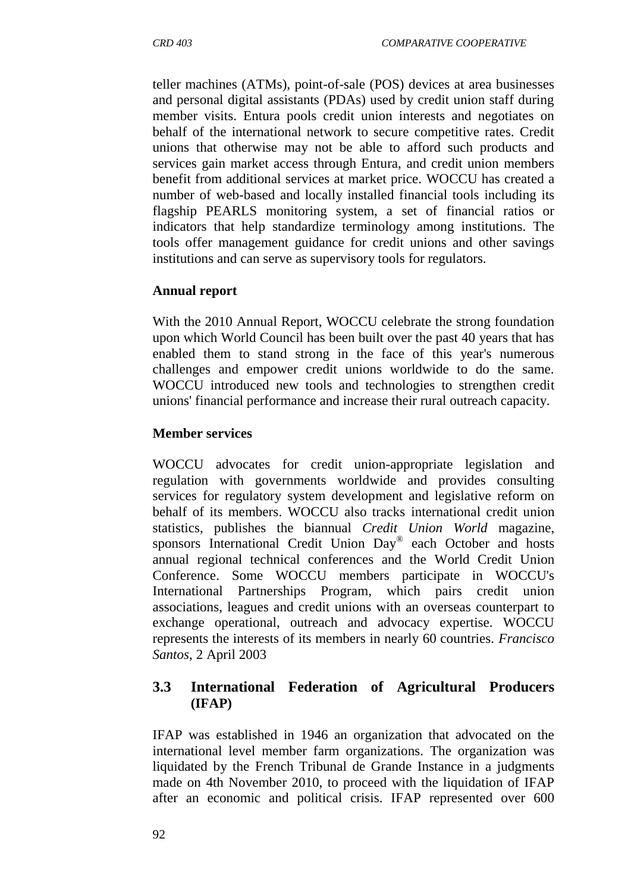teller machines (ATMs), point-of-sale (POS) devices at area businesses and personal digital assistants (PDAs) used by credit union staff during member visits. Entura pools credit union interests and negotiates on behalf of the international network to secure competitive rates. Credit unions that otherwise may not be able to afford such products and services gain market access through Entura, and credit union members benefit from additional services at market price. [WOCCU has created a](http://tools.woccu.org/)  [number of web-based and locally installed financial tools](http://tools.woccu.org/) including its flagship PEARLS monitoring system, a set of financial ratios or indicators that help standardize terminology among institutions. The tools offer management guidance for credit unions and other savings institutions and can serve as supervisory tools for regulators.

#### **Annual report**

With the 2010 Annual Report, WOCCU celebrate the strong foundation upon which World Council has been built over the past 40 years that has enabled them to stand strong in the face of this year's numerous challenges and empower credit unions worldwide to do the same. WOCCU introduced new tools and technologies to strengthen credit unions' financial performance and increase their rural outreach capacity.

#### **Member services**

WOCCU advocates for credit union-appropriate legislation and regulation with governments worldwide and provides consulting services for regulatory system development and legislative reform on behalf of its members. WOCCU also tracks [international credit union](http://www.woccu.org/memberserv/intlcusystem)  [statistics,](http://www.woccu.org/memberserv/intlcusystem) publishes the biannual *[Credit Union World](http://www.woccu.org/publications/cuworld)* magazine, sponsors [International Credit Union Day](http://www.woccu.org/events/icuday)® each October and hosts annual regional technical conferences and the [World Credit Union](http://www.woccu.org/events/wcuc)  [Conference.](http://www.woccu.org/events/wcuc) Some WOCCU members participate in WOCCU's [International Partnerships Program,](http://www.woccu.org/involved/partnerships) which pairs credit union associations, leagues and credit unions with an overseas counterpart to exchange operational, outreach and advocacy expertise. WOCCU represents the interests of its members in nearly 60 countries. *Francisco Santos*, 2 April 2003

#### **3.3 International Federation of Agricultural Producers (IFAP)**

IFAP was established in 1946 an organization that advocated on the international level member farm organizations. The organization was liquidated by the French Tribunal de Grande Instance in a judgments made on 4th November 2010, to proceed with the liquidation of IFAP after an economic and political crisis. IFAP represented over 600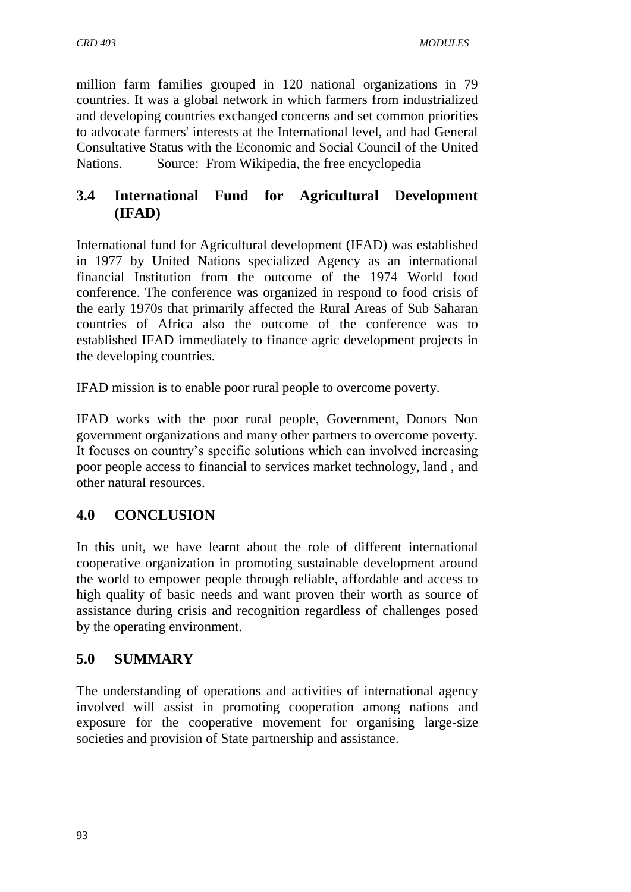million farm families grouped in 120 national organizations in 79 countries. It was a global network in which farmers from industrialized and developing countries exchanged concerns and set common priorities to advocate farmers' interests at the International level, and had General Consultative Status with the Economic and Social Council of the United Nations. Source: From Wikipedia, the free encyclopedia

## **3.4 International Fund for Agricultural Development (IFAD)**

International fund for Agricultural development (IFAD) was established in 1977 by United Nations specialized Agency as an international financial Institution from the outcome of the 1974 World food conference. The conference was organized in respond to food crisis of the early 1970s that primarily affected the Rural Areas of Sub Saharan countries of Africa also the outcome of the conference was to established IFAD immediately to finance agric development projects in the developing countries.

IFAD mission is to enable poor rural people to overcome poverty.

IFAD works with the poor rural people, Government, Donors Non government organizations and many other partners to overcome poverty. It focuses on country"s specific solutions which can involved increasing poor people access to financial to services market technology, land , and other natural resources.

## **4.0 CONCLUSION**

In this unit, we have learnt about the role of different international cooperative organization in promoting sustainable development around the world to empower people through reliable, affordable and access to high quality of basic needs and want proven their worth as source of assistance during crisis and recognition regardless of challenges posed by the operating environment.

#### **5.0 SUMMARY**

The understanding of operations and activities of international agency involved will assist in promoting cooperation among nations and exposure for the cooperative movement for organising large-size societies and provision of State partnership and assistance.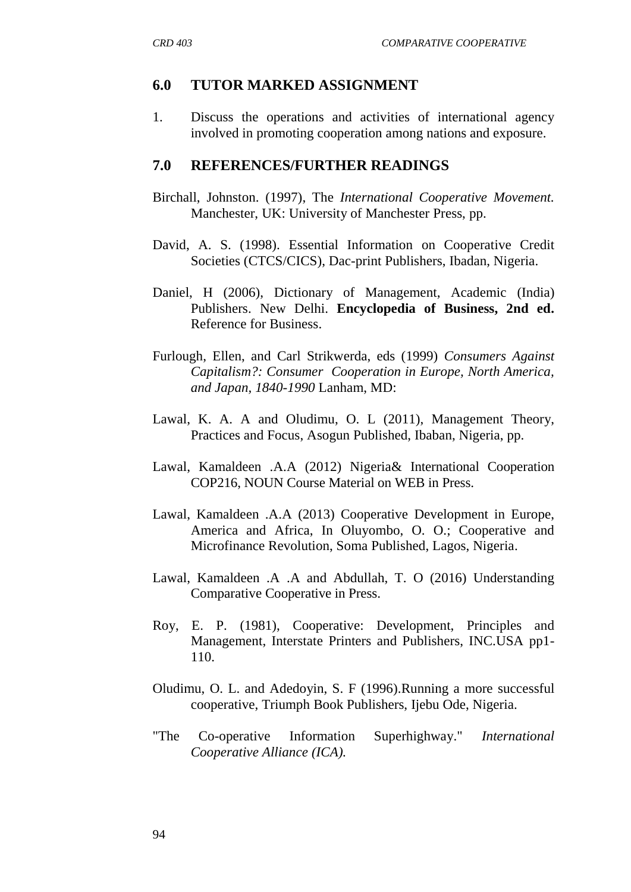#### **6.0 TUTOR MARKED ASSIGNMENT**

1. Discuss the operations and activities of international agency involved in promoting cooperation among nations and exposure.

#### **7.0 REFERENCES/FURTHER READINGS**

- Birchall, Johnston. (1997), The *International Cooperative Movement.*  Manchester, UK: University of Manchester Press, pp.
- David, A. S. (1998). Essential Information on Cooperative Credit Societies (CTCS/CICS), Dac-print Publishers, Ibadan, Nigeria.
- Daniel, H (2006), Dictionary of Management, Academic (India) Publishers. New Delhi. **Encyclopedia of Business, 2nd ed.**  [Reference for Business.](http://www.referenceforbusiness.com/index.html)
- Furlough, Ellen, and Carl Strikwerda, eds (1999) *Consumers Against Capitalism?: Consumer Cooperation in Europe, North America, and Japan, 1840-1990* Lanham, MD:
- Lawal, K. A. A and Oludimu, O. L (2011), Management Theory, Practices and Focus, Asogun Published, Ibaban, Nigeria, pp.
- Lawal, Kamaldeen .A.A (2012) Nigeria& International Cooperation COP216, NOUN Course Material on WEB in Press.
- Lawal, Kamaldeen .A.A (2013) Cooperative Development in Europe, America and Africa, In Oluyombo, O. O.; Cooperative and Microfinance Revolution, Soma Published, Lagos, Nigeria.
- Lawal, Kamaldeen .A .A and Abdullah, T. O (2016) Understanding Comparative Cooperative in Press.
- Roy, E. P. (1981), Cooperative: Development, Principles and Management, Interstate Printers and Publishers, INC.USA pp1- 110.
- Oludimu, O. L. and Adedoyin, S. F (1996).Running a more successful cooperative, Triumph Book Publishers, Ijebu Ode, Nigeria.
- "The Co-operative Information Superhighway." *International Cooperative Alliance (ICA).*